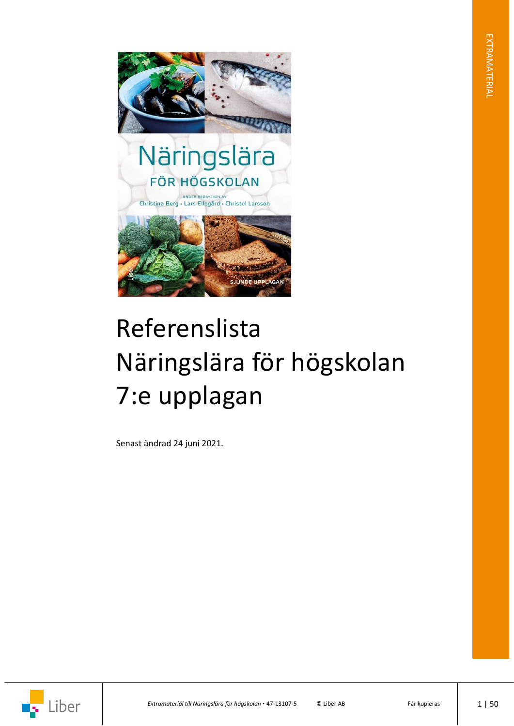

# Referenslista Näringslära för högskolan 7:e upplagan

Senast ändrad 24 juni 2021.

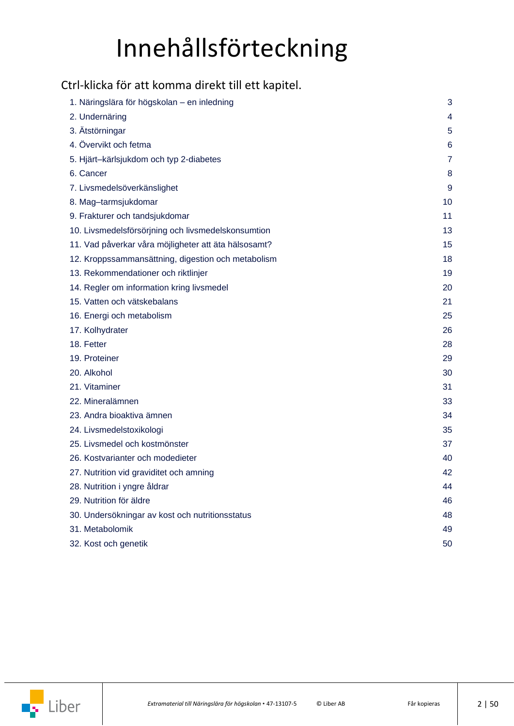## Innehållsförteckning

### <span id="page-1-0"></span>Ctrl-klicka för att komma direkt till ett kapitel.

| 1. Näringslära för högskolan – en inledning          | 3              |
|------------------------------------------------------|----------------|
| 2. Undernäring                                       | 4              |
| 3. Ätstörningar                                      | 5              |
| 4. Övervikt och fetma                                | 6              |
| 5. Hjärt-kärlsjukdom och typ 2-diabetes              | $\overline{7}$ |
| 6. Cancer                                            | 8              |
| 7. Livsmedelsöverkänslighet                          | 9              |
| 8. Mag-tarmsjukdomar                                 | 10             |
| 9. Frakturer och tandsjukdomar                       | 11             |
| 10. Livsmedelsförsörjning och livsmedelskonsumtion   | 13             |
| 11. Vad påverkar våra möjligheter att äta hälsosamt? | 15             |
| 12. Kroppssammansättning, digestion och metabolism   | 18             |
| 13. Rekommendationer och riktlinjer                  | 19             |
| 14. Regler om information kring livsmedel            | 20             |
| 15. Vatten och vätskebalans                          | 21             |
| 16. Energi och metabolism                            | 25             |
| 17. Kolhydrater                                      | 26             |
| 18. Fetter                                           | 28             |
| 19. Proteiner                                        | 29             |
| 20. Alkohol                                          | 30             |
| 21. Vitaminer                                        | 31             |
| 22. Mineralämnen                                     | 33             |
| 23. Andra bioaktiva ämnen                            | 34             |
| 24. Livsmedelstoxikologi                             | 35             |
| 25. Livsmedel och kostmönster                        | 37             |
| 26. Kostvarianter och modedieter                     | 40             |
| 27. Nutrition vid graviditet och amning              | 42             |
| 28. Nutrition i yngre åldrar                         | 44             |
| 29. Nutrition för äldre                              | 46             |
| 30. Undersökningar av kost och nutritionsstatus      | 48             |
| 31. Metabolomik                                      | 49             |
| 32. Kost och genetik                                 | 50             |

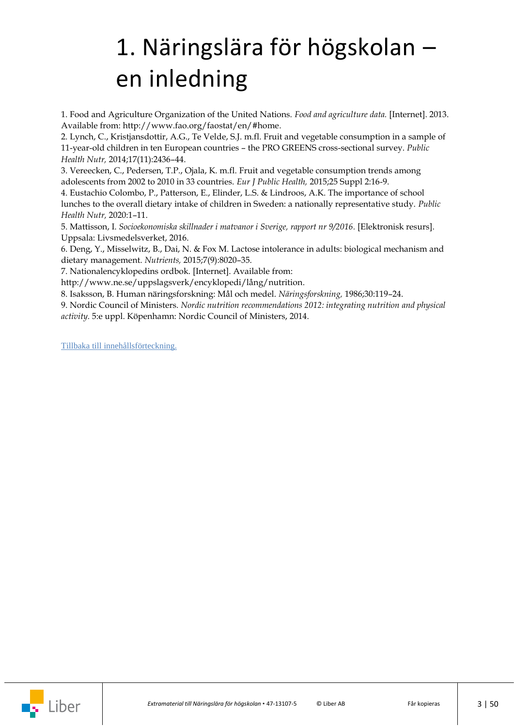## <span id="page-2-0"></span>1. Näringslära för högskolan – en inledning

1. Food and Agriculture Organization of the United Nations. *Food and agriculture data.* [Internet]. 2013. Available from: [http://www.fao.org/faostat/en/#home.](http://www.fao.org/faostat/en/#home)

2. Lynch, C., Kristjansdottir, A.G., Te Velde, S.J. m.fl. Fruit and vegetable consumption in a sample of 11-year-old children in ten European countries – the PRO GREENS cross-sectional survey. *Public Health Nutr,* 2014;17(11):2436–44.

3. Vereecken, C., Pedersen, T.P., Ojala, K. m.fl. Fruit and vegetable consumption trends among adolescents from 2002 to 2010 in 33 countries. *Eur J Public Health,* 2015;25 Suppl 2:16-9.

4. Eustachio Colombo, P., Patterson, E., Elinder, L.S. & Lindroos, A.K. The importance of school lunches to the overall dietary intake of children in Sweden: a nationally representative study. *Public Health Nutr,* 2020:1–11.

5. Mattisson, I. *Socioekonomiska skillnader i matvanor i Sverige, rapport nr 9/2016.* [Elektronisk resurs]. Uppsala: Livsmedelsverket, 2016.

6. Deng, Y., Misselwitz, B., Dai, N. & Fox M. Lactose intolerance in adults: biological mechanism and dietary management. *Nutrients,* 2015;7(9):8020–35.

7. Nationalencyklopedins ordbok. [Internet]. Available from:

[http://www.ne.se/uppslagsverk/encyklopedi/lång/nutrition.](http://www.ne.se/uppslagsverk/encyklopedi/lång/nutrition)

8. Isaksson, B. Human näringsforskning: Mål och medel. *Näringsforskning,* 1986;30:119–24.

9. Nordic Council of Ministers. *Nordic nutrition recommendations 2012: integrating nutrition and physical activity.* 5:e uppl. Köpenhamn: Nordic Council of Ministers, 2014.

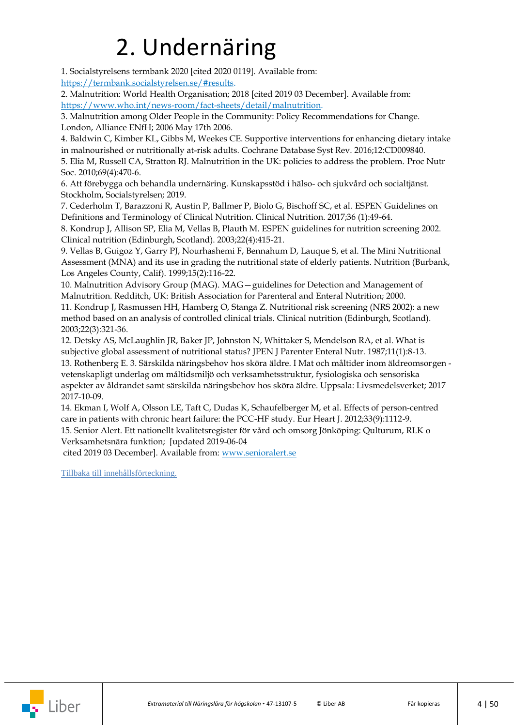## 2. Undernäring

<span id="page-3-0"></span>1. Socialstyrelsens termbank 2020 [cited 2020 0119]. Available from: [https://termbank.socialstyrelsen.se/#results.](https://termbank.socialstyrelsen.se/#results)

2. Malnutrition: World Health Organisation; 2018 [cited 2019 03 December]. Available from: [https://www.who.int/news-room/fact-sheets/detail/malnutrition.](https://www.who.int/news-room/fact-sheets/detail/malnutrition)

3. Malnutrition among Older People in the Community: Policy Recommendations for Change. London, Alliance ENfH; 2006 May 17th 2006.

4. Baldwin C, Kimber KL, Gibbs M, Weekes CE. Supportive interventions for enhancing dietary intake in malnourished or nutritionally at-risk adults. Cochrane Database Syst Rev. 2016;12:CD009840.

5. Elia M, Russell CA, Stratton RJ. Malnutrition in the UK: policies to address the problem. Proc Nutr Soc. 2010;69(4):470-6.

6. Att förebygga och behandla undernäring. Kunskapsstöd i hälso- och sjukvård och socialtjänst. Stockholm, Socialstyrelsen; 2019.

7. Cederholm T, Barazzoni R, Austin P, Ballmer P, Biolo G, Bischoff SC, et al. ESPEN Guidelines on Definitions and Terminology of Clinical Nutrition. Clinical Nutrition. 2017;36 (1):49-64.

8. Kondrup J, Allison SP, Elia M, Vellas B, Plauth M. ESPEN guidelines for nutrition screening 2002. Clinical nutrition (Edinburgh, Scotland). 2003;22(4):415-21.

9. Vellas B, Guigoz Y, Garry PJ, Nourhashemi F, Bennahum D, Lauque S, et al. The Mini Nutritional Assessment (MNA) and its use in grading the nutritional state of elderly patients. Nutrition (Burbank, Los Angeles County, Calif). 1999;15(2):116-22.

10. Malnutrition Advisory Group (MAG). MAG—guidelines for Detection and Management of Malnutrition. Redditch, UK: British Association for Parenteral and Enteral Nutrition; 2000.

11. Kondrup J, Rasmussen HH, Hamberg O, Stanga Z. Nutritional risk screening (NRS 2002): a new method based on an analysis of controlled clinical trials. Clinical nutrition (Edinburgh, Scotland). 2003;22(3):321-36.

12. Detsky AS, McLaughlin JR, Baker JP, Johnston N, Whittaker S, Mendelson RA, et al. What is subjective global assessment of nutritional status? JPEN J Parenter Enteral Nutr. 1987;11(1):8-13. 13. Rothenberg E. 3. Särskilda näringsbehov hos sköra äldre. I Mat och måltider inom äldreomsorgen vetenskapligt underlag om måltidsmiljö och verksamhetsstruktur, fysiologiska och sensoriska aspekter av åldrandet samt särskilda näringsbehov hos sköra äldre. Uppsala: Livsmedelsverket; 2017 2017-10-09.

14. Ekman I, Wolf A, Olsson LE, Taft C, Dudas K, Schaufelberger M, et al. Effects of person-centred care in patients with chronic heart failure: the PCC-HF study. Eur Heart J. 2012;33(9):1112-9. 15. Senior Alert. Ett nationellt kvalitetsregister för vård och omsorg Jönköping: Qulturum, RLK o Verksamhetsnära funktion; [updated 2019-06-04

cited 2019 03 December]. Available from: [www.senioralert.se](https://www.senioralert.se/)

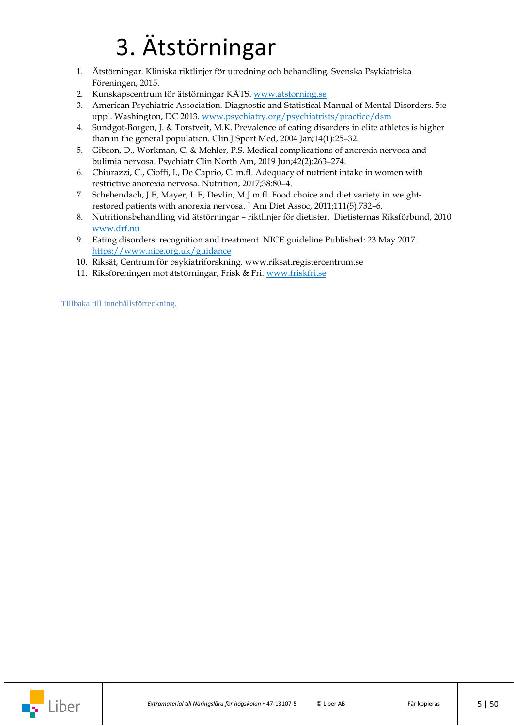## 3. Ätstörningar

- <span id="page-4-0"></span>1. Ätstörningar. Kliniska riktlinjer för utredning och behandling. Svenska Psykiatriska Föreningen, 2015.
- 2. Kunskapscentrum för ätstörningar KÄTS. [www.atstorning.se](http://www.atstorning.se/)
- 3. American Psychiatric Association. Diagnostic and Statistical Manual of Mental Disorders. 5:e uppl. Washington, DC 2013. [www.psychiatry.org/psychiatrists/practice/dsm](https://dsm.psychiatryonline.org/doi/book/10.1176/appi.books.9780890425596)
- 4. Sundgot-Borgen, J. & Torstveit, M.K. Prevalence of eating disorders in elite athletes is higher than in the general population. Clin J Sport Med, 2004 Jan;14(1):25–32.
- 5. Gibson, D., Workman, C. & Mehler, P.S. Medical complications of anorexia nervosa and bulimia nervosa. Psychiatr Clin North Am, 2019 Jun;42(2):263–274.
- 6. Chiurazzi, C., Cioffi, I., De Caprio, C. m.fl. Adequacy of nutrient intake in women with restrictive anorexia nervosa. Nutrition, 2017;38:80–4.
- 7. Schebendach, J.E, Mayer, L.E, Devlin, M.J m.fl. Food choice and diet variety in weightrestored patients with anorexia nervosa. J Am Diet Assoc, 2011;111(5):732–6.
- 8. Nutritionsbehandling vid ätstörningar riktlinjer för dietister. Dietisternas Riksförbund, 2010 [www.drf.nu](file://///stofs01/Users/egra1/Näringslära/www.drf.nu)
- 9. Eating disorders: recognition and treatment. NICE guideline Published: 23 May 2017. <https://www.nice.org.uk/guidance>
- 10. Riksät, Centrum för psykiatriforskning. www.riksat.registercentrum.se
- 11. Riksföreningen mot ätstörningar, Frisk & Fri. [www.friskfri.se](file://///stofs01/Users/egra1/Näringslära/www.friskfri.se)

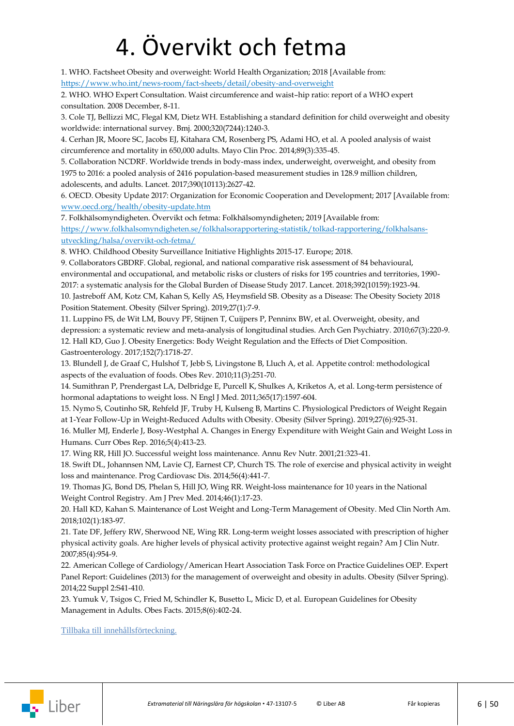## 4. Övervikt och fetma

<span id="page-5-0"></span>1. WHO. Factsheet Obesity and overweight: World Health Organization; 2018 [Available from: <https://www.who.int/news-room/fact-sheets/detail/obesity-and-overweight>

2. WHO. WHO Expert Consultation. Waist circumference and waist–hip ratio: report of a WHO expert consultation. 2008 December, 8-11.

3. Cole TJ, Bellizzi MC, Flegal KM, Dietz WH. Establishing a standard definition for child overweight and obesity worldwide: international survey. Bmj. 2000;320(7244):1240-3.

4. Cerhan JR, Moore SC, Jacobs EJ, Kitahara CM, Rosenberg PS, Adami HO, et al. A pooled analysis of waist circumference and mortality in 650,000 adults. Mayo Clin Proc. 2014;89(3):335-45.

5. Collaboration NCDRF. Worldwide trends in body-mass index, underweight, overweight, and obesity from 1975 to 2016: a pooled analysis of 2416 population-based measurement studies in 128.9 million children, adolescents, and adults. Lancet. 2017;390(10113):2627-42.

6. OECD. Obesity Update 2017: Organization for Economic Cooperation and Development; 2017 [Available from: [www.oecd.org/health/obesity-update.htm](https://www.oecd.org/health/obesity-update.htm)

7. Folkhälsomyndigheten. Övervikt och fetma: Folkhälsomyndigheten; 2019 [Available from:

[https://www.folkhalsomyndigheten.se/folkhalsorapportering-statistik/tolkad-rapportering/folkhalsans](https://www.folkhalsomyndigheten.se/folkhalsorapportering-statistik/tolkad-rapportering/folkhalsans-utveckling/halsa/overvikt-och-fetma/)[utveckling/halsa/overvikt-och-fetma/](https://www.folkhalsomyndigheten.se/folkhalsorapportering-statistik/tolkad-rapportering/folkhalsans-utveckling/halsa/overvikt-och-fetma/)

8. WHO. Childhood Obesity Surveillance Initiative Highlights 2015-17. Europe; 2018.

9. Collaborators GBDRF. Global, regional, and national comparative risk assessment of 84 behavioural, environmental and occupational, and metabolic risks or clusters of risks for 195 countries and territories, 1990- 2017: a systematic analysis for the Global Burden of Disease Study 2017. Lancet. 2018;392(10159):1923-94. 10. Jastreboff AM, Kotz CM, Kahan S, Kelly AS, Heymsfield SB. Obesity as a Disease: The Obesity Society 2018

Position Statement. Obesity (Silver Spring). 2019;27(1):7-9.

11. Luppino FS, de Wit LM, Bouvy PF, Stijnen T, Cuijpers P, Penninx BW, et al. Overweight, obesity, and depression: a systematic review and meta-analysis of longitudinal studies. Arch Gen Psychiatry. 2010;67(3):220-9. 12. Hall KD, Guo J. Obesity Energetics: Body Weight Regulation and the Effects of Diet Composition. Gastroenterology. 2017;152(7):1718-27.

13. Blundell J, de Graaf C, Hulshof T, Jebb S, Livingstone B, Lluch A, et al. Appetite control: methodological aspects of the evaluation of foods. Obes Rev. 2010;11(3):251-70.

14. Sumithran P, Prendergast LA, Delbridge E, Purcell K, Shulkes A, Kriketos A, et al. Long-term persistence of hormonal adaptations to weight loss. N Engl J Med. 2011;365(17):1597-604.

15. Nymo S, Coutinho SR, Rehfeld JF, Truby H, Kulseng B, Martins C. Physiological Predictors of Weight Regain at 1-Year Follow-Up in Weight-Reduced Adults with Obesity. Obesity (Silver Spring). 2019;27(6):925-31.

16. Muller MJ, Enderle J, Bosy-Westphal A. Changes in Energy Expenditure with Weight Gain and Weight Loss in Humans. Curr Obes Rep. 2016;5(4):413-23.

17. Wing RR, Hill JO. Successful weight loss maintenance. Annu Rev Nutr. 2001;21:323-41.

18. Swift DL, Johannsen NM, Lavie CJ, Earnest CP, Church TS. The role of exercise and physical activity in weight loss and maintenance. Prog Cardiovasc Dis. 2014;56(4):441-7.

19. Thomas JG, Bond DS, Phelan S, Hill JO, Wing RR. Weight-loss maintenance for 10 years in the National Weight Control Registry. Am J Prev Med. 2014;46(1):17-23.

20. Hall KD, Kahan S. Maintenance of Lost Weight and Long-Term Management of Obesity. Med Clin North Am. 2018;102(1):183-97.

21. Tate DF, Jeffery RW, Sherwood NE, Wing RR. Long-term weight losses associated with prescription of higher physical activity goals. Are higher levels of physical activity protective against weight regain? Am J Clin Nutr. 2007;85(4):954-9.

22. American College of Cardiology/American Heart Association Task Force on Practice Guidelines OEP. Expert Panel Report: Guidelines (2013) for the management of overweight and obesity in adults. Obesity (Silver Spring). 2014;22 Suppl 2:S41-410.

23. Yumuk V, Tsigos C, Fried M, Schindler K, Busetto L, Micic D, et al. European Guidelines for Obesity Management in Adults. Obes Facts. 2015;8(6):402-24.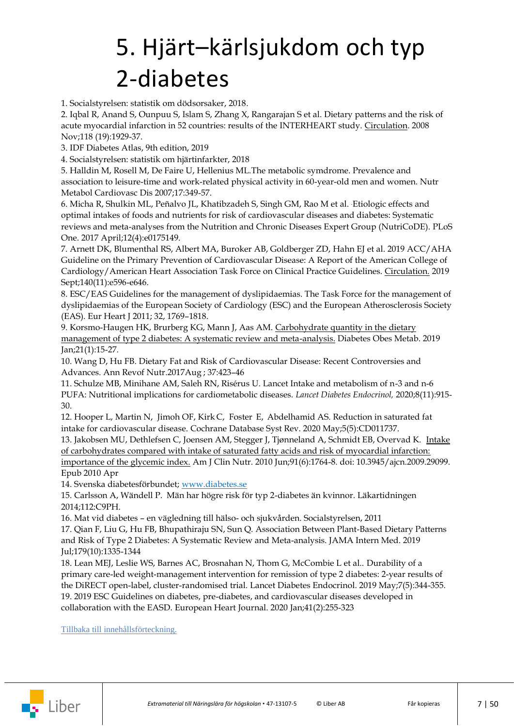## <span id="page-6-0"></span>5. Hjärt–kärlsjukdom och typ 2-diabetes

1. Socialstyrelsen: statistik om dödsorsaker, 2018.

2. Iqbal R, [Anand](https://pubmed.ncbi.nlm.nih.gov/?sort=date&term=Anand+S&cauthor_id=18936332) S[, Ounpuu](https://pubmed.ncbi.nlm.nih.gov/?sort=date&term=Ounpuu+S&cauthor_id=18936332) S, [Islam](https://pubmed.ncbi.nlm.nih.gov/?sort=date&term=Islam+S&cauthor_id=18936332) S, [Zhang](https://pubmed.ncbi.nlm.nih.gov/?sort=date&term=Zhang+X&cauthor_id=18936332) X, [Rangarajan](https://pubmed.ncbi.nlm.nih.gov/?sort=date&term=Rangarajan+S&cauthor_id=18936332) S et al. Dietary patterns and the risk of acute myocardial infarction in 52 countries: results of the INTERHEART study. Circulation. 2008 Nov;118 (19):1929-37.

3. IDF Diabetes Atlas, 9th edition, 2019

4. Socialstyrelsen: statistik om hjärtinfarkter, 2018

5. Halldin M, Rosell M, De Faire U, Hellenius ML.The metabolic symdrome. Prevalence and association to leisure-time and work-related physical activity in 60-year-old men and women. Nutr Metabol Cardiovasc Dis 2007;17:349-57.

6. [Micha R,](https://www.ncbi.nlm.nih.gov/pubmed/?term=Micha%20R%5BAuthor%5D&cauthor=true&cauthor_uid=28448503) [Shulkin ML,](https://www.ncbi.nlm.nih.gov/pubmed/?term=Shulkin%20ML%5BAuthor%5D&cauthor=true&cauthor_uid=28448503) [Peñalvo](https://www.ncbi.nlm.nih.gov/pubmed/?term=Pe%C3%B1alvo%20JL%5BAuthor%5D&cauthor=true&cauthor_uid=28448503) JL[, Khatibzadeh S,](https://www.ncbi.nlm.nih.gov/pubmed/?term=Khatibzadeh%20S%5BAuthor%5D&cauthor=true&cauthor_uid=28448503) [Singh GM,](https://www.ncbi.nlm.nih.gov/pubmed/?term=Singh%20GM%5BAuthor%5D&cauthor=true&cauthor_uid=28448503) [Rao M](https://www.ncbi.nlm.nih.gov/pubmed/?term=Rao%20M%5BAuthor%5D&cauthor=true&cauthor_uid=28448503) et al. .Etiologic effects and optimal intakes of foods and nutrients for risk of cardiovascular diseases and diabetes: Systematic reviews and meta-analyses from the Nutrition and Chronic Diseases Expert Group (NutriCoDE). PLoS One. 2017 April;12(4):e0175149.

7. Arnett DK, Blumenthal RS, Albert MA, Buroker AB, Goldberger ZD, [Hahn EJ](https://www.ncbi.nlm.nih.gov/pubmed/?term=Hahn%20EJ%5BAuthor%5D&cauthor=true&cauthor_uid=30879355) et al. 2019 ACC/AHA Guideline on the Primary Prevention of Cardiovascular Disease: A Report of the American College of Cardiology/American Heart Association Task Force on Clinical Practice Guidelines[. Circulation.](https://www.ncbi.nlm.nih.gov/pubmed/30879355) 2019 Sept;140(11):e596-e646.

8. ESC/EAS Guidelines for the management of dyslipidaemias. The Task Force for the management of dyslipidaemias of the European Society of Cardiology (ESC) and the European Atherosclerosis Society (EAS). Eur Heart J 2011; 32, 1769–1818.

9. Korsmo-Haugen HK, Brurberg KG, Mann J, Aas AM. [Carbohydrate quantity in the dietary](https://pubmed.ncbi.nlm.nih.gov/30098129/)  [management of type 2 diabetes: A systematic review and meta-analysis.](https://pubmed.ncbi.nlm.nih.gov/30098129/) Diabetes Obes Metab. 2019 Jan;21(1):15-27.

10. Wang D, Hu FB. Dietary Fat and Risk of Cardiovascular Disease: Recent Controversies and Advances. Ann Revof Nutr.2017Aug ; 37:423–46

11. Schulze MB, Minihane AM, Saleh RN, Risérus U. Lancet Intake and metabolism of n-3 and n-6 PUFA: Nutritional implications for cardiometabolic diseases. *Lancet Diabetes Endocrinol,* 2020;8(11):915- 30.

12. Hooper L, [Martin](https://pubmed.ncbi.nlm.nih.gov/?sort=date&term=Martin+N&cauthor_id=32428300) N, [Jimoh](https://pubmed.ncbi.nlm.nih.gov/?sort=date&term=Jimoh+OF&cauthor_id=32428300) OF, [Kirk](https://pubmed.ncbi.nlm.nih.gov/?sort=date&term=Kirk+C&cauthor_id=32428300) C, [Foster](https://pubmed.ncbi.nlm.nih.gov/?sort=date&term=Foster+E&cauthor_id=32428300) E, [Abdelhamid](https://pubmed.ncbi.nlm.nih.gov/?sort=date&term=Abdelhamid+AS&cauthor_id=32428300) AS. Reduction in saturated fat intake for cardiovascular disease. Cochrane Database Syst Rev. 2020 May;5(5):CD011737.

13. Jakobsen MU, Dethlefsen C, Joensen AM, Stegger J, Tjønneland A, Schmidt EB, Overvad K. [Intake](https://pubmed.ncbi.nlm.nih.gov/20375186/)  of carbohydrates [compared with intake of saturated fatty acids and risk of myocardial infarction:](https://pubmed.ncbi.nlm.nih.gov/20375186/)  [importance of the glycemic index.](https://pubmed.ncbi.nlm.nih.gov/20375186/) Am J Clin Nutr. 2010 Jun;91(6):1764-8. doi: 10.3945/ajcn.2009.29099. Epub 2010 Apr

14. Svenska diabetesförbundet; [www.diabetes.se](https://www.diabetes.se/)

15. Carlsson A, Wändell P. Män har högre risk för typ 2-diabetes än kvinnor. Läkartidningen 2014;112:C9PH.

16. Mat vid diabetes – en vägledning till hälso- och sjukvården. Socialstyrelsen, 2011

17. Qian F, Liu G, Hu FB, Bhupathiraju SN, Sun Q. [Association Between Plant-Based Dietary Patterns](https://www.ncbi.nlm.nih.gov/pubmed/31329220)  [and Risk of Type 2 Diabetes: A Systematic Review](https://www.ncbi.nlm.nih.gov/pubmed/31329220) and Meta-analysis. JAMA Intern Med. 2019 Jul;179(10):1335-1344

18. Lean MEJ, Leslie WS, Barnes AC, Brosnahan N, Thom G, McCombie L et al.. [Durability of a](https://www.ncbi.nlm.nih.gov/pubmed/30852132)  [primary care-led weight-management intervention for remission of type 2 diabetes: 2-year results of](https://www.ncbi.nlm.nih.gov/pubmed/30852132)  the DiRECT [open-label, cluster-randomised trial.](https://www.ncbi.nlm.nih.gov/pubmed/30852132) Lancet Diabetes Endocrinol. 2019 May;7(5):344-355. 19. 2019 ESC Guidelines on diabetes, pre-diabetes, and cardiovascular diseases developed in collaboration with the EASD. European Heart Journal. 2020 Jan;41(2):255-323

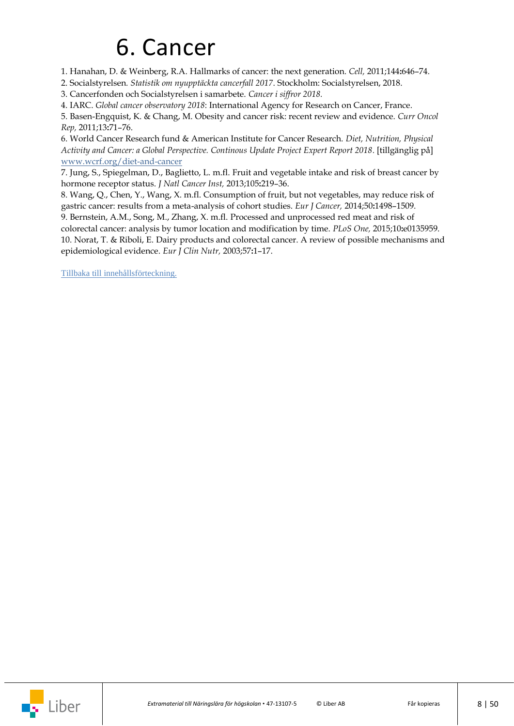### 6. Cancer

<span id="page-7-0"></span>1. Hanahan, D. & Weinberg, R.A. Hallmarks of cancer: the next generation. *Cell,* 2011;144**:**646–74.

2. Socialstyrelsen*. Statistik om nyupptäckta cancerfall 2017*. Stockholm: Socialstyrelsen, 2018.

3. Cancerfonden och Socialstyrelsen i samarbete. *Cancer i siffror 2018.*

4. IARC. *Global cancer observatory 2018*: International Agency for Research on Cancer, France.

5. Basen-Engquist, K. & Chang, M. Obesity and cancer risk: recent review and evidence. *Curr Oncol Rep,* 2011;13**:**71–76.

6. World Cancer Research fund & American Institute for Cancer Research. *Diet, Nutrition, Physical Activity and Cancer: a Global Perspective. Continous Update Project Expert Report 2018.* [tillgänglig på] [www.wcrf.org/diet-and-cancer](https://www.wcrf.org/diet-and-cancer/)

7. Jung, S., Spiegelman, D., Baglietto, L. m.fl. Fruit and vegetable intake and risk of breast cancer by hormone receptor status. *J Natl Cancer Inst,* 2013;105**:**219–36.

8. Wang, Q., Chen, Y., Wang, X. m.fl. Consumption of fruit, but not vegetables, may reduce risk of gastric cancer: results from a meta-analysis of cohort studies. *Eur J Cancer,* 2014;50**:**1498–1509.

9. Bernstein, A.M., Song, M., Zhang, X. m.fl. Processed and unprocessed red meat and risk of colorectal cancer: analysis by tumor location and modification by time. *PLoS One,* 2015;10**:**e0135959. 10. Norat, T. & Riboli, E. Dairy products and colorectal cancer. A review of possible mechanisms and epidemiological evidence. *Eur J Clin Nutr,* 2003;57**:**1–17.

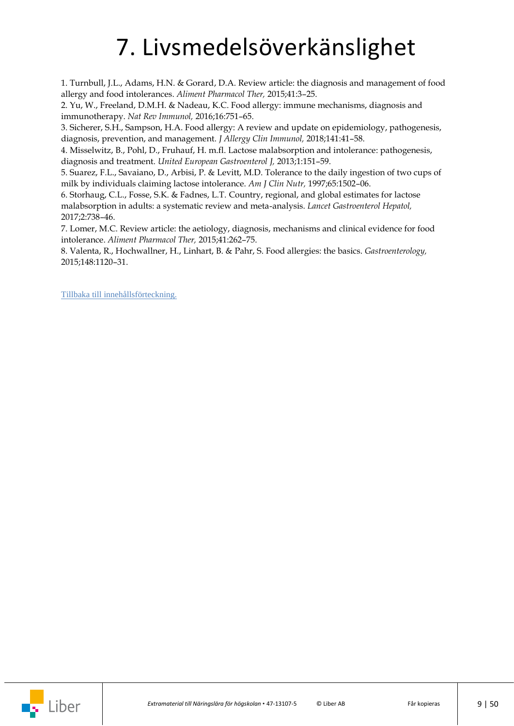## 7. Livsmedelsöverkänslighet

<span id="page-8-0"></span>1. Turnbull, J.L., Adams, H.N. & Gorard, D.A. Review article: the diagnosis and management of food allergy and food intolerances. *Aliment Pharmacol Ther,* 2015;41:3–25.

2. Yu, W., Freeland, D.M.H. & Nadeau, K.C. Food allergy: immune mechanisms, diagnosis and immunotherapy. *Nat Rev Immunol,* 2016;16:751–65.

3. Sicherer, S.H., Sampson, H.A. Food allergy: A review and update on epidemiology, pathogenesis, diagnosis, prevention, and management. *J Allergy Clin Immunol,* 2018;141:41–58.

4. Misselwitz, B., Pohl, D., Fruhauf, H. m.fl. Lactose malabsorption and intolerance: pathogenesis, diagnosis and treatment. *United European Gastroenterol J,* 2013;1:151–59.

5. Suarez, F.L., Savaiano, D., Arbisi, P. & Levitt, M.D. Tolerance to the daily ingestion of two cups of milk by individuals claiming lactose intolerance. *Am J Clin Nutr,* 1997;65:1502–06.

6. Storhaug, C.L., Fosse, S.K. & Fadnes, L.T. Country, regional, and global estimates for lactose malabsorption in adults: a systematic review and meta-analysis. *Lancet Gastroenterol Hepatol,* 2017;2:738–46.

7. Lomer, M.C. Review article: the aetiology, diagnosis, mechanisms and clinical evidence for food intolerance. *Aliment Pharmacol Ther,* 2015;41:262–75.

8. Valenta, R., Hochwallner, H., Linhart, B. & Pahr, S. Food allergies: the basics. *Gastroenterology,* 2015;148:1120–31.

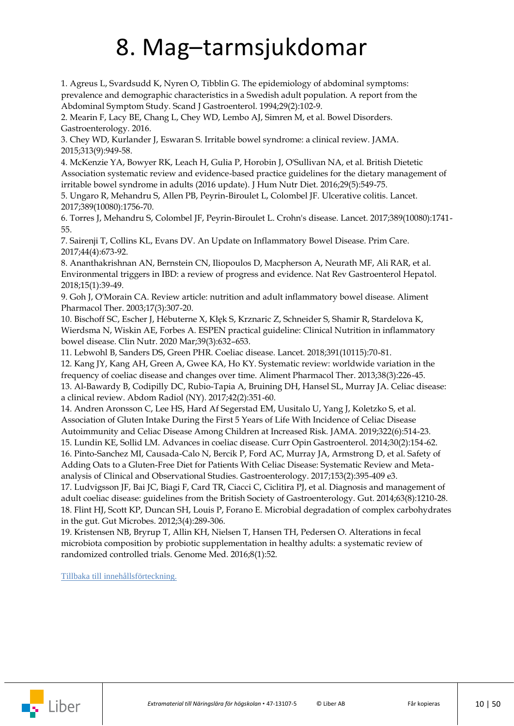### 8. Mag–tarmsjukdomar

<span id="page-9-0"></span>1. Agreus L, Svardsudd K, Nyren O, Tibblin G. The epidemiology of abdominal symptoms: prevalence and demographic characteristics in a Swedish adult population. A report from the Abdominal Symptom Study. Scand J Gastroenterol. 1994;29(2):102-9.

2. Mearin F, Lacy BE, Chang L, Chey WD, Lembo AJ, Simren M, et al. Bowel Disorders. Gastroenterology. 2016.

3. Chey WD, Kurlander J, Eswaran S. Irritable bowel syndrome: a clinical review. JAMA. 2015;313(9):949-58.

4. McKenzie YA, Bowyer RK, Leach H, Gulia P, Horobin J, O'Sullivan NA, et al. British Dietetic Association systematic review and evidence-based practice guidelines for the dietary management of irritable bowel syndrome in adults (2016 update). J Hum Nutr Diet. 2016;29(5):549-75.

5. Ungaro R, Mehandru S, Allen PB, Peyrin-Biroulet L, Colombel JF. Ulcerative colitis. Lancet. 2017;389(10080):1756-70.

6. Torres J, Mehandru S, Colombel JF, Peyrin-Biroulet L. Crohn's disease. Lancet. 2017;389(10080):1741- 55.

7. Sairenji T, Collins KL, Evans DV. An Update on Inflammatory Bowel Disease. Prim Care. 2017;44(4):673-92.

8. Ananthakrishnan AN, Bernstein CN, Iliopoulos D, Macpherson A, Neurath MF, Ali RAR, et al. Environmental triggers in IBD: a review of progress and evidence. Nat Rev Gastroenterol Hepatol. 2018;15(1):39-49.

9. Goh J, O'Morain CA. Review article: nutrition and adult inflammatory bowel disease. Aliment Pharmacol Ther. 2003;17(3):307-20.

10. Bischoff SC, Escher J, Hébuterne X, Kłęk S, Krznaric Z, Schneider S, Shamir R, Stardelova K, Wierdsma N, Wiskin AE, Forbes A. ESPEN practical guideline: Clinical Nutrition in inflammatory bowel disease. Clin Nutr. 2020 Mar;39(3):632–653.

11. Lebwohl B, Sanders DS, Green PHR. Coeliac disease. Lancet. 2018;391(10115):70-81.

12. Kang JY, Kang AH, Green A, Gwee KA, Ho KY. Systematic review: worldwide variation in the frequency of coeliac disease and changes over time. Aliment Pharmacol Ther. 2013;38(3):226-45. 13. Al-Bawardy B, Codipilly DC, Rubio-Tapia A, Bruining DH, Hansel SL, Murray JA. Celiac disease: a clinical review. Abdom Radiol (NY). 2017;42(2):351-60.

14. Andren Aronsson C, Lee HS, Hard Af Segerstad EM, Uusitalo U, Yang J, Koletzko S, et al. Association of Gluten Intake During the First 5 Years of Life With Incidence of Celiac Disease Autoimmunity and Celiac Disease Among Children at Increased Risk. JAMA. 2019;322(6):514-23.

15. Lundin KE, Sollid LM. Advances in coeliac disease. Curr Opin Gastroenterol. 2014;30(2):154-62.

16. Pinto-Sanchez MI, Causada-Calo N, Bercik P, Ford AC, Murray JA, Armstrong D, et al. Safety of Adding Oats to a Gluten-Free Diet for Patients With Celiac Disease: Systematic Review and Metaanalysis of Clinical and Observational Studies. Gastroenterology. 2017;153(2):395-409 e3.

17. Ludvigsson JF, Bai JC, Biagi F, Card TR, Ciacci C, Ciclitira PJ, et al. Diagnosis and management of adult coeliac disease: guidelines from the British Society of Gastroenterology. Gut. 2014;63(8):1210-28. 18. Flint HJ, Scott KP, Duncan SH, Louis P, Forano E. Microbial degradation of complex carbohydrates in the gut. Gut Microbes. 2012;3(4):289-306.

19. Kristensen NB, Bryrup T, Allin KH, Nielsen T, Hansen TH, Pedersen O. Alterations in fecal microbiota composition by probiotic supplementation in healthy adults: a systematic review of randomized controlled trials. Genome Med. 2016;8(1):52.

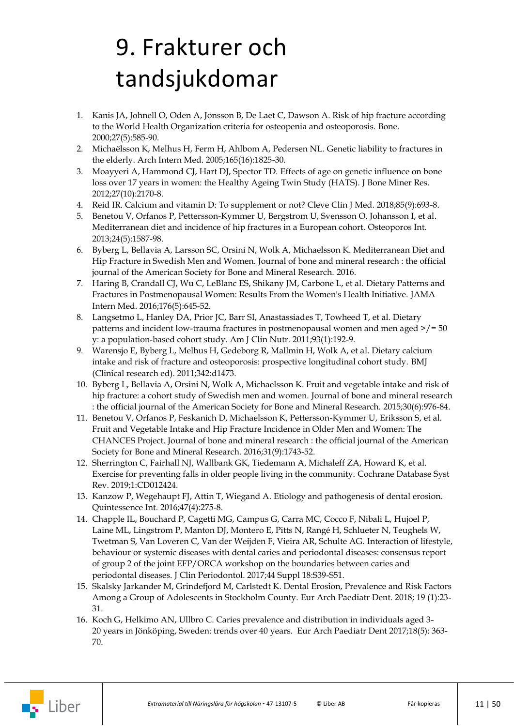## <span id="page-10-0"></span>9. Frakturer och tandsjukdomar

- 1. Kanis JA, Johnell O, Oden A, Jonsson B, De Laet C, Dawson A. Risk of hip fracture according to the World Health Organization criteria for osteopenia and osteoporosis. Bone. 2000;27(5):585-90.
- 2. Michaëlsson K, Melhus H, Ferm H, Ahlbom A, Pedersen NL. Genetic liability to fractures in the elderly. Arch Intern Med. 2005;165(16):1825-30.
- 3. Moayyeri A, Hammond CJ, Hart DJ, Spector TD. Effects of age on genetic influence on bone loss over 17 years in women: the Healthy Ageing Twin Study (HATS). J Bone Miner Res. 2012;27(10):2170-8.
- 4. Reid IR. Calcium and vitamin D: To supplement or not? Cleve Clin J Med. 2018;85(9):693-8.
- 5. Benetou V, Orfanos P, Pettersson-Kymmer U, Bergstrom U, Svensson O, Johansson I, et al. Mediterranean diet and incidence of hip fractures in a European cohort. Osteoporos Int. 2013;24(5):1587-98.
- 6. Byberg L, Bellavia A, Larsson SC, Orsini N, Wolk A, Michaelsson K. Mediterranean Diet and Hip Fracture in Swedish Men and Women. Journal of bone and mineral research : the official journal of the American Society for Bone and Mineral Research. 2016.
- 7. Haring B, Crandall CJ, Wu C, LeBlanc ES, Shikany JM, Carbone L, et al. Dietary Patterns and Fractures in Postmenopausal Women: Results From the Women's Health Initiative. JAMA Intern Med. 2016;176(5):645-52.
- 8. Langsetmo L, Hanley DA, Prior JC, Barr SI, Anastassiades T, Towheed T, et al. Dietary patterns and incident low-trauma fractures in postmenopausal women and men aged  $\ge$ /= 50 y: a population-based cohort study. Am J Clin Nutr. 2011;93(1):192-9.
- 9. Warensjo E, Byberg L, Melhus H, Gedeborg R, Mallmin H, Wolk A, et al. Dietary calcium intake and risk of fracture and osteoporosis: prospective longitudinal cohort study. BMJ (Clinical research ed). 2011;342:d1473.
- 10. Byberg L, Bellavia A, Orsini N, Wolk A, Michaelsson K. Fruit and vegetable intake and risk of hip fracture: a cohort study of Swedish men and women. Journal of bone and mineral research : the official journal of the American Society for Bone and Mineral Research. 2015;30(6):976-84.
- 11. Benetou V, Orfanos P, Feskanich D, Michaelsson K, Pettersson-Kymmer U, Eriksson S, et al. Fruit and Vegetable Intake and Hip Fracture Incidence in Older Men and Women: The CHANCES Project. Journal of bone and mineral research : the official journal of the American Society for Bone and Mineral Research. 2016;31(9):1743-52.
- 12. Sherrington C, Fairhall NJ, Wallbank GK, Tiedemann A, Michaleff ZA, Howard K, et al. Exercise for preventing falls in older people living in the community. Cochrane Database Syst Rev. 2019;1:CD012424.
- 13. [Kanzow P,](https://www.ncbi.nlm.nih.gov/pubmed/?term=Kanzow%20P%5BAuthor%5D&cauthor=true&cauthor_uid=27022647) [Wegehaupt FJ,](https://www.ncbi.nlm.nih.gov/pubmed/?term=Wegehaupt%20FJ%5BAuthor%5D&cauthor=true&cauthor_uid=27022647) [Attin T,](https://www.ncbi.nlm.nih.gov/pubmed/?term=Attin%20T%5BAuthor%5D&cauthor=true&cauthor_uid=27022647) [Wiegand A.](https://www.ncbi.nlm.nih.gov/pubmed/?term=Wiegand%20A%5BAuthor%5D&cauthor=true&cauthor_uid=27022647) Etiology and pathogenesis of dental erosion. [Quintessence Int.](https://www.ncbi.nlm.nih.gov/pubmed/27022647) 2016;47(4):275-8.
- 14. Chapple IL, Bouchard P, Cagetti MG, Campus G, Carra MC, Cocco F, Nibali L, Hujoel P, Laine ML, Lingstrom P, Manton DJ, Montero E, Pitts N, Rangé H, Schlueter N, Teughels W, Twetman S, Van Loveren C, Van der Weijden F, Vieira AR, Schulte AG. [Interaction of lifestyle,](https://www.ncbi.nlm.nih.gov/pubmed/28266114)  [behaviour or systemic diseases with dental caries and periodontal diseases: consensus report](https://www.ncbi.nlm.nih.gov/pubmed/28266114)  [of group 2 of the joint EFP/ORCA workshop on the boundaries between caries and](https://www.ncbi.nlm.nih.gov/pubmed/28266114)  [periodontal diseases.](https://www.ncbi.nlm.nih.gov/pubmed/28266114) J Clin Periodontol. 2017;44 Suppl 18:S39-S51.
- 15. [Skalsky Jarkander](https://pubmed.ncbi.nlm.nih.gov/?term=Skalsky+Jarkander+M&cauthor_id=29327216) M, [Grindefjord](https://pubmed.ncbi.nlm.nih.gov/?term=Grindefjord+M&cauthor_id=29327216) M, [Carlstedt](https://pubmed.ncbi.nlm.nih.gov/?term=Carlstedt+K&cauthor_id=29327216) K. Dental Erosion, Prevalence and Risk Factors Among a Group of Adolescents in Stockholm County. Eur Arch Paediatr Dent. 2018; 19 (1):23- 31.
- 16. [Koch](https://pubmed.ncbi.nlm.nih.gov/?term=Koch+G&cauthor_id=28956292) G, [Helkimo](https://pubmed.ncbi.nlm.nih.gov/?term=Helkimo+AN&cauthor_id=28956292) AN, [Ullbro](https://pubmed.ncbi.nlm.nih.gov/?term=Ullbro+C&cauthor_id=28956292) C. [Caries prevalence and distribution in individuals aged 3-](https://pubmed.ncbi.nlm.nih.gov/28956292/?from_term=caries+prevalence+j%C3%B6nk%C3%B6ping&from_page=1&from_pos=1) 20 [years in Jönköping, Sweden: trends over 40](https://pubmed.ncbi.nlm.nih.gov/28956292/?from_term=caries+prevalence+j%C3%B6nk%C3%B6ping&from_page=1&from_pos=1) years. Eur Arch Paediatr Dent 2017;18(5): 363- 70.

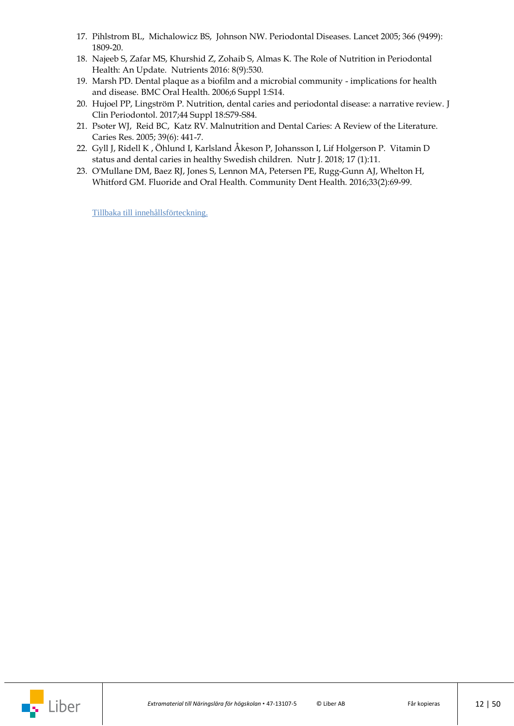- 17. [Pihlstrom](https://pubmed.ncbi.nlm.nih.gov/?term=Pihlstrom+BL&cauthor_id=16298220) BL, [Michalowicz](https://pubmed.ncbi.nlm.nih.gov/?term=Michalowicz+BS&cauthor_id=16298220) BS, [Johnson](https://pubmed.ncbi.nlm.nih.gov/?term=Johnson+NW&cauthor_id=16298220) NW. Periodontal Diseases. Lancet 2005; 366 (9499): 1809-20.
- 18. [Najeeb](https://pubmed.ncbi.nlm.nih.gov/?term=Najeeb+S&cauthor_id=27589794) S, [Zafar](https://pubmed.ncbi.nlm.nih.gov/?term=Zafar+MS&cauthor_id=27589794) MS, [Khurshid](https://pubmed.ncbi.nlm.nih.gov/?term=Khurshid+Z&cauthor_id=27589794) Z, [Zohaib](https://pubmed.ncbi.nlm.nih.gov/?term=Zohaib+S&cauthor_id=27589794) S, [Almas](https://pubmed.ncbi.nlm.nih.gov/?term=Almas+K&cauthor_id=27589794) K. [The Role of Nutrition in Periodontal](https://pubmed.ncbi.nlm.nih.gov/27589794/?from_term=periodontitis+nutrition&from_pos=3)  [Health: An Update.](https://pubmed.ncbi.nlm.nih.gov/27589794/?from_term=periodontitis+nutrition&from_pos=3) Nutrients 2016: 8(9):530.
- 19. Marsh PD. [Dental plaque as a biofilm and a microbial community -](https://www.ncbi.nlm.nih.gov/pubmed/16934115) implications for health [and disease.](https://www.ncbi.nlm.nih.gov/pubmed/16934115) BMC Oral Health. 2006;6 Suppl 1:S14.
- 20. [Hujoel PP,](https://www.ncbi.nlm.nih.gov/pubmed/?term=Hujoel%20PP%5BAuthor%5D&cauthor=true&cauthor_uid=28266117) [Lingström P.](https://www.ncbi.nlm.nih.gov/pubmed/?term=Lingstr%C3%B6m%20P%5BAuthor%5D&cauthor=true&cauthor_uid=28266117) Nutrition, dental caries and periodontal disease: a narrative review. [J](https://www.ncbi.nlm.nih.gov/pubmed/28266117)  [Clin Periodontol.](https://www.ncbi.nlm.nih.gov/pubmed/28266117) 2017;44 Suppl 18:S79-S84.
- 21. [Psoter](https://pubmed.ncbi.nlm.nih.gov/?term=Psoter+WJ&cauthor_id=16251787) WJ, [Reid](https://pubmed.ncbi.nlm.nih.gov/?term=Reid+BC&cauthor_id=16251787) BC, [Katz](https://pubmed.ncbi.nlm.nih.gov/?term=Katz+RV&cauthor_id=16251787) RV. Malnutrition and Dental Caries: A Review of the Literature. Caries Res. 2005; 39(6): 441-7.
- 22. [Gyll](https://pubmed.ncbi.nlm.nih.gov/?term=Gyll+J&cauthor_id=29338758) J[, Ridell](https://pubmed.ncbi.nlm.nih.gov/?term=Ridell+K&cauthor_id=29338758) K [,](https://pubmed.ncbi.nlm.nih.gov/29338758-vitamin-d-status-and-dental-caries-in-healthy-swedish-children/?from_term=caries+d+vitamin&from_pos=3#affiliation-2) [Öhlund](https://pubmed.ncbi.nlm.nih.gov/?term=%C3%96hlund+I&cauthor_id=29338758) I[, Karlsland Åkeson](https://pubmed.ncbi.nlm.nih.gov/?term=Karlsland+%C3%85keson+P&cauthor_id=29338758) P, [Johansson](https://pubmed.ncbi.nlm.nih.gov/?term=Johansson+I&cauthor_id=29338758) I, [Lif Holgerson](https://pubmed.ncbi.nlm.nih.gov/?term=Lif+Holgerson+P&cauthor_id=29338758) P. [Vitamin D](https://pubmed.ncbi.nlm.nih.gov/29338758/?from_term=caries+d+vitamin&from_pos=3)  [status and dental caries in healthy Swedish children.](https://pubmed.ncbi.nlm.nih.gov/29338758/?from_term=caries+d+vitamin&from_pos=3) Nutr J. 2018; 17 (1):11.
- 23. [O'Mullane DM,](https://www.ncbi.nlm.nih.gov/pubmed/?term=O) [Baez RJ,](https://www.ncbi.nlm.nih.gov/pubmed/?term=Baez%20RJ%5BAuthor%5D&cauthor=true&cauthor_uid=27352462) [Jones S,](https://www.ncbi.nlm.nih.gov/pubmed/?term=Jones%20S%5BAuthor%5D&cauthor=true&cauthor_uid=27352462) [Lennon MA,](https://www.ncbi.nlm.nih.gov/pubmed/?term=Lennon%20MA%5BAuthor%5D&cauthor=true&cauthor_uid=27352462) [Petersen PE,](https://www.ncbi.nlm.nih.gov/pubmed/?term=Petersen%20PE%5BAuthor%5D&cauthor=true&cauthor_uid=27352462) [Rugg-Gunn AJ,](https://www.ncbi.nlm.nih.gov/pubmed/?term=Rugg-Gunn%20AJ%5BAuthor%5D&cauthor=true&cauthor_uid=27352462) [Whelton H,](https://www.ncbi.nlm.nih.gov/pubmed/?term=Whelton%20H%5BAuthor%5D&cauthor=true&cauthor_uid=27352462) [Whitford GM.](https://www.ncbi.nlm.nih.gov/pubmed/?term=Whitford%20GM%5BAuthor%5D&cauthor=true&cauthor_uid=27352462) Fluoride and Oral Health. [Community Dent Health.](https://www.ncbi.nlm.nih.gov/pubmed/27352462) 2016;33(2):69-99.

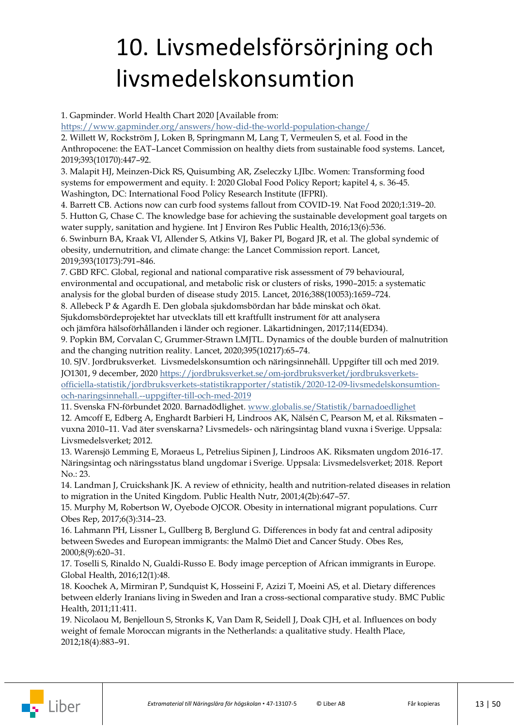## <span id="page-12-0"></span>10. Livsmedelsförsörjning och livsmedelskonsumtion

1. Gapminder. World Health Chart 2020 [Available from:

<https://www.gapminder.org/answers/how-did-the-world-population-change/>

2. Willett W, Rockström J, Loken B, Springmann M, Lang T, Vermeulen S, et al. Food in the Anthropocene: the EAT–Lancet Commission on healthy diets from sustainable food systems. Lancet, 2019;393(10170):447–92.

3. Malapit HJ, Meinzen-Dick RS, Quisumbing AR, Zseleczky LJIbc. Women: Transforming food systems for empowerment and equity. I: 2020 Global Food Policy Report; kapitel 4, s. 36-45. Washington, DC: International Food Policy Research Institute (IFPRI).

4. Barrett CB. Actions now can curb food systems fallout from COVID-19. Nat Food 2020;1:319–20.

5. Hutton G, Chase C. The knowledge base for achieving the sustainable development goal targets on water supply, sanitation and hygiene. Int J Environ Res Public Health, 2016;13(6):536.

6. Swinburn BA, Kraak VI, Allender S, Atkins VJ, Baker PI, Bogard JR, et al. The global syndemic of obesity, undernutrition, and climate change: the Lancet Commission report. Lancet, 2019;393(10173):791–846.

7. GBD RFC. Global, regional and national comparative risk assessment of 79 behavioural, environmental and occupational, and metabolic risk or clusters of risks, 1990–2015: a systematic analysis for the global burden of disease study 2015. Lancet, 2016;388(10053):1659–724.

8. Allebeck P & Agardh E. Den globala sjukdomsbördan har både minskat och ökat.

Sjukdomsbördeprojektet har utvecklats till ett kraftfullt instrument för att analysera

och jämföra hälsoförhållanden i länder och regioner. Läkartidningen, 2017;114(ED34).

9. Popkin BM, Corvalan C, Grummer-Strawn LMJTL. Dynamics of the double burden of malnutrition and the changing nutrition reality. Lancet, 2020;395(10217):65–74.

10. SJV. Jordbruksverket. Livsmedelskonsumtion och näringsinnehåll. Uppgifter till och med 2019. JO1301, 9 december, 2020 [https://jordbruksverket.se/om-jordbruksverket/jordbruksverkets-](https://jordbruksverket.se/om-jordbruksverket/jordbruksverkets-officiella-statistik/jordbruksverkets-statistikrapporter/statistik/2020-12-09-livsmedelskonsumtion-och-naringsinnehall.--uppgifter-till-och-med-2019)

[officiella-statistik/jordbruksverkets-statistikrapporter/statistik/2020-12-09-livsmedelskonsumtion](https://jordbruksverket.se/om-jordbruksverket/jordbruksverkets-officiella-statistik/jordbruksverkets-statistikrapporter/statistik/2020-12-09-livsmedelskonsumtion-och-naringsinnehall.--uppgifter-till-och-med-2019)[och-naringsinnehall.--uppgifter-till-och-med-2019](https://jordbruksverket.se/om-jordbruksverket/jordbruksverkets-officiella-statistik/jordbruksverkets-statistikrapporter/statistik/2020-12-09-livsmedelskonsumtion-och-naringsinnehall.--uppgifter-till-och-med-2019)

11. Svenska FN-förbundet 2020. Barnadödlighet. [www.globalis.se/Statistik/barnadoedlighet](https://www.globalis.se/Statistik/barnadoedlighet)

12. Amcoff E, Edberg A, Enghardt Barbieri H, Lindroos AK, Nälsén C, Pearson M, et al. Riksmaten – vuxna 2010–11. Vad äter svenskarna? Livsmedels- och näringsintag bland vuxna i Sverige. Uppsala: Livsmedelsverket; 2012.

13. Warensjö Lemming E, Moraeus L, Petrelius Sipinen J, Lindroos AK. Riksmaten ungdom 2016-17. Näringsintag och näringsstatus bland ungdomar i Sverige. Uppsala: Livsmedelsverket; 2018. Report No.: 23.

14. Landman J, Cruickshank JK. A review of ethnicity, health and nutrition-related diseases in relation to migration in the United Kingdom. Public Health Nutr, 2001;4(2b):647–57.

15. Murphy M, Robertson W, Oyebode OJCOR. Obesity in international migrant populations. Curr Obes Rep, 2017;6(3):314–23.

16. Lahmann PH, Lissner L, Gullberg B, Berglund G. Differences in body fat and central adiposity between Swedes and European immigrants: the Malmö Diet and Cancer Study. Obes Res, 2000;8(9):620–31.

17. Toselli S, Rinaldo N, Gualdi-Russo E. Body image perception of African immigrants in Europe. Global Health, 2016;12(1):48.

18. Koochek A, Mirmiran P, Sundquist K, Hosseini F, Azizi T, Moeini AS, et al. Dietary differences between elderly Iranians living in Sweden and Iran a cross-sectional comparative study. BMC Public Health, 2011;11:411.

19. Nicolaou M, Benjelloun S, Stronks K, Van Dam R, Seidell J, Doak CJH, et al. Influences on body weight of female Moroccan migrants in the Netherlands: a qualitative study. Health Place, 2012;18(4):883–91.

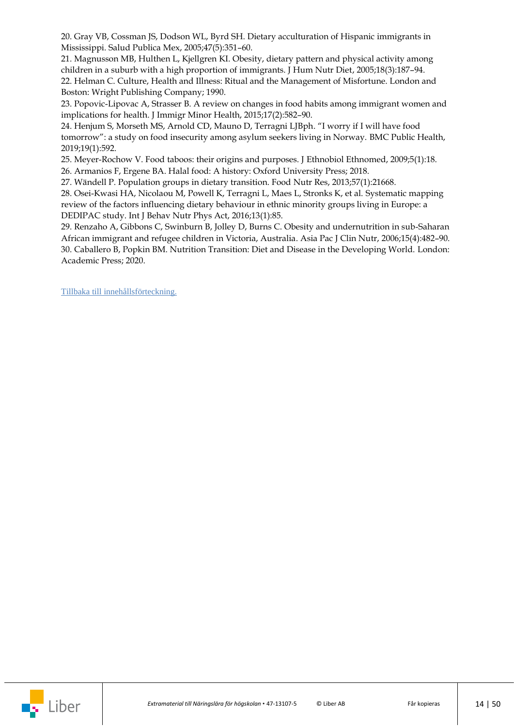20. Gray VB, Cossman JS, Dodson WL, Byrd SH. Dietary acculturation of Hispanic immigrants in Mississippi. Salud Publica Mex, 2005;47(5):351–60.

21. Magnusson MB, Hulthen L, Kjellgren KI. Obesity, dietary pattern and physical activity among children in a suburb with a high proportion of immigrants. J Hum Nutr Diet, 2005;18(3):187–94. 22. Helman C. Culture, Health and Illness: Ritual and the Management of Misfortune. London and Boston: Wright Publishing Company; 1990.

23. Popovic-Lipovac A, Strasser B. A review on changes in food habits among immigrant women and implications for health. J Immigr Minor Health, 2015;17(2):582–90.

24. Henjum S, Morseth MS, Arnold CD, Mauno D, Terragni LJBph. "I worry if I will have food tomorrow": a study on food insecurity among asylum seekers living in Norway. BMC Public Health, 2019;19(1):592.

25. Meyer-Rochow V. Food taboos: their origins and purposes. J Ethnobiol Ethnomed, 2009;5(1):18. 26. Armanios F, Ergene BA. Halal food: A history: Oxford University Press; 2018.

27. Wändell P. Population groups in dietary transition. Food Nutr Res, 2013;57(1):21668.

28. Osei-Kwasi HA, Nicolaou M, Powell K, Terragni L, Maes L, Stronks K, et al. Systematic mapping review of the factors influencing dietary behaviour in ethnic minority groups living in Europe: a DEDIPAC study. Int J Behav Nutr Phys Act, 2016;13(1):85.

29. Renzaho A, Gibbons C, Swinburn B, Jolley D, Burns C. Obesity and undernutrition in sub-Saharan African immigrant and refugee children in Victoria, Australia. Asia Pac J Clin Nutr, 2006;15(4):482–90. 30. Caballero B, Popkin BM. Nutrition Transition: Diet and Disease in the Developing World. London: Academic Press; 2020.

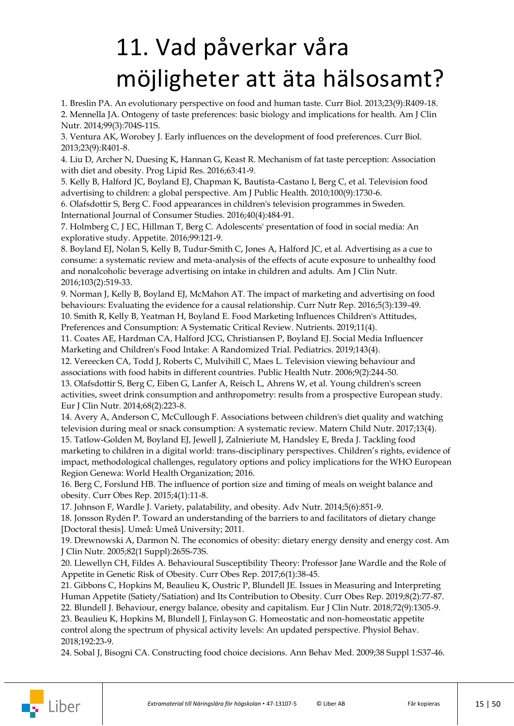## <span id="page-14-0"></span>11. Vad påverkar våra möjligheter att äta hälsosamt?

1. Breslin PA. An evolutionary perspective on food and human taste. Curr Biol. 2013;23(9):R409-18. 2. Mennella JA. Ontogeny of taste preferences: basic biology and implications for health. Am J Clin Nutr. 2014;99(3):704S-11S.

3. Ventura AK, Worobey J. Early influences on the development of food preferences. Curr Biol. 2013;23(9):R401-8.

4. Liu D, Archer N, Duesing K, Hannan G, Keast R. Mechanism of fat taste perception: Association with diet and obesity. Prog Lipid Res. 2016;63:41-9.

5. Kelly B, Halford JC, Boyland EJ, Chapman K, Bautista-Castano I, Berg C, et al. Television food advertising to children: a global perspective. Am J Public Health. 2010;100(9):1730-6.

6. Olafsdottir S, Berg C. Food appearances in children's television programmes in Sweden. International Journal of Consumer Studies. 2016;40(4):484-91.

7. Holmberg C, J EC, Hillman T, Berg C. Adolescents' presentation of food in social media: An explorative study. Appetite. 2016;99:121-9.

8. Boyland EJ, Nolan S, Kelly B, Tudur-Smith C, Jones A, Halford JC, et al. Advertising as a cue to consume: a systematic review and meta-analysis of the effects of acute exposure to unhealthy food and nonalcoholic beverage advertising on intake in children and adults. Am J Clin Nutr. 2016;103(2):519-33.

9. Norman J, Kelly B, Boyland EJ, McMahon AT. The impact of marketing and advertising on food behaviours: Evaluating the evidence for a causal relationship. Curr Nutr Rep. 2016;5(3):139-49. 10. Smith R, Kelly B, Yeatman H, Boyland E. Food Marketing Influences Children's Attitudes, Preferences and Consumption: A Systematic Critical Review. Nutrients. 2019;11(4).

11. Coates AE, Hardman CA, Halford JCG, Christiansen P, Boyland EJ. Social Media Influencer Marketing and Children's Food Intake: A Randomized Trial. Pediatrics. 2019;143(4).

12. Vereecken CA, Todd J, Roberts C, Mulvihill C, Maes L. Television viewing behaviour and associations with food habits in different countries. Public Health Nutr. 2006;9(2):244-50.

13. Olafsdottir S, Berg C, Eiben G, Lanfer A, Reisch L, Ahrens W, et al. Young children's screen activities, sweet drink consumption and anthropometry: results from a prospective European study. Eur J Clin Nutr. 2014;68(2):223-8.

14. Avery A, Anderson C, McCullough F. Associations between children's diet quality and watching television during meal or snack consumption: A systematic review. Matern Child Nutr. 2017;13(4). 15. Tatlow-Golden M, Boyland EJ, Jewell J, Zalnieriute M, Handsley E, Breda J. Tackling food

marketing to children in a digital world: trans-disciplinary perspectives. Children's rights, evidence of impact, methodological challenges, regulatory options and policy implications for the WHO European Region Genewa: World Health Organization; 2016.

16. Berg C, Forslund HB. The influence of portion size and timing of meals on weight balance and obesity. Curr Obes Rep. 2015;4(1):11-8.

17. Johnson F, Wardle J. Variety, palatability, and obesity. Adv Nutr. 2014;5(6):851-9.

18. Jonsson Rydén P. Toward an understanding of the barriers to and facilitators of dietary change [Doctoral thesis]. Umeå: Umeå University; 2011.

19. Drewnowski A, Darmon N. The economics of obesity: dietary energy density and energy cost. Am J Clin Nutr. 2005;82(1 Suppl):265S-73S.

20. Llewellyn CH, Fildes A. Behavioural Susceptibility Theory: Professor Jane Wardle and the Role of Appetite in Genetic Risk of Obesity. Curr Obes Rep. 2017;6(1):38-45.

21. Gibbons C, Hopkins M, Beaulieu K, Oustric P, Blundell JE. Issues in Measuring and Interpreting Human Appetite (Satiety/Satiation) and Its Contribution to Obesity. Curr Obes Rep. 2019;8(2):77-87.

22. Blundell J. Behaviour, energy balance, obesity and capitalism. Eur J Clin Nutr. 2018;72(9):1305-9. 23. Beaulieu K, Hopkins M, Blundell J, Finlayson G. Homeostatic and non-homeostatic appetite control along the spectrum of physical activity levels: An updated perspective. Physiol Behav.

2018;192:23-9.

24. Sobal J, Bisogni CA. Constructing food choice decisions. Ann Behav Med. 2009;38 Suppl 1:S37-46.

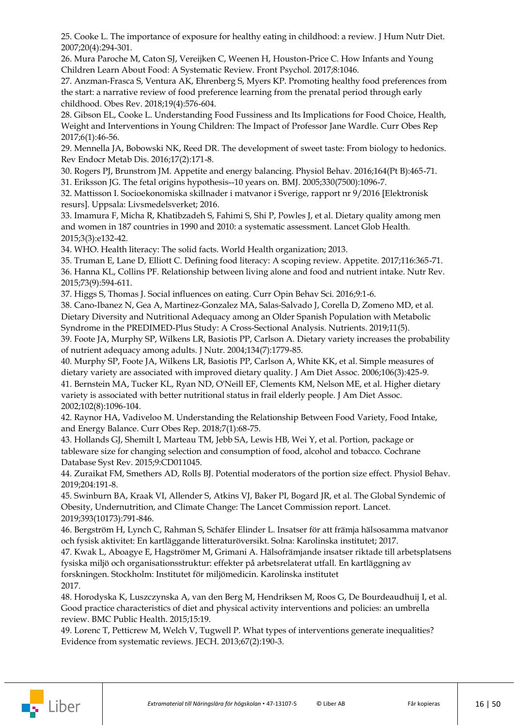25. Cooke L. The importance of exposure for healthy eating in childhood: a review. J Hum Nutr Diet. 2007;20(4):294-301.

26. Mura Paroche M, Caton SJ, Vereijken C, Weenen H, Houston-Price C. How Infants and Young Children Learn About Food: A Systematic Review. Front Psychol. 2017;8:1046.

27. Anzman-Frasca S, Ventura AK, Ehrenberg S, Myers KP. Promoting healthy food preferences from the start: a narrative review of food preference learning from the prenatal period through early childhood. Obes Rev. 2018;19(4):576-604.

28. Gibson EL, Cooke L. Understanding Food Fussiness and Its Implications for Food Choice, Health, Weight and Interventions in Young Children: The Impact of Professor Jane Wardle. Curr Obes Rep 2017;6(1):46-56.

29. Mennella JA, Bobowski NK, Reed DR. The development of sweet taste: From biology to hedonics. Rev Endocr Metab Dis. 2016;17(2):171-8.

30. Rogers PJ, Brunstrom JM. Appetite and energy balancing. Physiol Behav. 2016;164(Pt B):465-71.

31. Eriksson JG. The fetal origins hypothesis--10 years on. BMJ. 2005;330(7500):1096-7.

32. Mattisson I. Socioekonomiska skillnader i matvanor i Sverige, rapport nr 9/2016 [Elektronisk resurs]. Uppsala: Livsmedelsverket; 2016.

33. Imamura F, Micha R, Khatibzadeh S, Fahimi S, Shi P, Powles J, et al. Dietary quality among men and women in 187 countries in 1990 and 2010: a systematic assessment. Lancet Glob Health. 2015;3(3):e132-42.

34. WHO. Health literacy: The solid facts. World Health organization; 2013.

35. Truman E, Lane D, Elliott C. Defining food literacy: A scoping review. Appetite. 2017;116:365-71. 36. Hanna KL, Collins PF. Relationship between living alone and food and nutrient intake. Nutr Rev. 2015;73(9):594-611.

37. Higgs S, Thomas J. Social influences on eating. Curr Opin Behav Sci. 2016;9:1-6.

38. Cano-Ibanez N, Gea A, Martinez-Gonzalez MA, Salas-Salvado J, Corella D, Zomeno MD, et al. Dietary Diversity and Nutritional Adequacy among an Older Spanish Population with Metabolic Syndrome in the PREDIMED-Plus Study: A Cross-Sectional Analysis. Nutrients. 2019;11(5).

39. Foote JA, Murphy SP, Wilkens LR, Basiotis PP, Carlson A. Dietary variety increases the probability of nutrient adequacy among adults. J Nutr. 2004;134(7):1779-85.

40. Murphy SP, Foote JA, Wilkens LR, Basiotis PP, Carlson A, White KK, et al. Simple measures of dietary variety are associated with improved dietary quality. J Am Diet Assoc. 2006;106(3):425-9.

41. Bernstein MA, Tucker KL, Ryan ND, O'Neill EF, Clements KM, Nelson ME, et al. Higher dietary variety is associated with better nutritional status in frail elderly people. J Am Diet Assoc. 2002;102(8):1096-104.

42. Raynor HA, Vadiveloo M. Understanding the Relationship Between Food Variety, Food Intake, and Energy Balance. Curr Obes Rep. 2018;7(1):68-75.

43. Hollands GJ, Shemilt I, Marteau TM, Jebb SA, Lewis HB, Wei Y, et al. Portion, package or tableware size for changing selection and consumption of food, alcohol and tobacco. Cochrane Database Syst Rev. 2015;9:CD011045.

44. Zuraikat FM, Smethers AD, Rolls BJ. Potential moderators of the portion size effect. Physiol Behav. 2019;204:191-8.

45. Swinburn BA, Kraak VI, Allender S, Atkins VJ, Baker PI, Bogard JR, et al. The Global Syndemic of Obesity, Undernutrition, and Climate Change: The Lancet Commission report. Lancet. 2019;393(10173):791-846.

46. Bergström H, Lynch C, Rahman S, Schäfer Elinder L. Insatser för att främja hälsosamma matvanor och fysisk aktivitet: En kartläggande litteraturöversikt. Solna: Karolinska institutet; 2017.

47. Kwak L, Aboagye E, Hagströmer M, Grimani A. Hälsofrämjande insatser riktade till arbetsplatsens fysiska miljö och organisationsstruktur: effekter på arbetsrelaterat utfall. En kartläggning av forskningen. Stockholm: Institutet för miljömedicin. Karolinska institutet 2017.

48. Horodyska K, Luszczynska A, van den Berg M, Hendriksen M, Roos G, De Bourdeaudhuij I, et al. Good practice characteristics of diet and physical activity interventions and policies: an umbrella review. BMC Public Health. 2015;15:19.

49. Lorenc T, Petticrew M, Welch V, Tugwell P. What types of interventions generate inequalities? Evidence from systematic reviews. JECH. 2013;67(2):190-3.

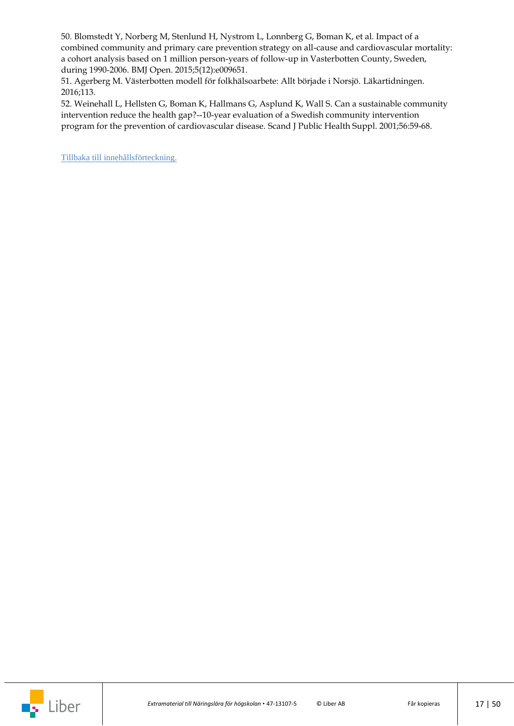50. Blomstedt Y, Norberg M, Stenlund H, Nystrom L, Lonnberg G, Boman K, et al. Impact of a combined community and primary care prevention strategy on all-cause and cardiovascular mortality: a cohort analysis based on 1 million person-years of follow-up in Vasterbotten County, Sweden, during 1990-2006. BMJ Open. 2015;5(12):e009651.

51. Agerberg M. Västerbotten modell för folkhälsoarbete: Allt började i Norsjö. Läkartidningen. 2016;113.

52. Weinehall L, Hellsten G, Boman K, Hallmans G, Asplund K, Wall S. Can a sustainable community intervention reduce the health gap?--10-year evaluation of a Swedish community intervention program for the prevention of cardiovascular disease. Scand J Public Health Suppl. 2001;56:59-68.

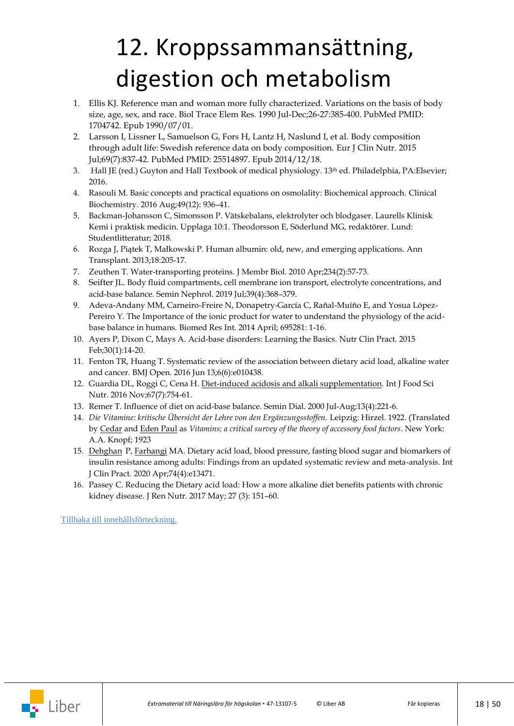## <span id="page-17-0"></span>12. Kroppssammansättning, digestion och metabolism

- 1. Ellis KJ. Reference man and woman more fully characterized. Variations on the basis of body size, age, sex, and race. Biol Trace Elem Res. 1990 Jul-Dec;26-27:385-400. PubMed PMID: 1704742. Epub 1990/07/01.
- 2. Larsson I, Lissner L, Samuelson G, Fors H, Lantz H, Naslund I, et al. Body composition through adult life: Swedish reference data on body composition. Eur J Clin Nutr. 2015 Jul;69(7):837-42. PubMed PMID: 25514897. Epub 2014/12/18.
- 3. Hall JE (red.) Guyton and Hall Textbook of medical physiology. 13<sup>th</sup> ed. Philadelphia, PA: Elsevier; 2016.
- 4. Rasouli M. Basic concepts and practical equations on osmolality: Biochemical approach. Clinical Biochemistry. 2016 Aug[;49\(12\)](https://www.sciencedirect.com/science/journal/00099120/49/12): 936–41.
- 5. Backman-Johansson C, Simonsson P. Vätskebalans, elektrolyter och blodgaser. Laurells Klinisk Kemi i praktisk medicin. Upplaga 10:1. Theodorsson E, Söderlund MG, redaktörer. Lund: Studentlitteratur; 2018.
- 6. Rozga J, Piątek T, Małkowski P. Human albumin: old, new, and emerging applications. Ann Transplant. 2013;18:205-17.
- 7. Zeuthen T. Water-transporting proteins. J Membr Biol. 2010 Apr;234(2):57-73.
- 8. [Seifter](https://pubmed-ncbi-nlm-nih-gov.ezproxy.its.uu.se/?term=Seifter+JL&cauthor_id=31300092) JL. Body fluid compartments, cell membrane ion transport, electrolyte concentrations, and acid-base balance. Semin Nephrol. 2019 Jul;39(4):368–379.
- 9. Adeva-Andany MM, Carneiro-Freire N, Donapetry-García C, Rañal-Muíño E, and Yosua López-Pereiro Y. The Importance of the ionic product for water to understand the physiology of the acidbase balance in humans. Biomed Res Int. 2014 April; 695281: 1-16.
- 10. Ayers P, Dixon C, Mays A. Acid-base disorders: Learning the Basics. Nutr Clin Pract. 2015 Feb;30(1):14-20.
- 11. Fenton TR, Huang T. Systematic review of the association between dietary acid load, alkaline water and cancer. BMJ Open. 2016 Jun 13;6(6):e010438.
- 12. Guardia DL, Roggi C, Cena H[. Diet-induced acidosis and alkali supplementation.](https://pubmed-ncbi-nlm-nih-gov.ezproxy.its.uu.se/27338594/) Int J Food Sci Nutr. 2016 Nov;67(7):754-61.
- 13. [Remer T.](https://www-ncbi-nlm-nih-gov.ezproxy.its.uu.se/pubmed/?term=Remer%20T%5BAuthor%5D&cauthor=true&cauthor_uid=10923348) Influence of diet on acid-base balance. [Semin Dial.](https://www-ncbi-nlm-nih-gov.ezproxy.its.uu.se/pubmed/10923348) 2000 Jul-Aug;13(4):221-6.
- 14. *Die Vitamine: kritische Übersicht der Lehre von den Ergänzungsstoffen.* Leipzig: Hirzel. 1922. (Translated by [Cedar](https://everything.explained.today/Cedar_Paul/) and [Eden Paul](https://everything.explained.today/Eden_Paul/) as *Vitamins; a critical survey of the theory of accessory food factors*. New York: A.A. Knopf; 1923
- 15. [Dehghan](https://pubmed-ncbi-nlm-nih-gov.ezproxy.its.uu.se/?term=Dehghan+P&cauthor_id=31884719) P, [Farhangi](https://pubmed-ncbi-nlm-nih-gov.ezproxy.its.uu.se/?term=Abbasalizad+Farhangi+M&cauthor_id=31884719) MA. Dietary acid load, blood pressure, fasting blood sugar and biomarkers of insulin resistance among adults: Findings from an updated systematic review and meta-analysis. Int J Clin Pract. 2020 Apr;74(4):e13471.
- 16. Passey C. Reducing the Dietary acid load: How a more alkaline diet benefits patients with chronic kidney disease. J Ren Nutr. 2017 May; 27 (3): 151–60.

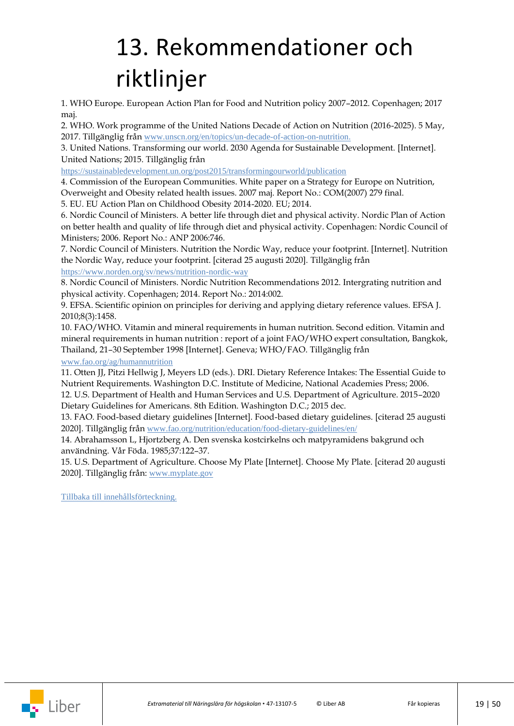## <span id="page-18-0"></span>13. Rekommendationer och riktlinjer

1. WHO Europe. European Action Plan for Food and Nutrition policy 2007–2012. Copenhagen; 2017 maj.

2. WHO. Work programme of the United Nations Decade of Action on Nutrition (2016-2025). 5 May, 2017. Tillgänglig från [www.unscn.org/en/topics/un-decade-of-action-on-nutrition.](https://www.unscn.org/en/topics/un-decade-of-action-on-nutrition)

3. United Nations. Transforming our world. 2030 Agenda for Sustainable Development. [Internet]. United Nations; 2015. Tillgänglig från

<https://sustainabledevelopment.un.org/post2015/transformingourworld/publication>

4. Commission of the European Communities. White paper on a Strategy for Europe on Nutrition, Overweight and Obesity related health issues. 2007 maj. Report No.: COM(2007) 279 final.

5. EU. EU Action Plan on Childhood Obesity 2014-2020. EU; 2014.

6. Nordic Council of Ministers. A better life through diet and physical activity. Nordic Plan of Action on better health and quality of life through diet and physical activity. Copenhagen: Nordic Council of Ministers; 2006. Report No.: ANP 2006:746.

7. Nordic Council of Ministers. Nutrition the Nordic Way, reduce your footprint. [Internet]. Nutrition the Nordic Way, reduce your footprint. [citerad 25 augusti 2020]. Tillgänglig från

<https://www.norden.org/sv/news/nutrition-nordic-way>

8. Nordic Council of Ministers. Nordic Nutrition Recommendations 2012. Intergrating nutrition and physical activity. Copenhagen; 2014. Report No.: 2014:002.

9. EFSA. Scientific opinion on principles for deriving and applying dietary reference values. EFSA J. 2010;8(3):1458.

10. FAO/WHO. Vitamin and mineral requirements in human nutrition. Second edition. Vitamin and mineral requirements in human nutrition : report of a joint FAO/WHO expert consultation, Bangkok, Thailand, 21–30 September 1998 [Internet]. Geneva; WHO/FAO. Tillgänglig från

[www.fao.org/ag/humannutrition](http://www.fao.org/ag/humannutrition/36659-04427f866c8b2539d8e47d408cad5f3f9.pdf)

11. Otten JJ, Pitzi Hellwig J, Meyers LD (eds.). DRI. Dietary Reference Intakes: The Essential Guide to Nutrient Requirements. Washington D.C. Institute of Medicine, National Academies Press; 2006. 12. U.S. Department of Health and Human Services and U.S. Department of Agriculture. 2015–2020 Dietary Guidelines for Americans. 8th Edition. Washington D.C.; 2015 dec.

13. FAO. Food-based dietary guidelines [Internet]. Food-based dietary guidelines. [citerad 25 augusti 2020]. Tillgänglig från [www.fao.org/nutrition/education/food-dietary-guidelines/en/](http://www.fao.org/nutrition/education/food-dietary-guidelines/en/)

14. Abrahamsson L, Hjortzberg A. Den svenska kostcirkelns och matpyramidens bakgrund och användning. Vår Föda. 1985;37:122–37.

15. U.S. Department of Agriculture. Choose My Plate [Internet]. Choose My Plate. [citerad 20 augusti 2020]. Tillgänglig från: [www.myplate.gov](https://www.myplate.gov/)

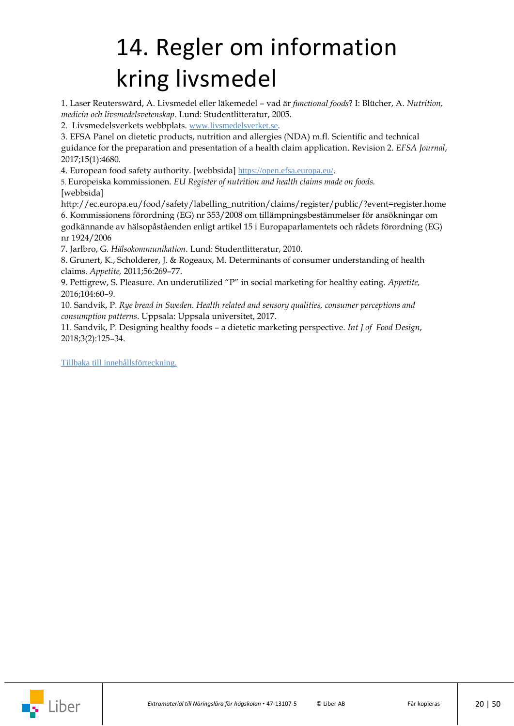## <span id="page-19-0"></span>14. Regler om information kring livsmedel

1. Laser Reuterswärd, A. Livsmedel eller läkemedel – vad är *functional foods*? I: Blücher, A. *Nutrition, medicin och livsmedelsvetenskap*. Lund: Studentlitteratur, 2005.

2. Livsmedelsverkets webbplats. [www.livsmedelsverket.se](http://www.livsmedelsverket.se/).

3. EFSA Panel on dietetic products, nutrition and allergies (NDA) m.fl. Scientific and technical guidance for the preparation and presentation of a health claim application. Revision 2. *EFSA Journal*, 2017;15(1):4680.

4. European food safety authority. [webbsida] <https://open.efsa.europa.eu/>.

5. Europeiska kommissionen. *EU Register of nutrition and health claims made on foods.* [webbsida]

http://ec.europa.eu/food/safety/labelling\_nutrition/claims/register/public/?event=register.home 6. Kommissionens förordning (EG) nr 353/2008 om tillämpningsbestämmelser för ansökningar om godkännande av hälsopåståenden enligt artikel 15 i Europaparlamentets och rådets förordning (EG) nr 1924/2006

7. Jarlbro, G. *Hälsokommunikation*. Lund: Studentlitteratur, 2010.

8. Grunert, K., Scholderer, J. & Rogeaux, M. Determinants of consumer understanding of health claims. *Appetite,* 2011;56:269–77.

9. Pettigrew, S. Pleasure. An underutilized "P" in social marketing for healthy eating. *Appetite,* 2016;104:60–9.

10. Sandvik, P. *Rye bread in Sweden. Health related and sensory qualities, consumer perceptions and consumption patterns*. Uppsala: Uppsala universitet, 2017.

11. Sandvik, P. Designing healthy foods – a dietetic marketing perspective. *Int J of Food Design*, 2018;3(2):125–34.

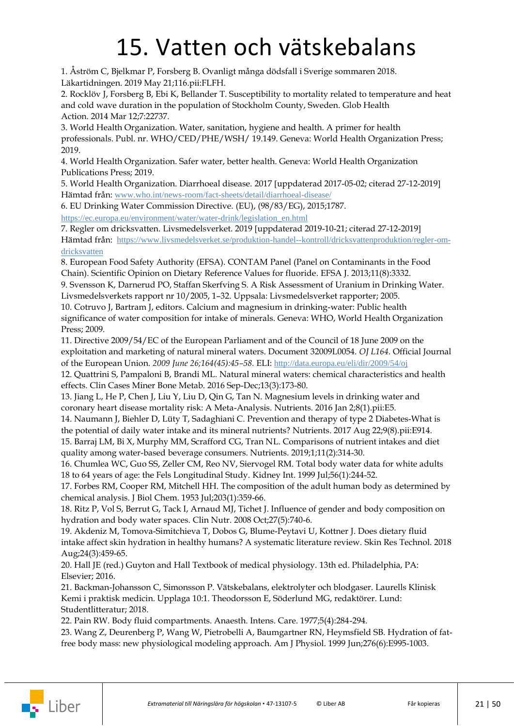### 15. Vatten och vätskebalans

<span id="page-20-0"></span>1. Åström C, Bjelkmar P, Forsberg B. Ovanligt många dödsfall i Sverige sommaren 2018. Läkartidningen. 2019 May 21;116.pii:FLFH.

2. Rocklöv J, Forsberg B, Ebi K, Bellander T. Susceptibility to mortality related to temperature and heat and cold wave duration in the population of Stockholm County, Sweden. [Glob Health](https://www-ncbi-nlm-nih-gov.ezproxy.its.uu.se/pubmed/?term=Rockl%C3%B6v+J+Forsberg+B+Temperature+2014)  [Action.](https://www-ncbi-nlm-nih-gov.ezproxy.its.uu.se/pubmed/?term=Rockl%C3%B6v+J+Forsberg+B+Temperature+2014) 2014 Mar 12;7:22737.

3. World Health Organization. Water, sanitation, hygiene and health. A primer for health professionals. Publ. nr. WHO/CED/PHE/WSH/ 19.149. Geneva: World Health Organization Press; 2019.

4. World Health Organization. Safer water, better health. Geneva: World Health Organization Publications Press; 2019.

5. World Health Organization. Diarrhoeal disease. 2017 [uppdaterad 2017-05-02; citerad 27-12-2019] Hämtad från: [www.who.int/news-room/fact-sheets/detail/diarrhoeal-disease/](https://www.who.int/news-room/fact-sheets/detail/diarrhoeal-disease/)

6. EU Drinking Water Commission Directive. (EU), (98/83/EG), 2015;1787.

[https://ec.europa.eu/environment/water/water-drink/legislation\\_en.html](https://ec.europa.eu/environment/water/water-drink/legislation_en.html)

7. Regler om dricksvatten. Livsmedelsverket. 2019 uppdaterad 2019-10-21; citerad 27-12-2019 Hämtad från: [https://www.livsmedelsverket.se/produktion-handel--kontroll/dricksvattenproduktion/regler-om](https://www.livsmedelsverket.se/produktion-handel--kontroll/dricksvattenproduktion/regler-om-dricksvatten)[dricksvatten](https://www.livsmedelsverket.se/produktion-handel--kontroll/dricksvattenproduktion/regler-om-dricksvatten)

8. European Food Safety Authority (EFSA). CONTAM Panel (Panel on Contaminants in the Food Chain). [Scientific Opinion on Dietary Reference Values for fluoride.](https://efsa.onlinelibrary.wiley.com/doi/pdf/10.2903/j.efsa.2013.3332) EFSA J. 2013;11(8):3332.

9. Svensson K, Darnerud PO, Staffan Skerfving S. A Risk Assessment of Uranium in Drinking Water. Livsmedelsverkets rapport nr 10/2005, 1–32. Uppsala: Livsmedelsverket rapporter; 2005.

10. Cotruvo J, Bartram J, editors. Calcium and magnesium in drinking-water: Public health significance of water composition for intake of minerals. Geneva: WHO, World Health Organization Press; 2009.

11. Directive 2009/54/EC of the European Parliament and of the Council of 18 June 2009 on the exploitation and marketing of natural mineral waters. Document 32009L0054. *OJ L164.* Official Journal of the European Union. *2009 June 26;164(45):45–58.* ELI: <http://data.europa.eu/eli/dir/2009/54/oj>

12. [Quattrini S,](https://www-ncbi-nlm-nih-gov.ezproxy.its.uu.se/pubmed/?term=Quattrini%20S%5BAuthor%5D&cauthor=true&cauthor_uid=28228777) [Pampaloni B,](https://www-ncbi-nlm-nih-gov.ezproxy.its.uu.se/pubmed/?term=Pampaloni%20B%5BAuthor%5D&cauthor=true&cauthor_uid=28228777) [Brandi ML.](https://www-ncbi-nlm-nih-gov.ezproxy.its.uu.se/pubmed/?term=Brandi%20ML%5BAuthor%5D&cauthor=true&cauthor_uid=28228777) Natural mineral waters: chemical characteristics and health effects. [Clin Cases Miner Bone Metab.](https://www-ncbi-nlm-nih-gov.ezproxy.its.uu.se/pubmed/?term=Quattrini+S%2C+Pampaloni+B+Natrual+mineral+waters+2016) 2016 Sep-Dec;13(3):173-80.

13. Jiang L, He P, Chen J, Liu Y, Liu D, Qin G, Tan N. Magnesium levels in drinking water and coronary heart disease mortality risk: A Meta-Analysis. [Nutrients.](https://www-ncbi-nlm-nih-gov.ezproxy.its.uu.se/pubmed/?term=Jiang+L+drinking+water+magnesium+2016) 2016 Jan 2;8(1).pii:E5.

14. [Naumann J,](https://www-ncbi-nlm-nih-gov.ezproxy.its.uu.se/pubmed/?term=Naumann%20J%5BAuthor%5D&cauthor=true&cauthor_uid=28829398) [Biehler D,](https://www-ncbi-nlm-nih-gov.ezproxy.its.uu.se/pubmed/?term=Biehler%20D%5BAuthor%5D&cauthor=true&cauthor_uid=28829398) [Lüty T,](https://www-ncbi-nlm-nih-gov.ezproxy.its.uu.se/pubmed/?term=L%C3%BCty%20T%5BAuthor%5D&cauthor=true&cauthor_uid=28829398) [Sadaghiani C.](https://www-ncbi-nlm-nih-gov.ezproxy.its.uu.se/pubmed/?term=Sadaghiani%20C%5BAuthor%5D&cauthor=true&cauthor_uid=28829398) Prevention and therapy of type 2 Diabetes-What is the potential of daily water intake and its mineral nutrients? [Nutrients.](https://www-ncbi-nlm-nih-gov.ezproxy.its.uu.se/pubmed/?term=Naumann+J%2C+Biehler+D+diabetes+2017) 2017 Aug 22;9(8).pii:E914.

15. Barraj LM, Bi X, Murphy MM, Scrafford CG, Tran NL. Comparisons of nutrient intakes and diet quality among water-based beverage consumers. Nutrients. 2019;1;11(2):314-30.

16. [Chumlea WC,](https://www-ncbi-nlm-nih-gov.ezproxy.its.uu.se/pubmed/?term=Chumlea%20WC%5BAuthor%5D&cauthor=true&cauthor_uid=10411699) [Guo SS,](https://www-ncbi-nlm-nih-gov.ezproxy.its.uu.se/pubmed/?term=Guo%20SS%5BAuthor%5D&cauthor=true&cauthor_uid=10411699) [Zeller CM,](https://www-ncbi-nlm-nih-gov.ezproxy.its.uu.se/pubmed/?term=Zeller%20CM%5BAuthor%5D&cauthor=true&cauthor_uid=10411699) [Reo NV,](https://www-ncbi-nlm-nih-gov.ezproxy.its.uu.se/pubmed/?term=Reo%20NV%5BAuthor%5D&cauthor=true&cauthor_uid=10411699) [Siervogel RM.](https://www-ncbi-nlm-nih-gov.ezproxy.its.uu.se/pubmed/?term=Siervogel%20RM%5BAuthor%5D&cauthor=true&cauthor_uid=10411699) Total body water data for white adults 18 to 64 years of age: the Fels Longitudinal Study. [Kidney Int.](https://www-ncbi-nlm-nih-gov.ezproxy.its.uu.se/pubmed/10411699) 1999 Jul;56(1):244-52.

17. Forbes RM, Cooper RM, Mitchell HH. The composition of the adult human body as determined by chemical analysis. J Biol Chem. 1953 Jul;203(1):359-66.

18. [Ritz P,](https://www-ncbi-nlm-nih-gov.ezproxy.its.uu.se/pubmed/?term=Ritz%20P%5BAuthor%5D&cauthor=true&cauthor_uid=18774628) [Vol S,](https://www-ncbi-nlm-nih-gov.ezproxy.its.uu.se/pubmed/?term=Vol%20S%5BAuthor%5D&cauthor=true&cauthor_uid=18774628) [Berrut G,](https://www-ncbi-nlm-nih-gov.ezproxy.its.uu.se/pubmed/?term=Berrut%20G%5BAuthor%5D&cauthor=true&cauthor_uid=18774628) [Tack I,](https://www-ncbi-nlm-nih-gov.ezproxy.its.uu.se/pubmed/?term=Tack%20I%5BAuthor%5D&cauthor=true&cauthor_uid=18774628) [Arnaud MJ,](https://www-ncbi-nlm-nih-gov.ezproxy.its.uu.se/pubmed/?term=Arnaud%20MJ%5BAuthor%5D&cauthor=true&cauthor_uid=18774628) [Tichet J.](https://www-ncbi-nlm-nih-gov.ezproxy.its.uu.se/pubmed/?term=Tichet%20J%5BAuthor%5D&cauthor=true&cauthor_uid=18774628) Influence of gender and body composition on hydration and body water spaces. [Clin Nutr.](https://www-ncbi-nlm-nih-gov.ezproxy.its.uu.se/pubmed/18774628) 2008 Oct;27(5):740-6.

19. [Akdeniz M,](https://www-ncbi-nlm-nih-gov.ezproxy.its.uu.se/pubmed/?term=Akdeniz%20M%5BAuthor%5D&cauthor=true&cauthor_uid=29392767) [Tomova-Simitchieva T,](https://www-ncbi-nlm-nih-gov.ezproxy.its.uu.se/pubmed/?term=Tomova-Simitchieva%20T%5BAuthor%5D&cauthor=true&cauthor_uid=29392767) [Dobos G,](https://www-ncbi-nlm-nih-gov.ezproxy.its.uu.se/pubmed/?term=Dobos%20G%5BAuthor%5D&cauthor=true&cauthor_uid=29392767) [Blume-Peytavi U,](https://www-ncbi-nlm-nih-gov.ezproxy.its.uu.se/pubmed/?term=Blume-Peytavi%20U%5BAuthor%5D&cauthor=true&cauthor_uid=29392767) [Kottner J.](https://www-ncbi-nlm-nih-gov.ezproxy.its.uu.se/pubmed/?term=Kottner%20J%5BAuthor%5D&cauthor=true&cauthor_uid=29392767) Does dietary fluid intake affect skin hydration in healthy humans? A systematic literature review. [Skin Res Technol.](https://www-ncbi-nlm-nih-gov.ezproxy.its.uu.se/pubmed/29392767) 2018 Aug;24(3):459-65.

20. Hall JE (red.) Guyton and Hall Textbook of medical physiology. 13th ed. Philadelphia, PA: Elsevier; 2016.

21. Backman-Johansson C, Simonsson P. Vätskebalans, elektrolyter och blodgaser. Laurells Klinisk Kemi i praktisk medicin. Upplaga 10:1. Theodorsson E, Söderlund MG, redaktörer. Lund: Studentlitteratur; 2018.

22. Pain RW. Body fluid compartments. Anaesth. Intens. Care. 1977;5(4):284-294.

23. [Wang](https://www-ncbi-nlm-nih-gov.ezproxy.its.uu.se/pubmed/?term=Wang%20Z%5BAuthor%5D&cauthor=true&cauthor_uid=10362610) Z, [Deurenberg P,](https://www-ncbi-nlm-nih-gov.ezproxy.its.uu.se/pubmed/?term=Deurenberg%20P%5BAuthor%5D&cauthor=true&cauthor_uid=10362610) [Wang](https://www-ncbi-nlm-nih-gov.ezproxy.its.uu.se/pubmed/?term=Wang%20W%5BAuthor%5D&cauthor=true&cauthor_uid=10362610) W, [Pietrobelli A,](https://www-ncbi-nlm-nih-gov.ezproxy.its.uu.se/pubmed/?term=Pietrobelli%20A%5BAuthor%5D&cauthor=true&cauthor_uid=10362610) [Baumgartner RN,](https://www-ncbi-nlm-nih-gov.ezproxy.its.uu.se/pubmed/?term=Baumgartner%20RN%5BAuthor%5D&cauthor=true&cauthor_uid=10362610) [Heymsfield](https://www-ncbi-nlm-nih-gov.ezproxy.its.uu.se/pubmed/?term=Heymsfield%20SB%5BAuthor%5D&cauthor=true&cauthor_uid=10362610) SB. Hydration of fatfree body mass: new physiological modeling approach. Am J Physiol. 1999 Jun;276(6):E995-1003.

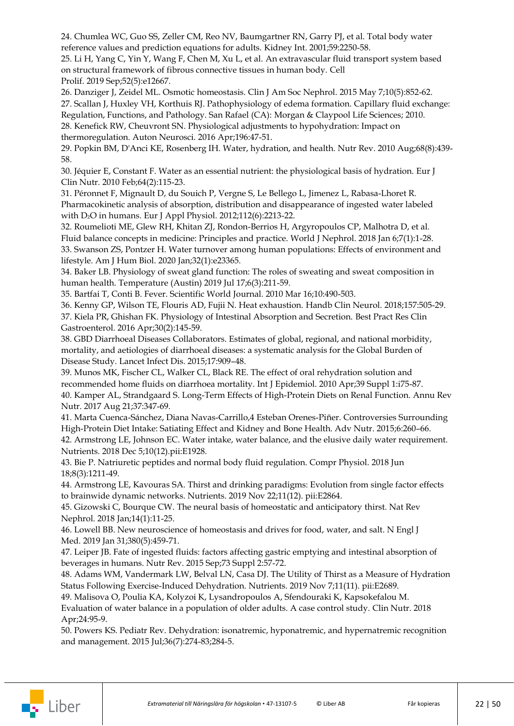24. Chumlea WC, Guo SS, Zeller CM, Reo NV, Baumgartner RN, Garry PJ, et al. Total body water reference values and prediction equations for adults. Kidney Int. 2001;59:2250-58.

25. Li H, Yang C, Yin Y, Wang F, Chen M, Xu L, et al. An [extravascular](https://www-ncbi-nlm-nih-gov.ezproxy.its.uu.se/pubmed/31373101) fluid transport system based [on structural framework of fibrous connective tissues in human body.](https://www-ncbi-nlm-nih-gov.ezproxy.its.uu.se/pubmed/31373101) Cell Prolif. 2019 Sep;52(5):e12667.

26. [Danziger](https://www-ncbi-nlm-nih-gov.ezproxy.its.uu.se/pubmed/?term=Danziger%20J%5BAuthor%5D&cauthor=true&cauthor_uid=25078421) J, [Zeidel ML.](https://www-ncbi-nlm-nih-gov.ezproxy.its.uu.se/pubmed/?term=Zeidel%20ML%5BAuthor%5D&cauthor=true&cauthor_uid=25078421) Osmotic homeostasis. [Clin J Am Soc Nephrol.](https://www-ncbi-nlm-nih-gov.ezproxy.its.uu.se/pubmed/?term=Danziger+and+osmotic+homeostasis+and+2015) 2015 May 7;10(5):852-62. 27. Scallan J, Huxley VH, Korthuis RJ. Pathophysiology of edema formation. Capillary fluid exchange: Regulation, Functions, and Pathology. San Rafael (CA): [Morgan & Claypool Life Sciences;](http://www.morganclaypool.com/) 2010.

28. Kenefick RW, Cheuvront SN. Physiological adjustments to hypohydration: Impact on thermoregulation. Auton Neurosci. 2016 Apr;196:47-51.

29. [Popkin BM,](https://www-ncbi-nlm-nih-gov.ezproxy.its.uu.se/pubmed/?term=Popkin%20BM%5BAuthor%5D&cauthor=true&cauthor_uid=20646222) [D'Anci KE,](https://www-ncbi-nlm-nih-gov.ezproxy.its.uu.se/pubmed/?term=D%27Anci%20KE%5BAuthor%5D&cauthor=true&cauthor_uid=20646222) [Rosenberg IH.](https://www-ncbi-nlm-nih-gov.ezproxy.its.uu.se/pubmed/?term=Rosenberg%20IH%5BAuthor%5D&cauthor=true&cauthor_uid=20646222) Water, hydration, and health. [Nutr Rev.](https://www-ncbi-nlm-nih-gov.ezproxy.its.uu.se/pubmed/20646222) 2010 Aug;68(8):439- 58.

30. Jéquier E, Constant F. Water as an essential nutrient: the physiological basis of hydration. [Eur J](https://www-ncbi-nlm-nih-gov.ezproxy.its.uu.se/pubmed/?term=J%C3%A9quier+E+water+2010)  [Clin Nutr.](https://www-ncbi-nlm-nih-gov.ezproxy.its.uu.se/pubmed/?term=J%C3%A9quier+E+water+2010) 2010 Feb;64(2):115-23.

31. [Péronnet F,](https://www-ncbi-nlm-nih-gov.ezproxy.its.uu.se/pubmed/?term=P%C3%A9ronnet%20F%5BAuthor%5D&cauthor=true&cauthor_uid=21997675) [Mignault D,](https://www-ncbi-nlm-nih-gov.ezproxy.its.uu.se/pubmed/?term=Mignault%20D%5BAuthor%5D&cauthor=true&cauthor_uid=21997675) [du Souich P,](https://www-ncbi-nlm-nih-gov.ezproxy.its.uu.se/pubmed/?term=du%20Souich%20P%5BAuthor%5D&cauthor=true&cauthor_uid=21997675) [Vergne S,](https://www-ncbi-nlm-nih-gov.ezproxy.its.uu.se/pubmed/?term=Vergne%20S%5BAuthor%5D&cauthor=true&cauthor_uid=21997675) [Le Bellego L,](https://www-ncbi-nlm-nih-gov.ezproxy.its.uu.se/pubmed/?term=Le%20Bellego%20L%5BAuthor%5D&cauthor=true&cauthor_uid=21997675) [Jimenez L,](https://www-ncbi-nlm-nih-gov.ezproxy.its.uu.se/pubmed/?term=Jimenez%20L%5BAuthor%5D&cauthor=true&cauthor_uid=21997675) [Rabasa-Lhoret R.](https://www-ncbi-nlm-nih-gov.ezproxy.its.uu.se/pubmed/?term=Rabasa-Lhoret%20R%5BAuthor%5D&cauthor=true&cauthor_uid=21997675) Pharmacokinetic analysis of absorption, distribution and disappearance of ingested water labeled with D2O in humans[. Eur J Appl Physiol.](https://www-ncbi-nlm-nih-gov.ezproxy.its.uu.se/pubmed/21997675) 2012;112(6):2213-22.

32. [Roumelioti ME,](https://www-ncbi-nlm-nih-gov.ezproxy.its.uu.se/pubmed/?term=Roumelioti%20ME%5BAuthor%5D&cauthor=true&cauthor_uid=29359117) [Glew RH,](https://www-ncbi-nlm-nih-gov.ezproxy.its.uu.se/pubmed/?term=Glew%20RH%5BAuthor%5D&cauthor=true&cauthor_uid=29359117) [Khitan ZJ,](https://www-ncbi-nlm-nih-gov.ezproxy.its.uu.se/pubmed/?term=Khitan%20ZJ%5BAuthor%5D&cauthor=true&cauthor_uid=29359117) [Rondon-Berrios H,](https://www-ncbi-nlm-nih-gov.ezproxy.its.uu.se/pubmed/?term=Rondon-Berrios%20H%5BAuthor%5D&cauthor=true&cauthor_uid=29359117) [Argyropoulos CP,](https://www-ncbi-nlm-nih-gov.ezproxy.its.uu.se/pubmed/?term=Argyropoulos%20CP%5BAuthor%5D&cauthor=true&cauthor_uid=29359117) [Malhotra D,](https://www-ncbi-nlm-nih-gov.ezproxy.its.uu.se/pubmed/?term=Malhotra%20D%5BAuthor%5D&cauthor=true&cauthor_uid=29359117) et al. Fluid balance concepts in medicine: Principles and practice. [World J Nephrol.](https://www-ncbi-nlm-nih-gov.ezproxy.its.uu.se/pubmed/29359117) 2018 Jan 6;7(1):1-28. 33. [Swanson ZS,](https://www-ncbi-nlm-nih-gov.ezproxy.its.uu.se/pubmed/?term=Swanson%20ZS%5BAuthor%5D&cauthor=true&cauthor_uid=31782865) [Pontzer H.](https://www-ncbi-nlm-nih-gov.ezproxy.its.uu.se/pubmed/?term=Pontzer%20H%5BAuthor%5D&cauthor=true&cauthor_uid=31782865) Water turnover among human populations: Effects of environment and lifestyle. [Am J Hum Biol.](https://www-ncbi-nlm-nih-gov.ezproxy.its.uu.se/pubmed/31782865) 2020 Jan;32(1):e23365.

34. Baker LB. Physiology of sweat gland function: The roles of sweating and sweat composition in human health. Temperature (Austin) 2019 Jul 17;6(3):211-59.

35. [Bartfai T,](https://www-ncbi-nlm-nih-gov.ezproxy.its.uu.se/pubmed/?term=Bartfai%20T%5BAuthor%5D&cauthor=true&cauthor_uid=20305990) [Conti B.](https://www-ncbi-nlm-nih-gov.ezproxy.its.uu.se/pubmed/?term=Conti%20B%5BAuthor%5D&cauthor=true&cauthor_uid=20305990) Fever. [Scientific World Journal.](https://www-ncbi-nlm-nih-gov.ezproxy.its.uu.se/pubmed/20305990) 2010 Mar 16;10:490-503.

36. Kenny GP, Wilson TE, Flouris AD, Fujii N. Heat exhaustion. [Handb Clin Neurol.](https://www.ncbi.nlm.nih.gov/pubmed/30459023) 2018;157:505-29. 37. [Kiela PR,](https://www-ncbi-nlm-nih-gov.ezproxy.its.uu.se/pubmed/?term=Kiela%20PR%5BAuthor%5D&cauthor=true&cauthor_uid=27086882) [Ghishan FK.](https://www-ncbi-nlm-nih-gov.ezproxy.its.uu.se/pubmed/?term=Ghishan%20FK%5BAuthor%5D&cauthor=true&cauthor_uid=27086882) Physiology of Intestinal Absorption and Secretion. [Best Pract Res Clin](https://www-ncbi-nlm-nih-gov.ezproxy.its.uu.se/pubmed/27086882)  [Gastroenterol.](https://www-ncbi-nlm-nih-gov.ezproxy.its.uu.se/pubmed/27086882) 2016 Apr;30(2):145-59.

38. GBD Diarrhoeal Diseases Collaborators. Estimates of global, regional, and national morbidity, mortality, and aetiologies of diarrhoeal diseases: a systematic analysis for the Global Burden of Disease Study. Lancet Infect Dis. 2015;17:909–48.

39. Munos MK, Fischer CL, Walker CL, Black RE. The effect of oral rehydration solution and recommended home fluids on diarrhoea mortality. [Int J Epidemiol.](https://www-ncbi-nlm-nih-gov.ezproxy.its.uu.se/pubmed/?term=Munos+MK+Fischer+CL+rehydration+2010) 2010 Apr;39 Suppl 1:i75-87. 40. [Kamper AL,](https://www-ncbi-nlm-nih-gov.ezproxy.its.uu.se/pubmed/?term=Kamper%20AL%5BAuthor%5D&cauthor=true&cauthor_uid=28637384) [Strandgaard S.](https://www-ncbi-nlm-nih-gov.ezproxy.its.uu.se/pubmed/?term=Strandgaard%20S%5BAuthor%5D&cauthor=true&cauthor_uid=28637384) Long-Term Effects of High-Protein Diets on Renal Function. [Annu Rev](https://www-ncbi-nlm-nih-gov.ezproxy.its.uu.se/pubmed/28637384)  [Nutr.](https://www-ncbi-nlm-nih-gov.ezproxy.its.uu.se/pubmed/28637384) 2017 Aug 21;37:347-69.

41. Marta Cuenca-Sánchez, Diana Navas-Carrillo,4 Esteban Orenes-Piñer. Controversies Surrounding High-Protein Diet Intake: Satiating Effect and Kidney and Bone Health. Adv Nutr. 2015;6:260–66. 42. [Armstrong LE,](https://www-ncbi-nlm-nih-gov.ezproxy.its.uu.se/pubmed/?term=Armstrong%20LE%5BAuthor%5D&cauthor=true&cauthor_uid=30563134) [Johnson EC.](https://www-ncbi-nlm-nih-gov.ezproxy.its.uu.se/pubmed/?term=Johnson%20EC%5BAuthor%5D&cauthor=true&cauthor_uid=30563134) Water intake, water balance, and the elusive daily water requirement. [Nutrients.](https://www-ncbi-nlm-nih-gov.ezproxy.its.uu.se/pubmed/?term=Armstrong+LE+2018+nutrients+water) 2018 Dec 5;10(12).pii:E1928.

43. [Bie P.](https://www-ncbi-nlm-nih-gov.ezproxy.its.uu.se/pubmed/?term=Bie%20P%5BAuthor%5D&cauthor=true&cauthor_uid=29978892) Natriuretic peptides and normal body fluid regulation[. Compr Physiol.](https://www-ncbi-nlm-nih-gov.ezproxy.its.uu.se/pubmed/29978892) 2018 Jun 18;8(3):1211-49.

44. Armstrong LE, Kavouras SA. Thirst [and drinking paradigms: Evolution from single factor effects](https://www-ncbi-nlm-nih-gov.ezproxy.its.uu.se/pubmed/31766680)  [to brainwide dynamic networks.](https://www-ncbi-nlm-nih-gov.ezproxy.its.uu.se/pubmed/31766680) Nutrients. 2019 Nov 22;11(12). pii:E2864.

45. Gizowski C, Bourque CW. [The neural basis of homeostatic and anticipatory](https://www-ncbi-nlm-nih-gov.ezproxy.its.uu.se/pubmed/29129925) thirst. Nat Rev Nephrol. 2018 Jan;14(1):11-25.

46. [Lowell BB.](https://www-ncbi-nlm-nih-gov.ezproxy.its.uu.se/pubmed/?term=Lowell%20BB%5BAuthor%5D&cauthor=true&cauthor_uid=30699320) New neuroscience of homeostasis and drives for food, water, and salt. [N Engl J](https://www-ncbi-nlm-nih-gov.ezproxy.its.uu.se/pubmed/30699320)  [Med.](https://www-ncbi-nlm-nih-gov.ezproxy.its.uu.se/pubmed/30699320) 2019 Jan 31;380(5):459-71.

47. [Leiper JB.](https://www-ncbi-nlm-nih-gov.ezproxy.its.uu.se/pubmed/?term=Leiper%20JB%5BAuthor%5D&cauthor=true&cauthor_uid=26290292) Fate of ingested fluids: factors affecting gastric emptying and intestinal absorption of beverages in humans. [Nutr Rev.](https://www-ncbi-nlm-nih-gov.ezproxy.its.uu.se/pubmed/26290292) 2015 Sep;73 Suppl 2:57-72.

48. [Adams WM,](https://www-ncbi-nlm-nih-gov.ezproxy.its.uu.se/pubmed/?term=Adams%20WM%5BAuthor%5D&cauthor=true&cauthor_uid=31703247) [Vandermark LW,](https://www-ncbi-nlm-nih-gov.ezproxy.its.uu.se/pubmed/?term=Vandermark%20LW%5BAuthor%5D&cauthor=true&cauthor_uid=31703247) [Belval LN,](https://www-ncbi-nlm-nih-gov.ezproxy.its.uu.se/pubmed/?term=Belval%20LN%5BAuthor%5D&cauthor=true&cauthor_uid=31703247) [Casa DJ.](https://www-ncbi-nlm-nih-gov.ezproxy.its.uu.se/pubmed/?term=Casa%20DJ%5BAuthor%5D&cauthor=true&cauthor_uid=31703247) The Utility of Thirst as a Measure of Hydration Status Following Exercise-Induced Dehydration. [Nutrients.](https://www-ncbi-nlm-nih-gov.ezproxy.its.uu.se/pubmed/31703247) 2019 Nov 7;11(11). pii:E2689.

49. [Malisova O,](https://www-ncbi-nlm-nih-gov.ezproxy.its.uu.se/pubmed/?term=Malisova%20O%5BAuthor%5D&cauthor=true&cauthor_uid=29576371) [Poulia](https://www-ncbi-nlm-nih-gov.ezproxy.its.uu.se/pubmed/?term=Poulia%20KA%5BAuthor%5D&cauthor=true&cauthor_uid=29576371) KA, [Kolyzoi K,](https://www-ncbi-nlm-nih-gov.ezproxy.its.uu.se/pubmed/?term=Kolyzoi%20K%5BAuthor%5D&cauthor=true&cauthor_uid=29576371) [Lysandropoulos A,](https://www-ncbi-nlm-nih-gov.ezproxy.its.uu.se/pubmed/?term=Lysandropoulos%20A%5BAuthor%5D&cauthor=true&cauthor_uid=29576371) [Sfendouraki K,](https://www-ncbi-nlm-nih-gov.ezproxy.its.uu.se/pubmed/?term=Sfendouraki%20K%5BAuthor%5D&cauthor=true&cauthor_uid=29576371) [Kapsokefalou M.](https://www-ncbi-nlm-nih-gov.ezproxy.its.uu.se/pubmed/?term=Kapsokefalou%20M%5BAuthor%5D&cauthor=true&cauthor_uid=29576371) Evaluation of water balance in a population of older adults. A case control study. [Clin Nutr.](https://www-ncbi-nlm-nih-gov.ezproxy.its.uu.se/pubmed/29576371) 2018 Apr;24:95-9.

50. [Powers KS.](https://www-ncbi-nlm-nih-gov.ezproxy.its.uu.se/pubmed/?term=Powers%20KS%5BAuthor%5D&cauthor=true&cauthor_uid=26133303) [Pediatr Rev.](https://www-ncbi-nlm-nih-gov.ezproxy.its.uu.se/pubmed/26133303) Dehydration: isonatremic, hyponatremic, and hypernatremic recognition and management. 2015 Jul;36(7):274-83;284-5.

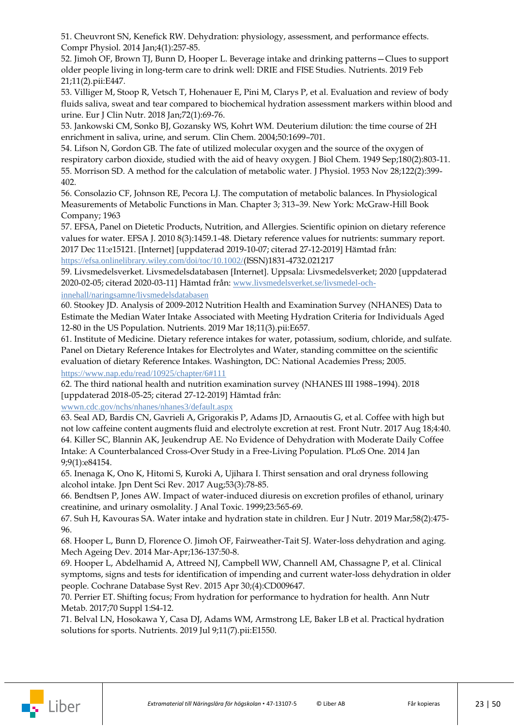51. [Cheuvront SN,](https://www-ncbi-nlm-nih-gov.ezproxy.its.uu.se/pubmed/?term=Cheuvront%20SN%5BAuthor%5D&cauthor=true&cauthor_uid=24692140) [Kenefick RW.](https://www-ncbi-nlm-nih-gov.ezproxy.its.uu.se/pubmed/?term=Kenefick%20RW%5BAuthor%5D&cauthor=true&cauthor_uid=24692140) Dehydration: physiology, assessment, and performance effects. [Compr Physiol.](https://www-ncbi-nlm-nih-gov.ezproxy.its.uu.se/pubmed/24692140) 2014 Jan;4(1):257-85.

52. Jimoh OF, Brown TJ, Bunn D, Hooper L. Beverage intake and drinking patterns—Clues to support older people living in long-term care to drink well: DRIE and FISE Studies. [Nutrients.](https://www-ncbi-nlm-nih-gov.ezproxy.its.uu.se/pubmed/?term=Jimoh+OF+drinking+2019) 2019 Feb 21;11(2).pii:E447.

53. [Villiger M,](https://www-ncbi-nlm-nih-gov.ezproxy.its.uu.se/pubmed/?term=Villiger%20M%5BAuthor%5D&cauthor=true&cauthor_uid=28853743) [Stoop R,](https://www-ncbi-nlm-nih-gov.ezproxy.its.uu.se/pubmed/?term=Stoop%20R%5BAuthor%5D&cauthor=true&cauthor_uid=28853743) [Vetsch T,](https://www-ncbi-nlm-nih-gov.ezproxy.its.uu.se/pubmed/?term=Vetsch%20T%5BAuthor%5D&cauthor=true&cauthor_uid=28853743) [Hohenauer E,](https://www-ncbi-nlm-nih-gov.ezproxy.its.uu.se/pubmed/?term=Hohenauer%20E%5BAuthor%5D&cauthor=true&cauthor_uid=28853743) [Pini M,](https://www-ncbi-nlm-nih-gov.ezproxy.its.uu.se/pubmed/?term=Pini%20M%5BAuthor%5D&cauthor=true&cauthor_uid=28853743) [Clarys P,](https://www-ncbi-nlm-nih-gov.ezproxy.its.uu.se/pubmed/?term=Clarys%20P%5BAuthor%5D&cauthor=true&cauthor_uid=28853743) et al. Evaluation and review of body fluids saliva, sweat and tear compared to biochemical hydration assessment markers within blood and urine. [Eur J Clin Nutr.](https://www-ncbi-nlm-nih-gov.ezproxy.its.uu.se/pubmed/28853743) 2018 Jan;72(1):69-76.

53. Jankowski CM, Sonko BJ, Gozansky WS, Kohrt WM. Deuterium dilution: the time course of 2H enrichment in saliva, urine, and serum. Clin Chem. 2004;50:1699–701.

54. Lifson N, Gordon GB. The fate of utilized molecular oxygen and the source of the oxygen of respiratory carbon dioxide, studied with the aid of heavy oxygen. [J Biol Chem.](https://www-ncbi-nlm-nih-gov.ezproxy.its.uu.se/pubmed/18135813) 1949 Sep;180(2):803-11. 55. Morrison SD. [A method for the calculation of metabolic water.](https://www-ncbi-nlm-nih-gov.ezproxy.its.uu.se/pubmed/13118549) J Physiol. 1953 Nov 28;122(2):399- 402.

56. Consolazio CF, Johnson RE, Pecora LJ. The computation of metabolic balances. In Physiological Measurements of Metabolic Functions in Man. Chapter 3; 313–39. New York: McGraw-Hill Book Company; 1963

57. EFSA, Panel on Dietetic Products, Nutrition, and Allergies. Scientific opinion on dietary reference values for water. EFSA J. 2010 8(3):1459.1-48. Dietary reference values for nutrients: summary report. 2017 Dec 11:e15121. [Internet] [uppdaterad 2019-10-07; citerad 27-12-2019] Hämtad från: [https://efsa.onlinelibrary.wiley.com/doi/toc/10.1002/](https://efsa.onlinelibrary.wiley.com/doi/toc/10.1002/(ISSN)1831-4732.021217)(ISSN)1831[-4732.021217](https://efsa.onlinelibrary.wiley.com/doi/toc/10.1002/(ISSN)1831-4732.021217)

59. Livsmedelsverket. Livsmedelsdatabasen Internet. Uppsala: Livsmedelsverket; 2020 uppdaterad 2020-02-05; citerad 2020-03-11 Hämtad från: [www.livsmedelsverket.se/livsmedel-och-](https://www.livsmedelsverket.se/livsmedel-och-innehall/naringsamne/livsmedelsdatabasen)

[innehall/naringsamne/livsmedelsdatabasen](https://www.livsmedelsverket.se/livsmedel-och-innehall/naringsamne/livsmedelsdatabasen)

60. [Stookey JD.](https://www-ncbi-nlm-nih-gov.ezproxy.its.uu.se/pubmed/?term=Stookey%20JD%5BAuthor%5D&cauthor=true&cauthor_uid=30889919) Analysis of 2009-2012 Nutrition Health and Examination Survey (NHANES) Data to Estimate the Median Water Intake Associated with Meeting Hydration Criteria for Individuals Aged 12-80 in the US Population. [Nutrients.](https://www-ncbi-nlm-nih-gov.ezproxy.its.uu.se/pubmed/?term=Stookey+JD+2019) 2019 Mar 18;11(3).pii:E657.

61. Institute of Medicine. Dietary reference intakes for water, potassium, sodium, chloride, and sulfate. Panel on Dietary Reference Intakes for Electrolytes and Water, standing committee on the scientific evaluation of dietary Reference Intakes. Washington, DC: National Academies Press; 2005. <https://www.nap.edu/read/10925/chapter/6#111>

62. The third national health and nutrition examination survey (NHANES III 1988–1994). 2018 uppdaterad 2018-05-25; citerad 27-12-2019 Hämtad från:

[wwwn.cdc.gov/nchs/nhanes/nhanes3/default.aspx](https://wwwn.cdc.gov/nchs/nhanes/nhanes3/default.aspx)

63. [Seal AD,](https://www-ncbi-nlm-nih-gov.ezproxy.its.uu.se/pubmed/?term=Seal%20AD%5BAuthor%5D&cauthor=true&cauthor_uid=28868290) [Bardis CN,](https://www-ncbi-nlm-nih-gov.ezproxy.its.uu.se/pubmed/?term=Bardis%20CN%5BAuthor%5D&cauthor=true&cauthor_uid=28868290) [Gavrieli A,](https://www-ncbi-nlm-nih-gov.ezproxy.its.uu.se/pubmed/?term=Gavrieli%20A%5BAuthor%5D&cauthor=true&cauthor_uid=28868290) [Grigorakis P,](https://www-ncbi-nlm-nih-gov.ezproxy.its.uu.se/pubmed/?term=Grigorakis%20P%5BAuthor%5D&cauthor=true&cauthor_uid=28868290) [Adams JD,](https://www-ncbi-nlm-nih-gov.ezproxy.its.uu.se/pubmed/?term=Adams%20JD%5BAuthor%5D&cauthor=true&cauthor_uid=28868290) [Arnaoutis G,](https://www-ncbi-nlm-nih-gov.ezproxy.its.uu.se/pubmed/?term=Arnaoutis%20G%5BAuthor%5D&cauthor=true&cauthor_uid=28868290) et al. Coffee with high but not low caffeine content augments fluid and electrolyte excretion at rest. [Front Nutr.](https://www-ncbi-nlm-nih-gov.ezproxy.its.uu.se/pubmed/?term=Seal+AD+Bardis+CN+caffeine+2017) 2017 Aug 18;4:40. 64. [Killer SC,](https://www-ncbi-nlm-nih-gov.ezproxy.its.uu.se/pubmed/?term=Killer%20SC%5BAuthor%5D&cauthor=true&cauthor_uid=24416202) [Blannin AK,](https://www-ncbi-nlm-nih-gov.ezproxy.its.uu.se/pubmed/?term=Blannin%20AK%5BAuthor%5D&cauthor=true&cauthor_uid=24416202) [Jeukendrup AE.](https://www-ncbi-nlm-nih-gov.ezproxy.its.uu.se/pubmed/?term=Jeukendrup%20AE%5BAuthor%5D&cauthor=true&cauthor_uid=24416202) No Evidence of Dehydration with Moderate Daily Coffee Intake: A Counterbalanced Cross-Over Study in a Free-Living Population[. PLoS One.](https://www-ncbi-nlm-nih-gov.ezproxy.its.uu.se/pubmed/24416202) 2014 Jan 9;9(1):e84154.

65. [Inenaga K,](https://www-ncbi-nlm-nih-gov.ezproxy.its.uu.se/pubmed/?term=Inenaga%20K%5BAuthor%5D&cauthor=true&cauthor_uid=28725298) [Ono K,](https://www-ncbi-nlm-nih-gov.ezproxy.its.uu.se/pubmed/?term=Ono%20K%5BAuthor%5D&cauthor=true&cauthor_uid=28725298) [Hitomi S,](https://www-ncbi-nlm-nih-gov.ezproxy.its.uu.se/pubmed/?term=Hitomi%20S%5BAuthor%5D&cauthor=true&cauthor_uid=28725298) [Kuroki A,](https://www-ncbi-nlm-nih-gov.ezproxy.its.uu.se/pubmed/?term=Kuroki%20A%5BAuthor%5D&cauthor=true&cauthor_uid=28725298) [Ujihara I.](https://www-ncbi-nlm-nih-gov.ezproxy.its.uu.se/pubmed/?term=Ujihara%20I%5BAuthor%5D&cauthor=true&cauthor_uid=28725298) Thirst sensation and oral dryness following alcohol intake. [Jpn Dent Sci Rev.](https://www-ncbi-nlm-nih-gov.ezproxy.its.uu.se/pubmed/?term=Inenaga+K+Thirst+2017) 2017 Aug;53(3):78-85.

66. Bendtsen P, Jones AW. Impact of water-induced diuresis on excretion profiles of ethanol, urinary creatinine, and urinary osmolality. J Anal Toxic. 1999;23:565-69.

67. [Suh H,](https://www-ncbi-nlm-nih-gov.ezproxy.its.uu.se/pubmed/?term=Suh%20H%5BAuthor%5D&cauthor=true&cauthor_uid=30506317) [Kavouras SA.](https://www-ncbi-nlm-nih-gov.ezproxy.its.uu.se/pubmed/?term=Kavouras%20SA%5BAuthor%5D&cauthor=true&cauthor_uid=30506317) Water intake and hydration state in children. [Eur J Nutr.](https://www-ncbi-nlm-nih-gov.ezproxy.its.uu.se/pubmed/?term=HyunGyu%C2%A0Suh+water+2019) 2019 Mar;58(2):475- 96.

68. [Hooper](https://www.sciencedirect.com/science/article/abs/pii/S0047637413001280?via%3Dihub#!) L, [Bunn](https://www.sciencedirect.com/science/article/abs/pii/S0047637413001280?via%3Dihub#!) D, [Florence O. Jimoh](https://www.sciencedirect.com/science/article/abs/pii/S0047637413001280?via%3Dihub#!) [OF, Fairweather-Tait](https://www.sciencedirect.com/science/article/abs/pii/S0047637413001280?via%3Dihub#!) SJ. Water-loss dehydration and aging. Mech Ageing Dev. 2014 Mar-Apr;136-137:50-8.

69. [Hooper L,](https://www-ncbi-nlm-nih-gov.ezproxy.its.uu.se/pubmed/?term=Hooper%20L%5BAuthor%5D&cauthor=true&cauthor_uid=25924806) [Abdelhamid A,](https://www-ncbi-nlm-nih-gov.ezproxy.its.uu.se/pubmed/?term=Abdelhamid%20A%5BAuthor%5D&cauthor=true&cauthor_uid=25924806) [Attreed NJ,](https://www-ncbi-nlm-nih-gov.ezproxy.its.uu.se/pubmed/?term=Attreed%20NJ%5BAuthor%5D&cauthor=true&cauthor_uid=25924806) [Campbell WW,](https://www-ncbi-nlm-nih-gov.ezproxy.its.uu.se/pubmed/?term=Campbell%20WW%5BAuthor%5D&cauthor=true&cauthor_uid=25924806) [Channell AM,](https://www-ncbi-nlm-nih-gov.ezproxy.its.uu.se/pubmed/?term=Channell%20AM%5BAuthor%5D&cauthor=true&cauthor_uid=25924806) [Chassagne P,](https://www-ncbi-nlm-nih-gov.ezproxy.its.uu.se/pubmed/?term=Chassagne%20P%5BAuthor%5D&cauthor=true&cauthor_uid=25924806) et al. Clinical symptoms, signs and tests for identification of impending and current water-loss dehydration in older people. [Cochrane Database Syst Rev.](https://www-ncbi-nlm-nih-gov.ezproxy.its.uu.se/pubmed/25924806) 2015 Apr 30;(4):CD009647.

70. [Perrier ET.](https://www-ncbi-nlm-nih-gov.ezproxy.its.uu.se/pubmed/?term=Perrier%20ET%5BAuthor%5D&cauthor=true&cauthor_uid=28614817) Shifting focus; From hydration for performance to hydration for health. [Ann Nutr](https://www-ncbi-nlm-nih-gov.ezproxy.its.uu.se/pubmed/28614817)  [Metab.](https://www-ncbi-nlm-nih-gov.ezproxy.its.uu.se/pubmed/28614817) 2017;70 Suppl 1:S4-12.

71. [Belval](https://www-ncbi-nlm-nih-gov.ezproxy.its.uu.se/pubmed/?term=Belval%20LN%5BAuthor%5D&cauthor=true&cauthor_uid=31324008) LN, [Hosokawa](https://www-ncbi-nlm-nih-gov.ezproxy.its.uu.se/pubmed/?term=Hosokawa%20Y%5BAuthor%5D&cauthor=true&cauthor_uid=31324008) Y, [Casa](https://www-ncbi-nlm-nih-gov.ezproxy.its.uu.se/pubmed/?term=Casa%20DJ%5BAuthor%5D&cauthor=true&cauthor_uid=31324008) DJ, [Adams](https://www-ncbi-nlm-nih-gov.ezproxy.its.uu.se/pubmed/?term=Adams%20WM%5BAuthor%5D&cauthor=true&cauthor_uid=31324008) WM, [Armstrong](https://www-ncbi-nlm-nih-gov.ezproxy.its.uu.se/pubmed/?term=Armstrong%20LE%5BAuthor%5D&cauthor=true&cauthor_uid=31324008) LE, [Baker](https://www-ncbi-nlm-nih-gov.ezproxy.its.uu.se/pubmed/?term=Baker%20LB%5BAuthor%5D&cauthor=true&cauthor_uid=31324008) LB et al. Practical hydration solutions for sports. [Nutrients.](https://www-ncbi-nlm-nih-gov.ezproxy.its.uu.se/pubmed/31324008) 2019 Jul 9;11(7).pii:E1550.

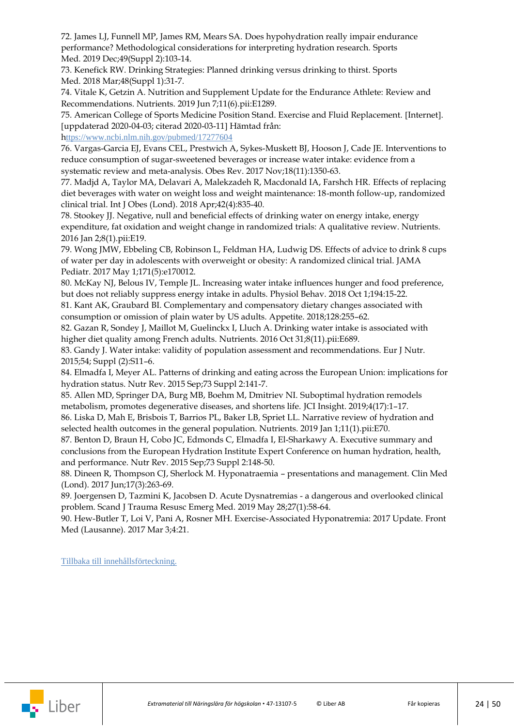72. James LJ, Funnell MP, James RM, Mears SA. Does hypohydration [really impair endurance](https://www-ncbi-nlm-nih-gov.ezproxy.its.uu.se/pubmed/31696453)  [performance? Methodological considerations for interpreting hydration research.](https://www-ncbi-nlm-nih-gov.ezproxy.its.uu.se/pubmed/31696453) Sports Med. 2019 Dec;49(Suppl 2):103-14.

73. [Kenefick RW.](https://www-ncbi-nlm-nih-gov.ezproxy.its.uu.se/pubmed/?term=Kenefick%20RW%5BAuthor%5D&cauthor=true&cauthor_uid=29368181) Drinking Strategies: Planned drinking versus drinking to thirst. [Sports](https://www-ncbi-nlm-nih-gov.ezproxy.its.uu.se/pubmed/29368181)  [Med.](https://www-ncbi-nlm-nih-gov.ezproxy.its.uu.se/pubmed/29368181) 2018 Mar;48(Suppl 1):31-7.

74. [Vitale K,](https://www-ncbi-nlm-nih-gov.ezproxy.its.uu.se/pubmed/?term=Vitale%20K%5BAuthor%5D&cauthor=true&cauthor_uid=31181616) [Getzin A.](https://www-ncbi-nlm-nih-gov.ezproxy.its.uu.se/pubmed/?term=Getzin%20A%5BAuthor%5D&cauthor=true&cauthor_uid=31181616) Nutrition and Supplement Update for the Endurance Athlete: Review and Recommendations. [Nutrients.](https://www-ncbi-nlm-nih-gov.ezproxy.its.uu.se/pubmed/31181616) 2019 Jun 7;11(6).pii:E1289.

75. American College of Sports Medicine Position Stand. Exercise and Fluid Replacement. Internet. uppdaterad 2020-04-03; citerad 2020-03-11 Hämtad från:

h[ttps://www.ncbi.nlm.nih.gov/pubmed/17277604](https://pubmed.ncbi.nlm.nih.gov/17277604/) 

76. [Vargas-Garcia EJ,](https://www-ncbi-nlm-nih-gov.ezproxy.its.uu.se/pubmed/?term=Vargas-Garcia%20EJ%5BAuthor%5D&cauthor=true&cauthor_uid=28721697) [Evans CEL,](https://www-ncbi-nlm-nih-gov.ezproxy.its.uu.se/pubmed/?term=Evans%20CEL%5BAuthor%5D&cauthor=true&cauthor_uid=28721697) [Prestwich A,](https://www-ncbi-nlm-nih-gov.ezproxy.its.uu.se/pubmed/?term=Prestwich%20A%5BAuthor%5D&cauthor=true&cauthor_uid=28721697) [Sykes-Muskett BJ,](https://www-ncbi-nlm-nih-gov.ezproxy.its.uu.se/pubmed/?term=Sykes-Muskett%20BJ%5BAuthor%5D&cauthor=true&cauthor_uid=28721697) [Hooson J,](https://www-ncbi-nlm-nih-gov.ezproxy.its.uu.se/pubmed/?term=Hooson%20J%5BAuthor%5D&cauthor=true&cauthor_uid=28721697) [Cade JE.](https://www-ncbi-nlm-nih-gov.ezproxy.its.uu.se/pubmed/?term=Cade%20JE%5BAuthor%5D&cauthor=true&cauthor_uid=28721697) Interventions to reduce consumption of sugar-sweetened beverages or increase water intake: evidence from a systematic review and meta-analysis. [Obes Rev.](https://www-ncbi-nlm-nih-gov.ezproxy.its.uu.se/pubmed/28721697) 2017 Nov;18(11):1350-63.

77. Madjd A, Taylor MA, Delavari A, Malekzadeh R, Macdonald IA, Farshch HR. Effects of replacing diet beverages with water on weight loss and weight maintenance: 18-month follow-up, randomized clinical trial[. Int J Obes \(Lond\).](https://www-ncbi-nlm-nih-gov.ezproxy.its.uu.se/pubmed/?term=Madjd+A+Taylor+MA+weight+2018) 2018 Apr;42(4):835-40.

78. Stookey JJ. [Negative, null and beneficial effects of](https://www-ncbi-nlm-nih-gov.ezproxy.its.uu.se/pubmed/26729162) drinking water on energy intake, energy [expenditure, fat oxidation and weight change in randomized trials: A qualitative](https://www-ncbi-nlm-nih-gov.ezproxy.its.uu.se/pubmed/26729162) review. Nutrients. 2016 Jan 2;8(1).pii:E19.

79. [Wong JMW,](https://www-ncbi-nlm-nih-gov.ezproxy.its.uu.se/pubmed/?term=Wong%20JMW%5BAuthor%5D&cauthor=true&cauthor_uid=28264082) [Ebbeling](https://www-ncbi-nlm-nih-gov.ezproxy.its.uu.se/pubmed/?term=Ebbeling%20CB%5BAuthor%5D&cauthor=true&cauthor_uid=28264082) CB, [Robinson L,](https://www-ncbi-nlm-nih-gov.ezproxy.its.uu.se/pubmed/?term=Robinson%20L%5BAuthor%5D&cauthor=true&cauthor_uid=28264082) [Feldman HA,](https://www-ncbi-nlm-nih-gov.ezproxy.its.uu.se/pubmed/?term=Feldman%20HA%5BAuthor%5D&cauthor=true&cauthor_uid=28264082) [Ludwig DS.](https://www-ncbi-nlm-nih-gov.ezproxy.its.uu.se/pubmed/?term=Ludwig%20DS%5BAuthor%5D&cauthor=true&cauthor_uid=28264082) Effects of advice to drink 8 cups of water per day in adolescents with overweight or obesity: A randomized clinical trial. [JAMA](https://www-ncbi-nlm-nih-gov.ezproxy.its.uu.se/pubmed/28264082)  [Pediatr.](https://www-ncbi-nlm-nih-gov.ezproxy.its.uu.se/pubmed/28264082) 2017 May 1;171(5):e170012.

80. [McKay NJ,](https://www-ncbi-nlm-nih-gov.ezproxy.its.uu.se/pubmed/?term=McKay%20NJ%5BAuthor%5D&cauthor=true&cauthor_uid=29678599) [Belous IV,](https://www-ncbi-nlm-nih-gov.ezproxy.its.uu.se/pubmed/?term=Belous%20IV%5BAuthor%5D&cauthor=true&cauthor_uid=29678599) [Temple JL.](https://www-ncbi-nlm-nih-gov.ezproxy.its.uu.se/pubmed/?term=Temple%20JL%5BAuthor%5D&cauthor=true&cauthor_uid=29678599) Increasing water intake influences hunger and food preference, but does not reliably suppress energy intake in adults. [Physiol Behav.](https://www-ncbi-nlm-nih-gov.ezproxy.its.uu.se/pubmed/29678599) 2018 Oct 1;194:15-22.

81. Kant AK, Graubard BI. Complementary and compensatory dietary changes associated with consumption or omission of plain water by US adults. Appetite. 2018;128:255–62.

82. [Gazan R,](https://www-ncbi-nlm-nih-gov.ezproxy.its.uu.se/pubmed/?term=Gazan%20R%5BAuthor%5D&cauthor=true&cauthor_uid=27809236) [Sondey J,](https://www-ncbi-nlm-nih-gov.ezproxy.its.uu.se/pubmed/?term=Sondey%20J%5BAuthor%5D&cauthor=true&cauthor_uid=27809236) [Maillot M,](https://www-ncbi-nlm-nih-gov.ezproxy.its.uu.se/pubmed/?term=Maillot%20M%5BAuthor%5D&cauthor=true&cauthor_uid=27809236) [Guelinckx I,](https://www-ncbi-nlm-nih-gov.ezproxy.its.uu.se/pubmed/?term=Guelinckx%20I%5BAuthor%5D&cauthor=true&cauthor_uid=27809236) [Lluch A.](https://www-ncbi-nlm-nih-gov.ezproxy.its.uu.se/pubmed/?term=Lluch%20A%5BAuthor%5D&cauthor=true&cauthor_uid=27809236) Drinking water intake is associated with higher diet quality among French adults. [Nutrients.](https://www-ncbi-nlm-nih-gov.ezproxy.its.uu.se/pubmed/27809236) 2016 Oct 31;8(11).pii:E689.

83. Gandy J. Water intake: validity of population assessment and recommendations. Eur J Nutr. 2015;54; Suppl (2):S11–6.

84. [Elmadfa I,](https://www-ncbi-nlm-nih-gov.ezproxy.its.uu.se/pubmed/?term=Elmadfa%20I%5BAuthor%5D&cauthor=true&cauthor_uid=26290299) [Meyer AL.](https://www-ncbi-nlm-nih-gov.ezproxy.its.uu.se/pubmed/?term=Meyer%20AL%5BAuthor%5D&cauthor=true&cauthor_uid=26290299) Patterns of drinking and eating across the European Union: implications for hydration status. [Nutr Rev.](https://www-ncbi-nlm-nih-gov.ezproxy.its.uu.se/pubmed/26290299) 2015 Sep;73 Suppl 2:141-7.

85. Allen MD, Springer DA, Burg MB, Boehm M, Dmitriev NI. Suboptimal hydration remodels metabolism, promotes degenerative diseases, and shortens life. JCI Insight. 2019;4(17):1–17. 86. [Liska D,](https://www-ncbi-nlm-nih-gov.ezproxy.its.uu.se/pubmed/?term=Liska%20D%5BAuthor%5D&cauthor=true&cauthor_uid=30609670) [Mah E,](https://www-ncbi-nlm-nih-gov.ezproxy.its.uu.se/pubmed/?term=Mah%20E%5BAuthor%5D&cauthor=true&cauthor_uid=30609670) [Brisbois T,](https://www-ncbi-nlm-nih-gov.ezproxy.its.uu.se/pubmed/?term=Brisbois%20T%5BAuthor%5D&cauthor=true&cauthor_uid=30609670) [Barrios PL,](https://www-ncbi-nlm-nih-gov.ezproxy.its.uu.se/pubmed/?term=Barrios%20PL%5BAuthor%5D&cauthor=true&cauthor_uid=30609670) [Baker LB,](https://www-ncbi-nlm-nih-gov.ezproxy.its.uu.se/pubmed/?term=Baker%20LB%5BAuthor%5D&cauthor=true&cauthor_uid=30609670) [Spriet LL.](https://www-ncbi-nlm-nih-gov.ezproxy.its.uu.se/pubmed/?term=Spriet%20LL%5BAuthor%5D&cauthor=true&cauthor_uid=30609670) Narrative review of hydration and

selected health outcomes in the general population. [Nutrients.](https://www-ncbi-nlm-nih-gov.ezproxy.its.uu.se/pubmed/?term=Liska+D+hydration+2019) 2019 Jan 1;11(1).pii:E70.

87. [Benton D,](https://www-ncbi-nlm-nih-gov.ezproxy.its.uu.se/pubmed/?term=Benton%20D%5BAuthor%5D&cauthor=true&cauthor_uid=26290300) [Braun H,](https://www-ncbi-nlm-nih-gov.ezproxy.its.uu.se/pubmed/?term=Braun%20H%5BAuthor%5D&cauthor=true&cauthor_uid=26290300) [Cobo JC,](https://www-ncbi-nlm-nih-gov.ezproxy.its.uu.se/pubmed/?term=Cobo%20JC%5BAuthor%5D&cauthor=true&cauthor_uid=26290300) [Edmonds C,](https://www-ncbi-nlm-nih-gov.ezproxy.its.uu.se/pubmed/?term=Edmonds%20C%5BAuthor%5D&cauthor=true&cauthor_uid=26290300) [Elmadfa I,](https://www-ncbi-nlm-nih-gov.ezproxy.its.uu.se/pubmed/?term=Elmadfa%20I%5BAuthor%5D&cauthor=true&cauthor_uid=26290300) [El-Sharkawy A.](https://www-ncbi-nlm-nih-gov.ezproxy.its.uu.se/pubmed/?term=El-Sharkawy%20A%5BAuthor%5D&cauthor=true&cauthor_uid=26290300) Executive summary and conclusions from the European Hydration Institute Expert Conference on human hydration, health, and performance. [Nutr Rev.](https://www-ncbi-nlm-nih-gov.ezproxy.its.uu.se/pubmed/26290300) 2015 Sep;73 Suppl 2:148-50.

88. Dineen R, Thompson CJ, Sherlock M. Hyponatraemia – presentations and management. [Clin Med](https://www-ncbi-nlm-nih-gov.ezproxy.its.uu.se/pubmed/?term=Dineen+R+hyponatremia+2017)  [\(Lond\).](https://www-ncbi-nlm-nih-gov.ezproxy.its.uu.se/pubmed/?term=Dineen+R+hyponatremia+2017) 2017 Jun;17(3):263-69.

89. [Joergensen D,](https://www-ncbi-nlm-nih-gov.ezproxy.its.uu.se/pubmed/?term=Joergensen%20D%5BAuthor%5D&cauthor=true&cauthor_uid=31138251) [Tazmini K,](https://www-ncbi-nlm-nih-gov.ezproxy.its.uu.se/pubmed/?term=Tazmini%20K%5BAuthor%5D&cauthor=true&cauthor_uid=31138251) [Jacobsen D.](https://www-ncbi-nlm-nih-gov.ezproxy.its.uu.se/pubmed/?term=Jacobsen%20D%5BAuthor%5D&cauthor=true&cauthor_uid=31138251) Acute Dysnatremias - a dangerous and overlooked clinical problem. [Scand J Trauma Resusc Emerg Med.](https://www-ncbi-nlm-nih-gov.ezproxy.its.uu.se/pubmed/31138251) 2019 May 28;27(1):58-64.

90. [Hew-Butler T,](https://www-ncbi-nlm-nih-gov.ezproxy.its.uu.se/pubmed/?term=Hew-Butler%20T%5BAuthor%5D&cauthor=true&cauthor_uid=28316971) [Loi V,](https://www-ncbi-nlm-nih-gov.ezproxy.its.uu.se/pubmed/?term=Loi%20V%5BAuthor%5D&cauthor=true&cauthor_uid=28316971) [Pani A,](https://www-ncbi-nlm-nih-gov.ezproxy.its.uu.se/pubmed/?term=Pani%20A%5BAuthor%5D&cauthor=true&cauthor_uid=28316971) [Rosner MH.](https://www-ncbi-nlm-nih-gov.ezproxy.its.uu.se/pubmed/?term=Rosner%20MH%5BAuthor%5D&cauthor=true&cauthor_uid=28316971) Exercise-Associated Hyponatremia: 2017 Update[. Front](https://www-ncbi-nlm-nih-gov.ezproxy.its.uu.se/pubmed/28316971)  [Med \(Lausanne\).](https://www-ncbi-nlm-nih-gov.ezproxy.its.uu.se/pubmed/28316971) 2017 Mar 3;4:21.

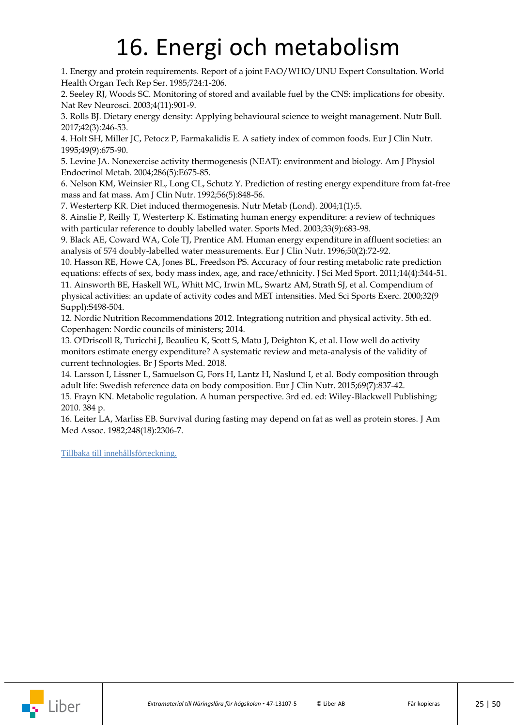### 16. Energi och metabolism

<span id="page-24-0"></span>1. Energy and protein requirements. Report of a joint FAO/WHO/UNU Expert Consultation. World Health Organ Tech Rep Ser. 1985;724:1-206.

2. Seeley RJ, Woods SC. Monitoring of stored and available fuel by the CNS: implications for obesity. Nat Rev Neurosci. 2003;4(11):901-9.

3. Rolls BJ. Dietary energy density: Applying behavioural science to weight management. Nutr Bull. 2017;42(3):246-53.

4. Holt SH, Miller JC, Petocz P, Farmakalidis E. A satiety index of common foods. Eur J Clin Nutr. 1995;49(9):675-90.

5. Levine JA. Nonexercise activity thermogenesis (NEAT): environment and biology. Am J Physiol Endocrinol Metab. 2004;286(5):E675-85.

6. Nelson KM, Weinsier RL, Long CL, Schutz Y. Prediction of resting energy expenditure from fat-free mass and fat mass. Am J Clin Nutr. 1992;56(5):848-56.

7. Westerterp KR. Diet induced thermogenesis. Nutr Metab (Lond). 2004;1(1):5.

8. Ainslie P, Reilly T, Westerterp K. Estimating human energy expenditure: a review of techniques with particular reference to doubly labelled water. Sports Med. 2003;33(9):683-98.

9. Black AE, Coward WA, Cole TJ, Prentice AM. Human energy expenditure in affluent societies: an analysis of 574 doubly-labelled water measurements. Eur J Clin Nutr. 1996;50(2):72-92.

10. Hasson RE, Howe CA, Jones BL, Freedson PS. Accuracy of four resting metabolic rate prediction equations: effects of sex, body mass index, age, and race/ethnicity. J Sci Med Sport. 2011;14(4):344-51. 11. Ainsworth BE, Haskell WL, Whitt MC, Irwin ML, Swartz AM, Strath SJ, et al. Compendium of

physical activities: an update of activity codes and MET intensities. Med Sci Sports Exerc. 2000;32(9 Suppl):S498-504.

12. Nordic Nutrition Recommendations 2012. Integrationg nutrition and physical activity. 5th ed. Copenhagen: Nordic councils of ministers; 2014.

13. O'Driscoll R, Turicchi J, Beaulieu K, Scott S, Matu J, Deighton K, et al. How well do activity monitors estimate energy expenditure? A systematic review and meta-analysis of the validity of current technologies. Br J Sports Med. 2018.

14. Larsson I, Lissner L, Samuelson G, Fors H, Lantz H, Naslund I, et al. Body composition through adult life: Swedish reference data on body composition. Eur J Clin Nutr. 2015;69(7):837-42.

15. Frayn KN. Metabolic regulation. A human perspective. 3rd ed. ed: Wiley-Blackwell Publishing; 2010. 384 p.

16. Leiter LA, Marliss EB. Survival during fasting may depend on fat as well as protein stores. J Am Med Assoc. 1982;248(18):2306-7.

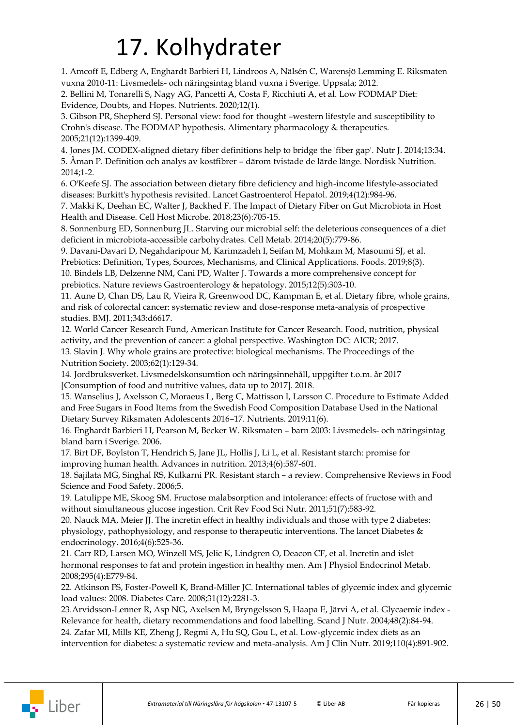## 17. Kolhydrater

<span id="page-25-0"></span>1. Amcoff E, Edberg A, Enghardt Barbieri H, Lindroos A, Nälsén C, Warensjö Lemming E. Riksmaten vuxna 2010-11: Livsmedels- och näringsintag bland vuxna i Sverige. Uppsala; 2012.

2. Bellini M, Tonarelli S, Nagy AG, Pancetti A, Costa F, Ricchiuti A, et al. Low FODMAP Diet: Evidence, Doubts, and Hopes. Nutrients. 2020;12(1).

3. Gibson PR, Shepherd SJ. Personal view: food for thought –western lifestyle and susceptibility to Crohn's disease. The FODMAP hypothesis. Alimentary pharmacology & therapeutics. 2005;21(12):1399-409.

4. Jones JM. CODEX-aligned dietary fiber definitions help to bridge the 'fiber gap'. Nutr J. 2014;13:34. 5. Åman P. Definition och analys av kostfibrer – därom tvistade de lärde länge. Nordisk Nutrition. 2014;1-2.

6. O'Keefe SJ. The association between dietary fibre deficiency and high-income lifestyle-associated diseases: Burkitt's hypothesis revisited. Lancet Gastroenterol Hepatol. 2019;4(12):984-96.

7. Makki K, Deehan EC, Walter J, Backhed F. The Impact of Dietary Fiber on Gut Microbiota in Host Health and Disease. Cell Host Microbe. 2018;23(6):705-15.

8. Sonnenburg ED, Sonnenburg JL. Starving our microbial self: the deleterious consequences of a diet deficient in microbiota-accessible carbohydrates. Cell Metab. 2014;20(5):779-86.

9. Davani-Davari D, Negahdaripour M, Karimzadeh I, Seifan M, Mohkam M, Masoumi SJ, et al. Prebiotics: Definition, Types, Sources, Mechanisms, and Clinical Applications. Foods. 2019;8(3). 10. Bindels LB, Delzenne NM, Cani PD, Walter J. Towards a more comprehensive concept for prebiotics. Nature reviews Gastroenterology & hepatology. 2015;12(5):303-10.

11. Aune D, Chan DS, Lau R, Vieira R, Greenwood DC, Kampman E, et al. Dietary fibre, whole grains, and risk of colorectal cancer: systematic review and dose-response meta-analysis of prospective studies. BMJ. 2011;343:d6617.

12. World Cancer Research Fund, American Institute for Cancer Research. Food, nutrition, physical activity, and the prevention of cancer: a global perspective. Washington DC: AICR; 2017.

13. Slavin J. Why whole grains are protective: biological mechanisms. The Proceedings of the Nutrition Society. 2003;62(1):129-34.

14. Jordbruksverket. Livsmedelskonsumtion och näringsinnehåll, uppgifter t.o.m. år 2017 [Consumption of food and nutritive values, data up to 2017]. 2018.

15. Wanselius J, Axelsson C, Moraeus L, Berg C, Mattisson I, Larsson C. Procedure to Estimate Added and Free Sugars in Food Items from the Swedish Food Composition Database Used in the National Dietary Survey Riksmaten Adolescents 2016–17. Nutrients. 2019;11(6).

16. Enghardt Barbieri H, Pearson M, Becker W. Riksmaten – barn 2003: Livsmedels- och näringsintag bland barn i Sverige. 2006.

17. Birt DF, Boylston T, Hendrich S, Jane JL, Hollis J, Li L, et al. Resistant starch: promise for improving human health. Advances in nutrition. 2013;4(6):587-601.

18. Sajilata MG, Singhal RS, Kulkarni PR. Resistant starch – a review. Comprehensive Reviews in Food Science and Food Safety. 2006;5.

19. Latulippe ME, Skoog SM. Fructose malabsorption and intolerance: effects of fructose with and without simultaneous glucose ingestion. Crit Rev Food Sci Nutr. 2011;51(7):583-92.

20. Nauck MA, Meier JJ. The incretin effect in healthy individuals and those with type 2 diabetes: physiology, pathophysiology, and response to therapeutic interventions. The lancet Diabetes & endocrinology. 2016;4(6):525-36.

21. Carr RD, Larsen MO, Winzell MS, Jelic K, Lindgren O, Deacon CF, et al. Incretin and islet hormonal responses to fat and protein ingestion in healthy men. Am J Physiol Endocrinol Metab. 2008;295(4):E779-84.

22. Atkinson FS, Foster-Powell K, Brand-Miller JC. International tables of glycemic index and glycemic load values: 2008. Diabetes Care. 2008;31(12):2281-3.

23.Arvidsson-Lenner R, Asp NG, Axelsen M, Bryngelsson S, Haapa E, Järvi A, et al. Glycaemic index - Relevance for health, dietary recommendations and food labelling. Scand J Nutr. 2004;48(2):84-94. 24. Zafar MI, Mills KE, Zheng J, Regmi A, Hu SQ, Gou L, et al. Low-glycemic index diets as an intervention for diabetes: a systematic review and meta-analysis. Am J Clin Nutr. 2019;110(4):891-902.

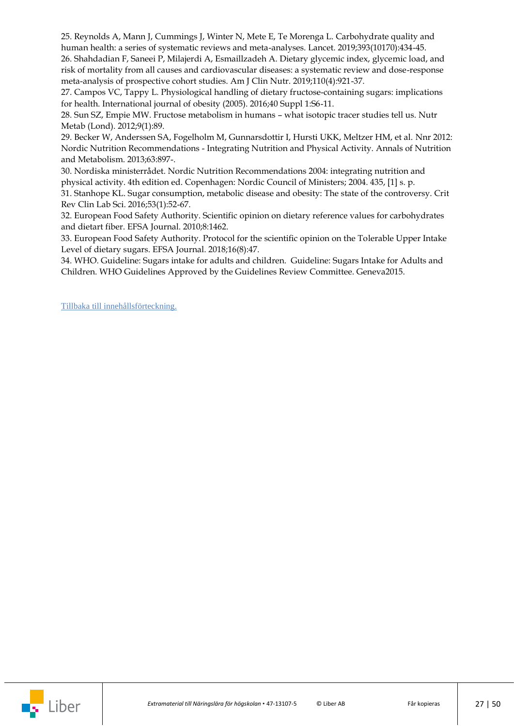25. Reynolds A, Mann J, Cummings J, Winter N, Mete E, Te Morenga L. Carbohydrate quality and human health: a series of systematic reviews and meta-analyses. Lancet. 2019;393(10170):434-45.

26. Shahdadian F, Saneei P, Milajerdi A, Esmaillzadeh A. Dietary glycemic index, glycemic load, and risk of mortality from all causes and cardiovascular diseases: a systematic review and dose-response meta-analysis of prospective cohort studies. Am J Clin Nutr. 2019;110(4):921-37.

27. Campos VC, Tappy L. Physiological handling of dietary fructose-containing sugars: implications for health. International journal of obesity (2005). 2016;40 Suppl 1:S6-11.

28. Sun SZ, Empie MW. Fructose metabolism in humans – what isotopic tracer studies tell us. Nutr Metab (Lond). 2012;9(1):89.

29. Becker W, Anderssen SA, Fogelholm M, Gunnarsdottir I, Hursti UKK, Meltzer HM, et al. Nnr 2012: Nordic Nutrition Recommendations - Integrating Nutrition and Physical Activity. Annals of Nutrition and Metabolism. 2013;63:897-.

30. Nordiska ministerrådet. Nordic Nutrition Recommendations 2004: integrating nutrition and physical activity. 4th edition ed. Copenhagen: Nordic Council of Ministers; 2004. 435, [1] s. p.

31. Stanhope KL. Sugar consumption, metabolic disease and obesity: The state of the controversy. Crit Rev Clin Lab Sci. 2016;53(1):52-67.

32. European Food Safety Authority. Scientific opinion on dietary reference values for carbohydrates and dietart fiber. EFSA Journal. 2010;8:1462.

33. European Food Safety Authority. Protocol for the scientific opinion on the Tolerable Upper Intake Level of dietary sugars. EFSA Journal. 2018;16(8):47.

34. WHO. Guideline: Sugars intake for adults and children. Guideline: Sugars Intake for Adults and Children. WHO Guidelines Approved by the Guidelines Review Committee. Geneva2015.

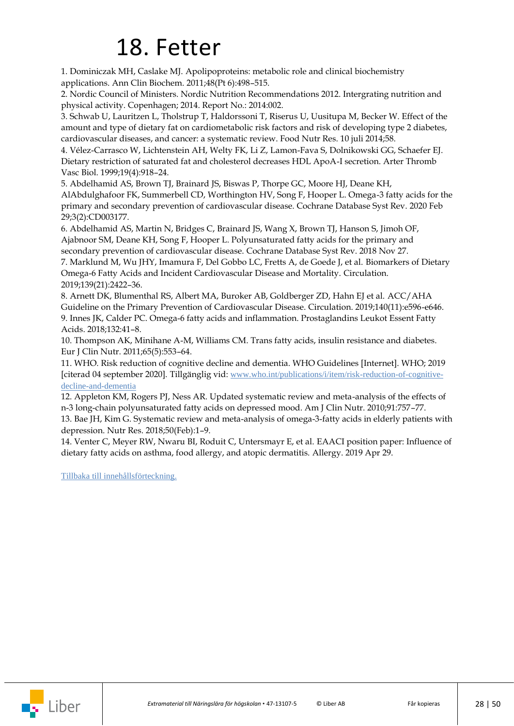### 18. Fetter

<span id="page-27-0"></span>1. Dominiczak MH, Caslake MJ. Apolipoproteins: metabolic role and clinical biochemistry applications. Ann Clin Biochem. 2011;48(Pt 6):498–515.

2. Nordic Council of Ministers. Nordic Nutrition Recommendations 2012. Intergrating nutrition and physical activity. Copenhagen; 2014. Report No.: 2014:002.

3. Schwab U, Lauritzen L, Tholstrup T, Haldorssoni T, Riserus U, Uusitupa M, Becker W. Effect of the amount and type of dietary fat on cardiometabolic risk factors and risk of developing type 2 diabetes, cardiovascular diseases, and cancer: a systematic review. Food Nutr Res. 10 juli 2014;58.

4. Vélez-Carrasco W, Lichtenstein AH, Welty FK, Li Z, Lamon-Fava S, Dolnikowski GG, Schaefer EJ. Dietary restriction of saturated fat and cholesterol decreases HDL ApoA-I secretion. Arter Thromb Vasc Biol. 1999;19(4):918–24.

5. Abdelhamid AS, Brown TJ, Brainard JS, Biswas P, Thorpe GC, Moore HJ, Deane KH, AlAbdulghafoor FK, Summerbell CD, Worthington HV, Song F, Hooper L. Omega-3 fatty acids for the primary and secondary prevention of cardiovascular disease. Cochrane Database Syst Rev. 2020 Feb 29;3(2):CD003177.

6. Abdelhamid AS, Martin N, Bridges C, Brainard JS, Wang X, Brown TJ, Hanson S, Jimoh OF, Ajabnoor SM, Deane KH, Song F, Hooper L. Polyunsaturated fatty acids for the primary and secondary prevention of cardiovascular disease. Cochrane Database Syst Rev. 2018 Nov 27.

7. Marklund M, Wu JHY, Imamura F, Del Gobbo LC, Fretts A, de Goede J, et al. Biomarkers of Dietary Omega-6 Fatty Acids and Incident Cardiovascular Disease and Mortality. Circulation. 2019;139(21):2422–36.

8. Arnett DK, Blumenthal RS, Albert MA, Buroker AB, Goldberger ZD, Hahn EJ et al. ACC/AHA Guideline on the Primary Prevention of Cardiovascular Disease. Circulation. 2019;140(11):e596-e646. 9. Innes JK, Calder PC. Omega-6 fatty acids and inflammation. Prostaglandins Leukot Essent Fatty Acids. 2018;132:41–8.

10. Thompson AK, Minihane A-M, Williams CM. Trans fatty acids, insulin resistance and diabetes. Eur J Clin Nutr. 2011;65(5):553–64.

11. WHO. Risk reduction of cognitive decline and dementia. WHO Guidelines [Internet]. WHO; 2019 [citerad 04 september 2020]. Tillgänglig vid: [www.who.int/publications/i/item/risk-reduction-of-cognitive](https://www.who.int/publications/i/item/risk-reduction-of-cognitive-decline-and-dementia)[decline-and-dementia](https://www.who.int/publications/i/item/risk-reduction-of-cognitive-decline-and-dementia)

12. Appleton KM, Rogers PJ, Ness AR. Updated systematic review and meta-analysis of the effects of n-3 long-chain polyunsaturated fatty acids on depressed mood. Am J Clin Nutr. 2010;91:757–77.

13. Bae JH, Kim G. Systematic review and meta-analysis of omega-3-fatty acids in elderly patients with depression. Nutr Res. 2018;50(Feb):1–9.

14. Venter C, Meyer RW, Nwaru BI, Roduit C, Untersmayr E, et al. EAACI position paper: Influence of dietary fatty acids on asthma, food allergy, and atopic dermatitis. Allergy. 2019 Apr 29.

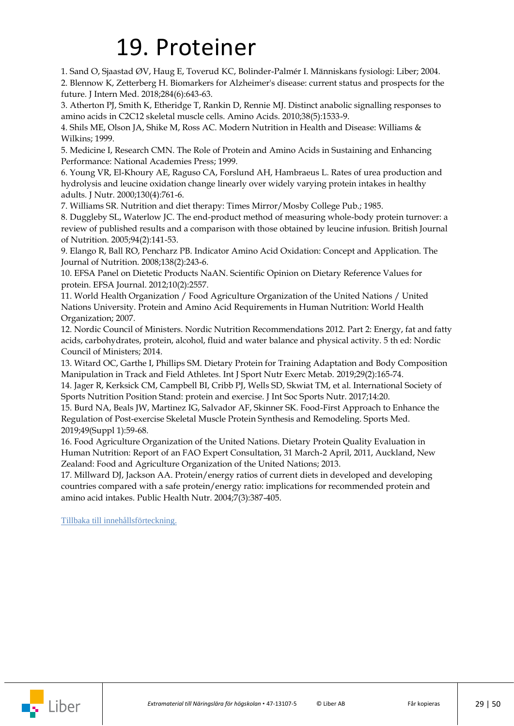### 19. Proteiner

<span id="page-28-0"></span>1. Sand O, Sjaastad ØV, Haug E, Toverud KC, Bolinder-Palmér I. Människans fysiologi: Liber; 2004. 2. Blennow K, Zetterberg H. Biomarkers for Alzheimer's disease: current status and prospects for the future. J Intern Med. 2018;284(6):643-63.

3. Atherton PJ, Smith K, Etheridge T, Rankin D, Rennie MJ. Distinct anabolic signalling responses to amino acids in C2C12 skeletal muscle cells. Amino Acids. 2010;38(5):1533-9.

4. Shils ME, Olson JA, Shike M, Ross AC. Modern Nutrition in Health and Disease: Williams & Wilkins; 1999.

5. Medicine I, Research CMN. The Role of Protein and Amino Acids in Sustaining and Enhancing Performance: National Academies Press; 1999.

6. Young VR, El-Khoury AE, Raguso CA, Forslund AH, Hambraeus L. Rates of urea production and hydrolysis and leucine oxidation change linearly over widely varying protein intakes in healthy adults. J Nutr. 2000;130(4):761-6.

7. Williams SR. Nutrition and diet therapy: Times Mirror/Mosby College Pub.; 1985.

8. Duggleby SL, Waterlow JC. The end-product method of measuring whole-body protein turnover: a review of published results and a comparison with those obtained by leucine infusion. British Journal of Nutrition. 2005;94(2):141-53.

9. Elango R, Ball RO, Pencharz PB. Indicator Amino Acid Oxidation: Concept and Application. The Journal of Nutrition. 2008;138(2):243-6.

10. EFSA Panel on Dietetic Products NaAN. Scientific Opinion on Dietary Reference Values for protein. EFSA Journal. 2012;10(2):2557.

11. World Health Organization / Food Agriculture Organization of the United Nations / United Nations University. Protein and Amino Acid Requirements in Human Nutrition: World Health Organization; 2007.

12. Nordic Council of Ministers. Nordic Nutrition Recommendations 2012. Part 2: Energy, fat and fatty acids, carbohydrates, protein, alcohol, fluid and water balance and physical activity. 5 th ed: Nordic Council of Ministers; 2014.

13. Witard OC, Garthe I, Phillips SM. Dietary Protein for Training Adaptation and Body Composition Manipulation in Track and Field Athletes. Int J Sport Nutr Exerc Metab. 2019;29(2):165-74.

14. Jager R, Kerksick CM, Campbell BI, Cribb PJ, Wells SD, Skwiat TM, et al. International Society of Sports Nutrition Position Stand: protein and exercise. J Int Soc Sports Nutr. 2017;14:20.

15. Burd NA, Beals JW, Martinez IG, Salvador AF, Skinner SK. Food-First Approach to Enhance the Regulation of Post-exercise Skeletal Muscle Protein Synthesis and Remodeling. Sports Med. 2019;49(Suppl 1):59-68.

16. Food Agriculture Organization of the United Nations. Dietary Protein Quality Evaluation in Human Nutrition: Report of an FAO Expert Consultation, 31 March-2 April, 2011, Auckland, New Zealand: Food and Agriculture Organization of the United Nations; 2013.

17. Millward DJ, Jackson AA. Protein/energy ratios of current diets in developed and developing countries compared with a safe protein/energy ratio: implications for recommended protein and amino acid intakes. Public Health Nutr. 2004;7(3):387-405.

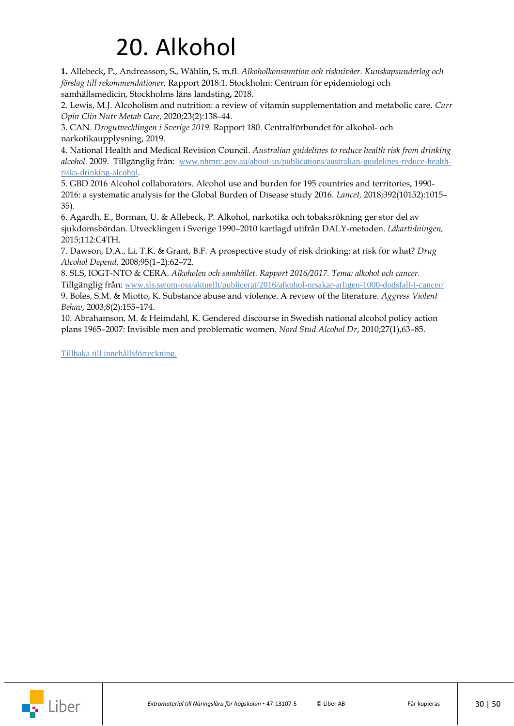## 20. Alkohol

<span id="page-29-0"></span>**1.** Allebeck**,** P**.**, Andreasson**,** S**.**, Wåhlin**,** S**.** m.fl. *Alkoholkonsumtion och risknivåer. Kunskapsunderlag och förslag till rekommendationer.* Rapport 2018:1. Stockholm: Centrum för epidemiologi och samhällsmedicin, Stockholms läns landsting**,** 2018.

2. Lewis, M.J. Alcoholism and nutrition: a review of vitamin supplementation and metabolic care. *Curr Opin Clin Nutr Metab Care*, 2020;23(2):138–44.

3. CAN. *Drogutvecklingen i Sverige 2019.* Rapport 180. Centralförbundet för alkohol- och narkotikaupplysning, 2019.

4. National Health and Medical Revision Council. *Australian guidelines to reduce health risk from drinking alcohol.* 2009. Tillgänglig från: [www.nhmrc.gov.au/about-us/publications/australian-guidelines-reduce-health](https://www.nhmrc.gov.au/about-us/publications/australian-guidelines-reduce-health-risks-drinking-alcohol)[risks-drinking-alcohol](https://www.nhmrc.gov.au/about-us/publications/australian-guidelines-reduce-health-risks-drinking-alcohol).

5. GBD 2016 Alcohol collaborators. Alcohol use and burden for 195 countries and territories, 1990- 2016: a systematic analysis for the Global Burden of Disease study 2016. *Lancet,* 2018;392(10152):1015– 35).

6. Agardh, E., Borman, U. & Allebeck, P. Alkohol, narkotika och tobaksrökning ger stor del av sjukdomsbördan. Utvecklingen i Sverige 1990–2010 kartlagd utifrån DALY-metoden. *Läkartidningen,* 2015;112:C4TH.

7. Dawson, D.A., Li, T.K. & Grant, B.F. A prospective study of risk drinking: at risk for what? *Drug Alcohol Depend*, 2008;95(1–2):62–72.

8. SLS, IOGT-NTO & CERA. *Alkoholen och samhället. Rapport 2016/2017. Tema: alkohol och cancer.* Tillgänglig från: [www.sls.se/om-oss/aktuellt/publicerat/2016/alkohol-orsakar-arligen-1000-dodsfall-i-cancer/](https://www.sls.se/om-oss/aktuellt/publicerat/2016/alkohol-orsakar-arligen-1000-dodsfall-i-cancer/)

9. Boles, S.M. & Miotto, K. Substance abuse and violence. A review of the literature. *Aggress Violent Behav*, 2003;8(2):155–174.

10. Abrahamson, M. & Heimdahl, K. Gendered discourse in Swedish national alcohol policy action plans 1965–2007: Invisible men and problematic women. *Nord Stud Alcohol Dr*, 2010;27(1),63–85.

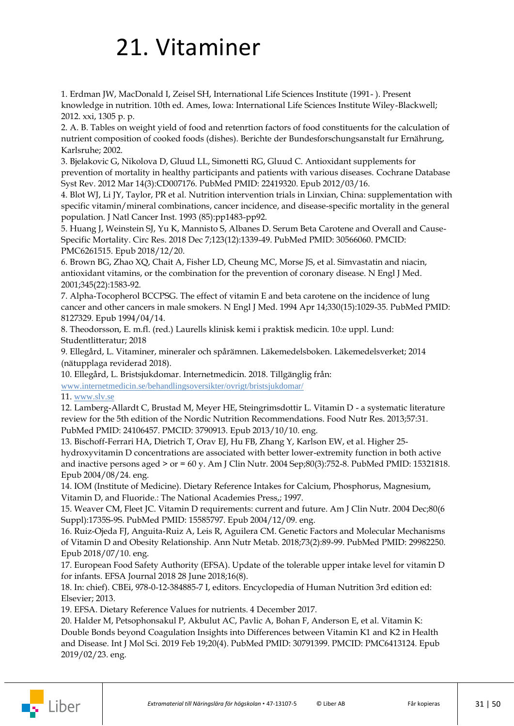### <span id="page-30-0"></span>21. Vitaminer

1. Erdman JW, MacDonald I, Zeisel SH, International Life Sciences Institute (1991- ). Present knowledge in nutrition. 10th ed. Ames, Iowa: International Life Sciences Institute Wiley-Blackwell; 2012. xxi, 1305 p. p.

2. A. B. Tables on weight yield of food and retenrtion factors of food constituents for the calculation of nutrient composition of cooked foods (dishes). Berichte der Bundesforschungsanstalt fur Ernährung, Karlsruhe; 2002.

3. Bjelakovic G, Nikolova D, Gluud LL, Simonetti RG, Gluud C. Antioxidant supplements for prevention of mortality in healthy participants and patients with various diseases. Cochrane Database Syst Rev. 2012 Mar 14(3):CD007176. PubMed PMID: 22419320. Epub 2012/03/16.

4. Blot WJ, Li JY, Taylor, PR et al. Nutrition intervention trials in Linxian, China: supplementation with specific vitamin/mineral combinations, cancer incidence, and disease-specific mortality in the general population. J Natl Cancer Inst. 1993 (85):pp1483-pp92.

5. Huang J, Weinstein SJ, Yu K, Mannisto S, Albanes D. Serum Beta Carotene and Overall and Cause-Specific Mortality. Circ Res. 2018 Dec 7;123(12):1339-49. PubMed PMID: 30566060. PMCID: PMC6261515. Epub 2018/12/20.

6. Brown BG, Zhao XQ, Chait A, Fisher LD, Cheung MC, Morse JS, et al. Simvastatin and niacin, antioxidant vitamins, or the combination for the prevention of coronary disease. N Engl J Med. 2001;345(22):1583-92.

7. Alpha-Tocopherol BCCPSG. The effect of vitamin E and beta carotene on the incidence of lung cancer and other cancers in male smokers. N Engl J Med. 1994 Apr 14;330(15):1029-35. PubMed PMID: 8127329. Epub 1994/04/14.

8. Theodorsson, E. m.fl. (red.) Laurells klinisk kemi i praktisk medicin. 10:e uppl. Lund: Studentlitteratur; 2018

9. Ellegård, L. Vitaminer, mineraler och spårämnen. Läkemedelsboken. Läkemedelsverket; 2014 (nätupplaga reviderad 2018).

10. Ellegård, L. Bristsjukdomar. Internetmedicin. 2018. Tillgänglig från:

[www.internetmedicin.se/behandlingsoversikter/ovrigt/bristsjukdomar/](https://www.internetmedicin.se/behandlingsoversikter/ovrigt/bristsjukdomar/)

11. [www.slv.se](file://///stofs01/Users/egra1/Näringslära/Manus/Redigering%201/www.slv.se)

12. Lamberg-Allardt C, Brustad M, Meyer HE, Steingrimsdottir L. Vitamin D - a systematic literature review for the 5th edition of the Nordic Nutrition Recommendations. Food Nutr Res. 2013;57:31. PubMed PMID: 24106457. PMCID: 3790913. Epub 2013/10/10. eng.

13. Bischoff-Ferrari HA, Dietrich T, Orav EJ, Hu FB, Zhang Y, Karlson EW, et al. Higher 25 hydroxyvitamin D concentrations are associated with better lower-extremity function in both active and inactive persons aged  $>$  or  $= 60$  y. Am J Clin Nutr. 2004 Sep;80(3):752-8. PubMed PMID: 15321818. Epub 2004/08/24. eng.

14. IOM (Institute of Medicine). Dietary Reference Intakes for Calcium, Phosphorus, Magnesium, Vitamin D, and Fluoride.: The National Academies Press,; 1997.

15. Weaver CM, Fleet JC. Vitamin D requirements: current and future. Am J Clin Nutr. 2004 Dec;80(6 Suppl):1735S-9S. PubMed PMID: 15585797. Epub 2004/12/09. eng.

16. Ruiz-Ojeda FJ, Anguita-Ruiz A, Leis R, Aguilera CM. Genetic Factors and Molecular Mechanisms of Vitamin D and Obesity Relationship. Ann Nutr Metab. 2018;73(2):89-99. PubMed PMID: 29982250. Epub 2018/07/10. eng.

17. European Food Safety Authority (EFSA). Update of the tolerable upper intake level for vitamin D for infants. EFSA Journal 2018 28 June 2018;16(8).

18. In: chief). CBEi, 978-0-12-384885-7 I, editors. Encyclopedia of Human Nutrition 3rd edition ed: Elsevier; 2013.

19. EFSA. Dietary Reference Values for nutrients. 4 December 2017.

20. Halder M, Petsophonsakul P, Akbulut AC, Pavlic A, Bohan F, Anderson E, et al. Vitamin K: Double Bonds beyond Coagulation Insights into Differences between Vitamin K1 and K2 in Health and Disease. Int J Mol Sci. 2019 Feb 19;20(4). PubMed PMID: 30791399. PMCID: PMC6413124. Epub 2019/02/23. eng.

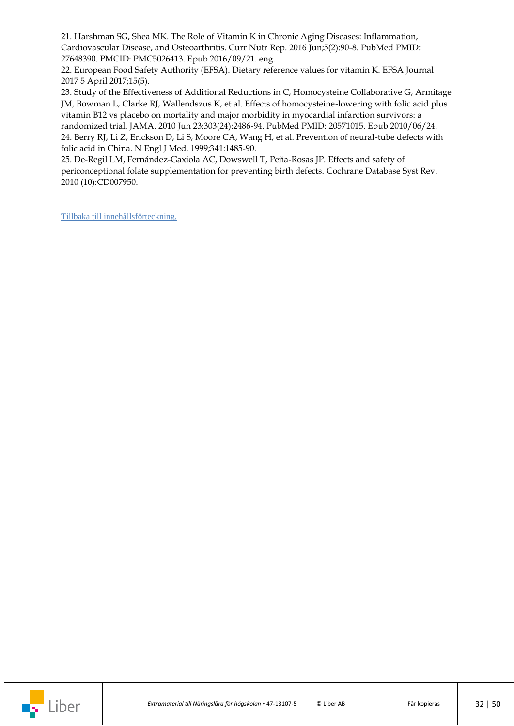21. Harshman SG, Shea MK. The Role of Vitamin K in Chronic Aging Diseases: Inflammation, Cardiovascular Disease, and Osteoarthritis. Curr Nutr Rep. 2016 Jun;5(2):90-8. PubMed PMID: 27648390. PMCID: PMC5026413. Epub 2016/09/21. eng.

22. European Food Safety Authority (EFSA). Dietary reference values for vitamin K. EFSA Journal 2017 5 April 2017;15(5).

23. Study of the Effectiveness of Additional Reductions in C, Homocysteine Collaborative G, Armitage JM, Bowman L, Clarke RJ, Wallendszus K, et al. Effects of homocysteine-lowering with folic acid plus vitamin B12 vs placebo on mortality and major morbidity in myocardial infarction survivors: a randomized trial. JAMA. 2010 Jun 23;303(24):2486-94. PubMed PMID: 20571015. Epub 2010/06/24. 24. Berry RJ, Li Z, Erickson D, Li S, Moore CA, Wang H, et al. Prevention of neural-tube defects with folic acid in China. N Engl J Med. 1999;341:1485-90.

25. De-Regil LM, Fernández-Gaxiola AC, Dowswell T, Peña-Rosas JP. Effects and safety of periconceptional folate supplementation for preventing birth defects. Cochrane Database Syst Rev. 2010 (10):CD007950.

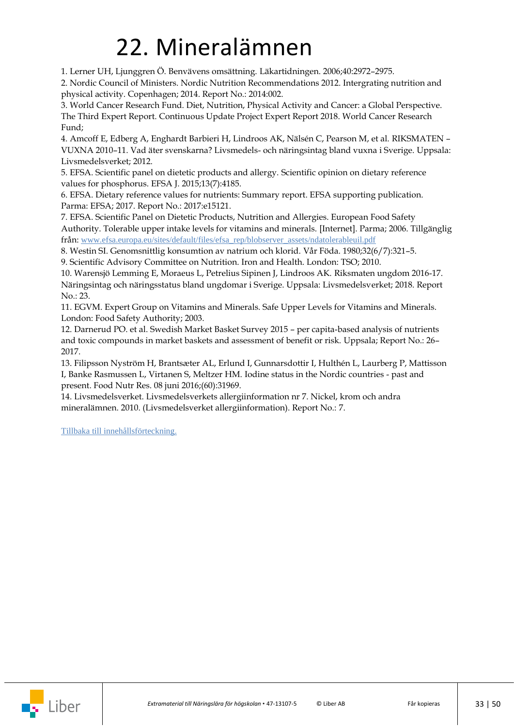### 22. Mineralämnen

<span id="page-32-0"></span>1. Lerner UH, Ljunggren Ö. Benvävens omsättning. Läkartidningen. 2006;40:2972–2975.

2. Nordic Council of Ministers. Nordic Nutrition Recommendations 2012. Intergrating nutrition and physical activity. Copenhagen; 2014. Report No.: 2014:002.

3. World Cancer Research Fund. Diet, Nutrition, Physical Activity and Cancer: a Global Perspective. The Third Expert Report. Continuous Update Project Expert Report 2018. World Cancer Research Fund;

4. Amcoff E, Edberg A, Enghardt Barbieri H, Lindroos AK, Nälsén C, Pearson M, et al. RIKSMATEN – VUXNA 2010–11. Vad äter svenskarna? Livsmedels- och näringsintag bland vuxna i Sverige. Uppsala: Livsmedelsverket; 2012.

5. EFSA. Scientific panel on dietetic products and allergy. Scientific opinion on dietary reference values for phosphorus. EFSA J. 2015;13(7):4185.

6. EFSA. Dietary reference values for nutrients: Summary report. EFSA supporting publication. Parma: EFSA; 2017. Report No.: 2017:e15121.

7. EFSA. Scientific Panel on Dietetic Products, Nutrition and Allergies. European Food Safety Authority. Tolerable upper intake levels for vitamins and minerals. [Internet]. Parma; 2006. Tillgänglig från: [www.efsa.europa.eu/sites/default/files/efsa\\_rep/blobserver\\_assets/ndatolerableuil.pdf](https://www.efsa.europa.eu/sites/default/files/efsa_rep/blobserver_assets/ndatolerableuil.pdf)

8. Westin SI. Genomsnittlig konsumtion av natrium och klorid. Vår Föda. 1980;32(6/7):321–5.

9. Scientific Advisory Committee on Nutrition. Iron and Health. London: TSO; 2010.

10. Warensjö Lemming E, Moraeus L, Petrelius Sipinen J, Lindroos AK. Riksmaten ungdom 2016-17. Näringsintag och näringsstatus bland ungdomar i Sverige. Uppsala: Livsmedelsverket; 2018. Report No.: 23.

11. EGVM. Expert Group on Vitamins and Minerals. Safe Upper Levels for Vitamins and Minerals. London: Food Safety Authority; 2003.

12. Darnerud PO. et al. Swedish Market Basket Survey 2015 – per capita-based analysis of nutrients and toxic compounds in market baskets and assessment of benefit or risk. Uppsala; Report No.: 26– 2017.

13. Filipsson Nyström H, Brantsæter AL, Erlund I, Gunnarsdottir I, Hulthén L, Laurberg P, Mattisson I, Banke Rasmussen L, Virtanen S, Meltzer HM. Iodine status in the Nordic countries - past and present. Food Nutr Res. 08 juni 2016;(60):31969.

14. Livsmedelsverket. Livsmedelsverkets allergiinformation nr 7. Nickel, krom och andra mineralämnen. 2010. (Livsmedelsverket allergiinformation). Report No.: 7.

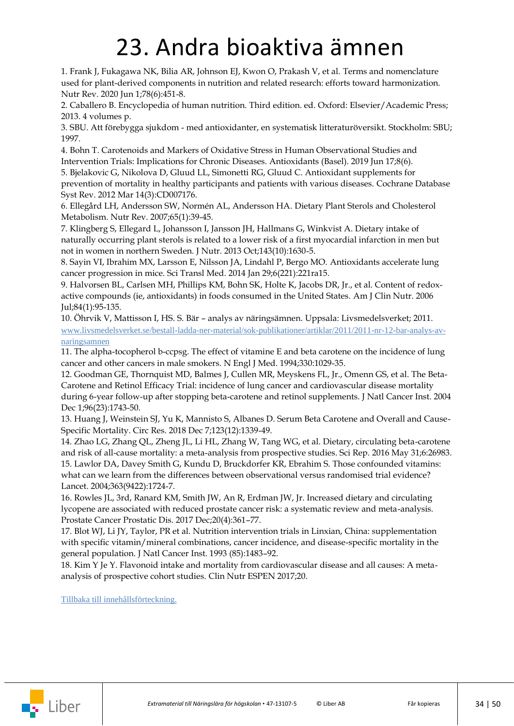### 23. Andra bioaktiva ämnen

<span id="page-33-0"></span>1. Frank J, Fukagawa NK, Bilia AR, Johnson EJ, Kwon O, Prakash V, et al. Terms and nomenclature used for plant-derived components in nutrition and related research: efforts toward harmonization. Nutr Rev. 2020 Jun 1;78(6):451-8.

2. Caballero B. Encyclopedia of human nutrition. Third edition. ed. Oxford: Elsevier/Academic Press; 2013. 4 volumes p.

3. SBU. Att förebygga sjukdom - med antioxidanter, en systematisk litteraturöversikt. Stockholm: SBU; 1997.

4. Bohn T. Carotenoids and Markers of Oxidative Stress in Human Observational Studies and Intervention Trials: Implications for Chronic Diseases. Antioxidants (Basel). 2019 Jun 17;8(6). 5. Bjelakovic G, Nikolova D, Gluud LL, Simonetti RG, Gluud C. Antioxidant supplements for

prevention of mortality in healthy participants and patients with various diseases. Cochrane Database Syst Rev. 2012 Mar 14(3):CD007176.

6. Ellegård LH, Andersson SW, Normén AL, Andersson HA. Dietary Plant Sterols and Cholesterol Metabolism. Nutr Rev. 2007;65(1):39-45.

7. Klingberg S, Ellegard L, Johansson I, Jansson JH, Hallmans G, Winkvist A. Dietary intake of naturally occurring plant sterols is related to a lower risk of a first myocardial infarction in men but not in women in northern Sweden. J Nutr. 2013 Oct;143(10):1630-5.

8. Sayin VI, Ibrahim MX, Larsson E, Nilsson JA, Lindahl P, Bergo MO. Antioxidants accelerate lung cancer progression in mice. Sci Transl Med. 2014 Jan 29;6(221):221ra15.

9. Halvorsen BL, Carlsen MH, Phillips KM, Bohn SK, Holte K, Jacobs DR, Jr., et al. Content of redoxactive compounds (ie, antioxidants) in foods consumed in the United States. Am J Clin Nutr. 2006 Jul;84(1):95-135.

10. Öhrvik V, Mattisson I, HS. S. Bär – analys av näringsämnen. Uppsala: Livsmedelsverket; 2011. [www.livsmedelsverket.se/bestall-ladda-ner-material/sok-publikationer/artiklar/2011/2011-nr-12-bar-analys-av](https://www.livsmedelsverket.se/bestall-ladda-ner-material/sok-publikationer/artiklar/2011/2011-nr-12-bar-analys-av-naringsamnen)[naringsamnen](https://www.livsmedelsverket.se/bestall-ladda-ner-material/sok-publikationer/artiklar/2011/2011-nr-12-bar-analys-av-naringsamnen)

11. The alpha-tocopherol b-ccpsg. The effect of vitamine E and beta carotene on the incidence of lung cancer and other cancers in male smokers. N Engl J Med. 1994;330:1029-35.

12. Goodman GE, Thornquist MD, Balmes J, Cullen MR, Meyskens FL, Jr., Omenn GS, et al. The Beta-Carotene and Retinol Efficacy Trial: incidence of lung cancer and cardiovascular disease mortality during 6-year follow-up after stopping beta-carotene and retinol supplements. J Natl Cancer Inst. 2004 Dec 1;96(23):1743-50.

13. Huang J, Weinstein SJ, Yu K, Mannisto S, Albanes D. Serum Beta Carotene and Overall and Cause-Specific Mortality. Circ Res. 2018 Dec 7;123(12):1339-49.

14. Zhao LG, Zhang QL, Zheng JL, Li HL, Zhang W, Tang WG, et al. Dietary, circulating beta-carotene and risk of all-cause mortality: a meta-analysis from prospective studies. Sci Rep. 2016 May 31;6:26983. 15. Lawlor DA, Davey Smith G, Kundu D, Bruckdorfer KR, Ebrahim S. Those confounded vitamins: what can we learn from the differences between observational versus randomised trial evidence? Lancet. 2004;363(9422):1724-7.

16. Rowles JL, 3rd, Ranard KM, Smith JW, An R, Erdman JW, Jr. Increased dietary and circulating lycopene are associated with reduced prostate cancer risk: a systematic review and meta-analysis. Prostate Cancer Prostatic Dis. 2017 Dec;20(4):361–77.

17. Blot WJ, Li JY, Taylor, PR et al. Nutrition intervention trials in Linxian, China: supplementation with specific vitamin/mineral combinations, cancer incidence, and disease-specific mortality in the general population. J Natl Cancer Inst. 1993 (85):1483–92.

18. Kim Y Je Y. Flavonoid intake and mortality from cardiovascular disease and all causes: A metaanalysis of prospective cohort studies. Clin Nutr ESPEN 2017;20.

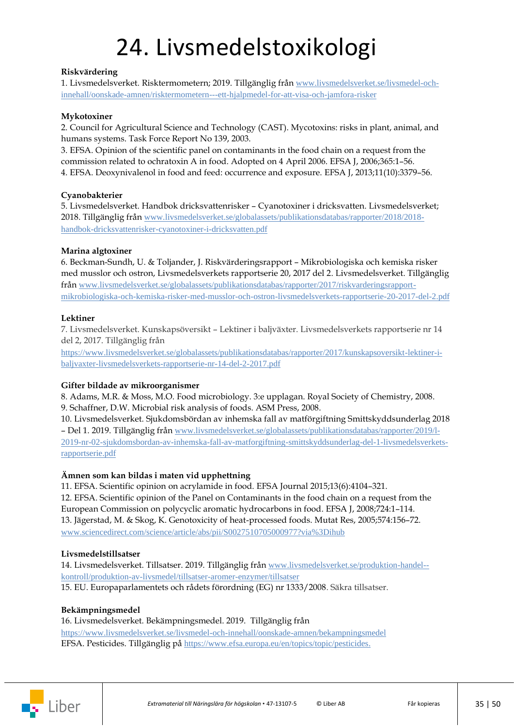## 24. Livsmedelstoxikologi

#### <span id="page-34-0"></span>**Riskvärdering**

1. Livsmedelsverket. Risktermometern; 2019. Tillgänglig från [www.livsmedelsverket.se/livsmedel-och](https://www.livsmedelsverket.se/livsmedel-och-innehall/oonskade-amnen/risktermometern---ett-hjalpmedel-for-att-visa-och-jamfora-risker)[innehall/oonskade-amnen/risktermometern---ett-hjalpmedel-for-att-visa-och-jamfora-risker](https://www.livsmedelsverket.se/livsmedel-och-innehall/oonskade-amnen/risktermometern---ett-hjalpmedel-for-att-visa-och-jamfora-risker)

#### **Mykotoxiner**

2. Council for Agricultural Science and Technology (CAST). Mycotoxins: risks in plant, animal, and humans systems. Task Force Report No 139, 2003.

3. EFSA. Opinion of the scientific panel on contaminants in the food chain on a request from the commission related to ochratoxin A in food. Adopted on 4 April 2006. EFSA J, 2006;365:1–56. 4. EFSA. Deoxynivalenol in food and feed: occurrence and exposure. EFSA J, 2013;11(10):3379–56.

#### **Cyanobakterier**

5. Livsmedelsverket. Handbok dricksvattenrisker – Cyanotoxiner i dricksvatten. Livsmedelsverket; 2018. Tillgänglig från [www.livsmedelsverket.se/globalassets/publikationsdatabas/rapporter/2018/2018](https://www.livsmedelsverket.se/globalassets/publikationsdatabas/rapporter/2018/2018-handbok-dricksvattenrisker-cyanotoxiner-i-dricksvatten.pdf?AspxAutoDetectCookieSupport=1) [handbok-dricksvattenrisker-cyanotoxiner-i-dricksvatten.pdf](https://www.livsmedelsverket.se/globalassets/publikationsdatabas/rapporter/2018/2018-handbok-dricksvattenrisker-cyanotoxiner-i-dricksvatten.pdf?AspxAutoDetectCookieSupport=1)

#### **Marina algtoxiner**

6. Beckman-Sundh, U. & Toljander, J. Riskvärderingsrapport – Mikrobiologiska och kemiska risker med musslor och ostron, Livsmedelsverkets rapportserie 20, 2017 del 2. Livsmedelsverket. Tillgänglig från [www.livsmedelsverket.se/globalassets/publikationsdatabas/rapporter/2017/riskvarderingsrapport](https://www.livsmedelsverket.se/globalassets/publikationsdatabas/rapporter/2017/riskvarderingsrapport-mikrobiologiska-och-kemiska-risker-med-musslor-och-ostron-livsmedelsverkets-rapportserie-20-2017-del-2.pdf)[mikrobiologiska-och-kemiska-risker-med-musslor-och-ostron-livsmedelsverkets-rapportserie-20-2017-del-2.pdf](https://www.livsmedelsverket.se/globalassets/publikationsdatabas/rapporter/2017/riskvarderingsrapport-mikrobiologiska-och-kemiska-risker-med-musslor-och-ostron-livsmedelsverkets-rapportserie-20-2017-del-2.pdf)

#### **Lektiner**

7. Livsmedelsverket. Kunskapsöversikt – Lektiner i baljväxter. Livsmedelsverkets rapportserie nr 14 del 2, 2017. Tillgänglig från

[https://www.livsmedelsverket.se/globalassets/publikationsdatabas/rapporter/2017/kunskapsoversikt-lektiner-i](https://www.livsmedelsverket.se/globalassets/publikationsdatabas/rapporter/2017/kunskapsoversikt-lektiner-i-baljvaxter-livsmedelsverkets-rapportserie-nr-14-del-2-2017.pdf)[baljvaxter-livsmedelsverkets-rapportserie-nr-14-del-2-2017.pdf](https://www.livsmedelsverket.se/globalassets/publikationsdatabas/rapporter/2017/kunskapsoversikt-lektiner-i-baljvaxter-livsmedelsverkets-rapportserie-nr-14-del-2-2017.pdf)

#### **Gifter bildade av mikroorganismer**

8. Adams, M.R. & Moss, M.O. Food microbiology. 3:e upplagan. Royal Society of Chemistry, 2008. 9. Schaffner, D.W. Microbial risk analysis of foods. ASM Press, 2008.

10. Livsmedelsverket. Sjukdomsbördan av inhemska fall av matförgiftning Smittskyddsunderlag 2018 – Del 1. 2019. Tillgänglig från [www.livsmedelsverket.se/globalassets/publikationsdatabas/rapporter/2019/l-](https://www.livsmedelsverket.se/globalassets/publikationsdatabas/rapporter/2019/l-2019-nr-02-sjukdomsbordan-av-inhemska-fall-av-matforgiftning-smittskyddsunderlag-del-1-livsmedelsverkets-rapportserie.pdf)[2019-nr-02-sjukdomsbordan-av-inhemska-fall-av-matforgiftning-smittskyddsunderlag-del-1-livsmedelsverkets](https://www.livsmedelsverket.se/globalassets/publikationsdatabas/rapporter/2019/l-2019-nr-02-sjukdomsbordan-av-inhemska-fall-av-matforgiftning-smittskyddsunderlag-del-1-livsmedelsverkets-rapportserie.pdf)[rapportserie.pdf](https://www.livsmedelsverket.se/globalassets/publikationsdatabas/rapporter/2019/l-2019-nr-02-sjukdomsbordan-av-inhemska-fall-av-matforgiftning-smittskyddsunderlag-del-1-livsmedelsverkets-rapportserie.pdf)

#### **Ämnen som kan bildas i maten vid upphettning**

11. EFSA. Scientific opinion on acrylamide in food. EFSA Journal 2015;13(6):4104–321. 12. EFSA. Scientific opinion of the Panel on Contaminants in the food chain on a request from the European Commission on polycyclic aromatic hydrocarbons in food. EFSA J, 2008;724:1–114. 13. Jägerstad, M. & Skog, K. Genotoxicity of heat-processed foods. Mutat Res, 2005;574:156–72. [www.sciencedirect.com/science/article/abs/pii/S0027510705000977?via%3Dihub](https://www.sciencedirect.com/science/article/abs/pii/S0027510705000977?via%3Dihub)

#### **Livsmedelstillsatser**

14. Livsmedelsverket. Tillsatser. 2019. Tillgänglig från [www.livsmedelsverket.se/produktion-handel-](https://www.livsmedelsverket.se/produktion-handel--kontroll/produktion-av-livsmedel/tillsatser-aromer-enzymer/tillsatser) [kontroll/produktion-av-livsmedel/tillsatser-aromer-enzymer/tillsatser](https://www.livsmedelsverket.se/produktion-handel--kontroll/produktion-av-livsmedel/tillsatser-aromer-enzymer/tillsatser) 15. EU. Europaparlamentets och rådets förordning (EG) nr 1333/2008. Säkra tillsatser.

#### **Bekämpningsmedel**

#### 16. Livsmedelsverket. Bekämpningsmedel. 2019. Tillgänglig från

<https://www.livsmedelsverket.se/livsmedel-och-innehall/oonskade-amnen/bekampningsmedel> EFSA. Pesticides. Tillgänglig på [https://www.efsa.europa.eu/en/topics/topic/pesticides.](https://www.efsa.europa.eu/en/topics/topic/pesticides)

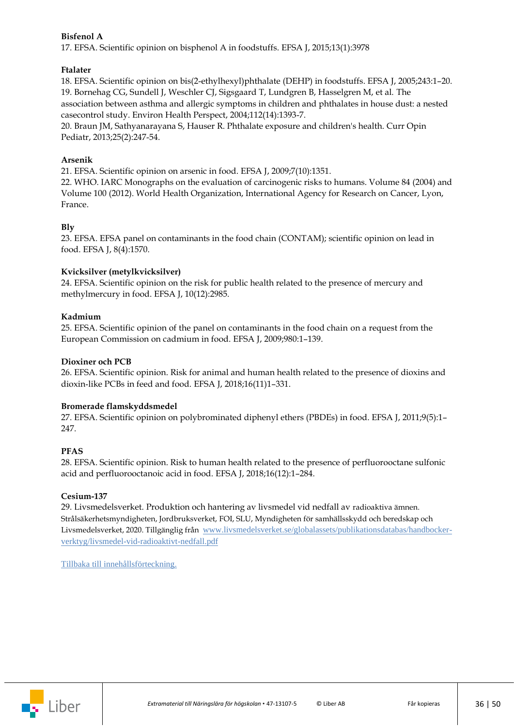#### **Bisfenol A**

17. EFSA. Scientific opinion on bisphenol A in foodstuffs. EFSA J, 2015;13(1):3978

#### **Ftalater**

18. EFSA. Scientific opinion on bis(2-ethylhexyl)phthalate (DEHP) in foodstuffs. EFSA J, 2005;243:1–20. 19. Bornehag CG, Sundell J, Weschler CJ, Sigsgaard T, Lundgren B, Hasselgren M, et al. The association between asthma and allergic symptoms in children and phthalates in house dust: a nested casecontrol study. Environ Health Perspect, 2004;112(14):1393-7.

20. Braun JM, Sathyanarayana S, Hauser R. Phthalate exposure and children's health. Curr Opin Pediatr, 2013;25(2):247-54.

#### **Arsenik**

21. EFSA. Scientific opinion on arsenic in food. EFSA J, 2009;7(10):1351.

22. WHO. IARC Monographs on the evaluation of carcinogenic risks to humans. Volume 84 (2004) and Volume 100 (2012). World Health Organization, International Agency for Research on Cancer, Lyon, France.

#### **Bly**

23. EFSA. EFSA panel on contaminants in the food chain (CONTAM); scientific opinion on lead in food. EFSA J, 8(4):1570.

#### **Kvicksilver (metylkvicksilver)**

24. EFSA. Scientific opinion on the risk for public health related to the presence of mercury and methylmercury in food. EFSA J, 10(12):2985.

#### **Kadmium**

25. EFSA. Scientific opinion of the panel on contaminants in the food chain on a request from the European Commission on cadmium in food. EFSA J, 2009;980:1–139.

#### **Dioxiner och PCB**

26. EFSA. Scientific opinion. Risk for animal and human health related to the presence of dioxins and dioxin‐like PCBs in feed and food. EFSA J, 2018;16(11)1–331.

#### **Bromerade flamskyddsmedel**

27. EFSA. Scientific opinion on polybrominated diphenyl ethers (PBDEs) in food. EFSA J, 2011;9(5):1– 247.

#### **PFAS**

28. EFSA. Scientific opinion. Risk to human health related to the presence of perfluorooctane sulfonic acid and perfluorooctanoic acid in food. EFSA J, 2018;16(12):1–284.

#### **Cesium-137**

29. Livsmedelsverket. Produktion och hantering av livsmedel vid nedfall av radioaktiva ämnen. Strålsäkerhetsmyndigheten, Jordbruksverket, FOI, SLU, Myndigheten för samhällsskydd och beredskap och Livsmedelsverket, 2020. Tillgänglig från www.livsmedelsverket.se/globalassets/publikationsdatabas/handbockerverktyg/livsmedel-vid-radioaktivt-nedfall.pdf

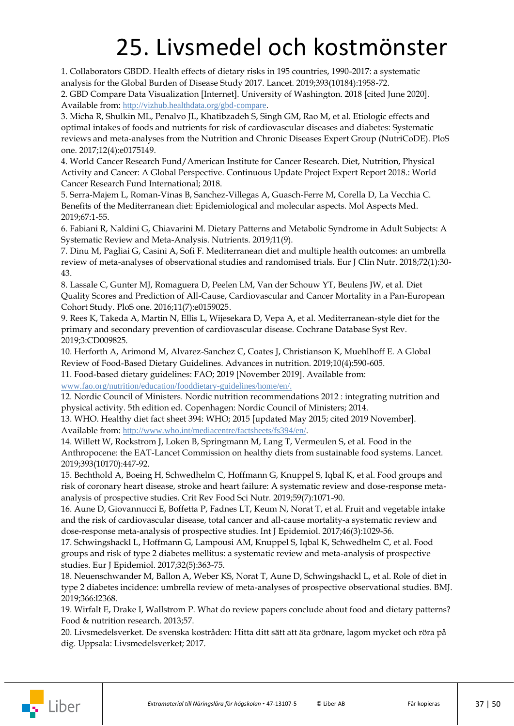## 25. Livsmedel och kostmönster

<span id="page-36-0"></span>1. Collaborators GBDD. Health effects of dietary risks in 195 countries, 1990-2017: a systematic analysis for the Global Burden of Disease Study 2017. Lancet. 2019;393(10184):1958-72.

2. GBD Compare Data Visualization [Internet]. University of Washington. 2018 [cited June 2020]. Available from: <http://vizhub.healthdata.org/gbd-compare>.

3. Micha R, Shulkin ML, Penalvo JL, Khatibzadeh S, Singh GM, Rao M, et al. Etiologic effects and optimal intakes of foods and nutrients for risk of cardiovascular diseases and diabetes: Systematic reviews and meta-analyses from the Nutrition and Chronic Diseases Expert Group (NutriCoDE). PloS one. 2017;12(4):e0175149.

4. World Cancer Research Fund/American Institute for Cancer Research. Diet, Nutrition, Physical Activity and Cancer: A Global Perspective. Continuous Update Project Expert Report 2018.: World Cancer Research Fund International; 2018.

5. Serra-Majem L, Roman-Vinas B, Sanchez-Villegas A, Guasch-Ferre M, Corella D, La Vecchia C. Benefits of the Mediterranean diet: Epidemiological and molecular aspects. Mol Aspects Med. 2019;67:1-55.

6. Fabiani R, Naldini G, Chiavarini M. Dietary Patterns and Metabolic Syndrome in Adult Subjects: A Systematic Review and Meta-Analysis. Nutrients. 2019;11(9).

7. Dinu M, Pagliai G, Casini A, Sofi F. Mediterranean diet and multiple health outcomes: an umbrella review of meta-analyses of observational studies and randomised trials. Eur J Clin Nutr. 2018;72(1):30- 43.

8. Lassale C, Gunter MJ, Romaguera D, Peelen LM, Van der Schouw YT, Beulens JW, et al. Diet Quality Scores and Prediction of All-Cause, Cardiovascular and Cancer Mortality in a Pan-European Cohort Study. PloS one. 2016;11(7):e0159025.

9. Rees K, Takeda A, Martin N, Ellis L, Wijesekara D, Vepa A, et al. Mediterranean-style diet for the primary and secondary prevention of cardiovascular disease. Cochrane Database Syst Rev. 2019;3:CD009825.

10. Herforth A, Arimond M, Alvarez-Sanchez C, Coates J, Christianson K, Muehlhoff E. A Global Review of Food-Based Dietary Guidelines. Advances in nutrition. 2019;10(4):590-605.

11. Food-based dietary guidelines: FAO; 2019 [November 2019]. Available from:

[www.fao.org/nutrition/education/fooddietary-guidelines/home/en/.](http://www.fao.org/nutrition/education/food-dietary-guidelines/en/)

12. Nordic Council of Ministers. Nordic nutrition recommendations 2012 : integrating nutrition and physical activity. 5th edition ed. Copenhagen: Nordic Council of Ministers; 2014.

13. WHO. Healthy diet fact sheet 394: WHO; 2015 [updated May 2015; cited 2019 November]. Available from: <http://www.who.int/mediacentre/factsheets/fs394/en/>.

14. Willett W, Rockstrom J, Loken B, Springmann M, Lang T, Vermeulen S, et al. Food in the Anthropocene: the EAT-Lancet Commission on healthy diets from sustainable food systems. Lancet. 2019;393(10170):447-92.

15. Bechthold A, Boeing H, Schwedhelm C, Hoffmann G, Knuppel S, Iqbal K, et al. Food groups and risk of coronary heart disease, stroke and heart failure: A systematic review and dose-response metaanalysis of prospective studies. Crit Rev Food Sci Nutr. 2019;59(7):1071-90.

16. Aune D, Giovannucci E, Boffetta P, Fadnes LT, Keum N, Norat T, et al. Fruit and vegetable intake and the risk of cardiovascular disease, total cancer and all-cause mortality-a systematic review and dose-response meta-analysis of prospective studies. Int J Epidemiol. 2017;46(3):1029-56.

17. Schwingshackl L, Hoffmann G, Lampousi AM, Knuppel S, Iqbal K, Schwedhelm C, et al. Food groups and risk of type 2 diabetes mellitus: a systematic review and meta-analysis of prospective studies. Eur J Epidemiol. 2017;32(5):363-75.

18. Neuenschwander M, Ballon A, Weber KS, Norat T, Aune D, Schwingshackl L, et al. Role of diet in type 2 diabetes incidence: umbrella review of meta-analyses of prospective observational studies. BMJ. 2019;366:l2368.

19. Wirfalt E, Drake I, Wallstrom P. What do review papers conclude about food and dietary patterns? Food & nutrition research. 2013;57.

20. Livsmedelsverket. De svenska kostråden: Hitta ditt sätt att äta grönare, lagom mycket och röra på dig. Uppsala: Livsmedelsverket; 2017.

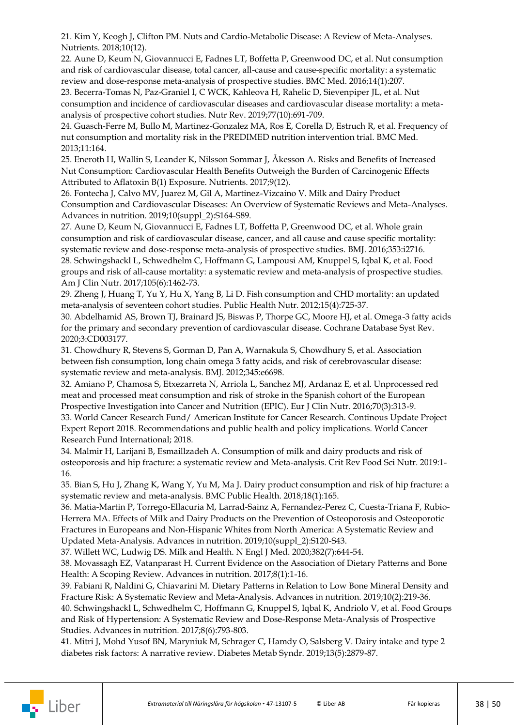21. Kim Y, Keogh J, Clifton PM. Nuts and Cardio-Metabolic Disease: A Review of Meta-Analyses. Nutrients. 2018;10(12).

22. Aune D, Keum N, Giovannucci E, Fadnes LT, Boffetta P, Greenwood DC, et al. Nut consumption and risk of cardiovascular disease, total cancer, all-cause and cause-specific mortality: a systematic review and dose-response meta-analysis of prospective studies. BMC Med. 2016;14(1):207.

23. Becerra-Tomas N, Paz-Graniel I, C WCK, Kahleova H, Rahelic D, Sievenpiper JL, et al. Nut consumption and incidence of cardiovascular diseases and cardiovascular disease mortality: a metaanalysis of prospective cohort studies. Nutr Rev. 2019;77(10):691-709.

24. Guasch-Ferre M, Bullo M, Martinez-Gonzalez MA, Ros E, Corella D, Estruch R, et al. Frequency of nut consumption and mortality risk in the PREDIMED nutrition intervention trial. BMC Med. 2013;11:164.

25. Eneroth H, Wallin S, Leander K, Nilsson Sommar J, Åkesson A. Risks and Benefits of Increased Nut Consumption: Cardiovascular Health Benefits Outweigh the Burden of Carcinogenic Effects Attributed to Aflatoxin B(1) Exposure. Nutrients. 2017;9(12).

26. Fontecha J, Calvo MV, Juarez M, Gil A, Martinez-Vizcaino V. Milk and Dairy Product Consumption and Cardiovascular Diseases: An Overview of Systematic Reviews and Meta-Analyses. Advances in nutrition. 2019;10(suppl\_2):S164-S89.

27. Aune D, Keum N, Giovannucci E, Fadnes LT, Boffetta P, Greenwood DC, et al. Whole grain consumption and risk of cardiovascular disease, cancer, and all cause and cause specific mortality: systematic review and dose-response meta-analysis of prospective studies. BMJ. 2016;353:i2716. 28. Schwingshackl L, Schwedhelm C, Hoffmann G, Lampousi AM, Knuppel S, Iqbal K, et al. Food

groups and risk of all-cause mortality: a systematic review and meta-analysis of prospective studies. Am J Clin Nutr. 2017;105(6):1462-73.

29. Zheng J, Huang T, Yu Y, Hu X, Yang B, Li D. Fish consumption and CHD mortality: an updated meta-analysis of seventeen cohort studies. Public Health Nutr. 2012;15(4):725-37.

30. Abdelhamid AS, Brown TJ, Brainard JS, Biswas P, Thorpe GC, Moore HJ, et al. Omega-3 fatty acids for the primary and secondary prevention of cardiovascular disease. Cochrane Database Syst Rev. 2020;3:CD003177.

31. Chowdhury R, Stevens S, Gorman D, Pan A, Warnakula S, Chowdhury S, et al. Association between fish consumption, long chain omega 3 fatty acids, and risk of cerebrovascular disease: systematic review and meta-analysis. BMJ. 2012;345:e6698.

32. Amiano P, Chamosa S, Etxezarreta N, Arriola L, Sanchez MJ, Ardanaz E, et al. Unprocessed red meat and processed meat consumption and risk of stroke in the Spanish cohort of the European Prospective Investigation into Cancer and Nutrition (EPIC). Eur J Clin Nutr. 2016;70(3):313-9. 33. World Cancer Research Fund/ American Institute for Cancer Research. Continous Update Project Expert Report 2018. Recommendations and public health and policy implications. World Cancer Research Fund International; 2018.

34. Malmir H, Larijani B, Esmaillzadeh A. Consumption of milk and dairy products and risk of osteoporosis and hip fracture: a systematic review and Meta-analysis. Crit Rev Food Sci Nutr. 2019:1- 16.

35. Bian S, Hu J, Zhang K, Wang Y, Yu M, Ma J. Dairy product consumption and risk of hip fracture: a systematic review and meta-analysis. BMC Public Health. 2018;18(1):165.

36. Matia-Martin P, Torrego-Ellacuria M, Larrad-Sainz A, Fernandez-Perez C, Cuesta-Triana F, Rubio-Herrera MA. Effects of Milk and Dairy Products on the Prevention of Osteoporosis and Osteoporotic Fractures in Europeans and Non-Hispanic Whites from North America: A Systematic Review and Updated Meta-Analysis. Advances in nutrition. 2019;10(suppl\_2):S120-S43.

37. Willett WC, Ludwig DS. Milk and Health. N Engl J Med. 2020;382(7):644-54.

38. Movassagh EZ, Vatanparast H. Current Evidence on the Association of Dietary Patterns and Bone Health: A Scoping Review. Advances in nutrition. 2017;8(1):1-16.

39. Fabiani R, Naldini G, Chiavarini M. Dietary Patterns in Relation to Low Bone Mineral Density and Fracture Risk: A Systematic Review and Meta-Analysis. Advances in nutrition. 2019;10(2):219-36. 40. Schwingshackl L, Schwedhelm C, Hoffmann G, Knuppel S, Iqbal K, Andriolo V, et al. Food Groups and Risk of Hypertension: A Systematic Review and Dose-Response Meta-Analysis of Prospective Studies. Advances in nutrition. 2017;8(6):793-803.

41. Mitri J, Mohd Yusof BN, Maryniuk M, Schrager C, Hamdy O, Salsberg V. Dairy intake and type 2 diabetes risk factors: A narrative review. Diabetes Metab Syndr. 2019;13(5):2879-87.

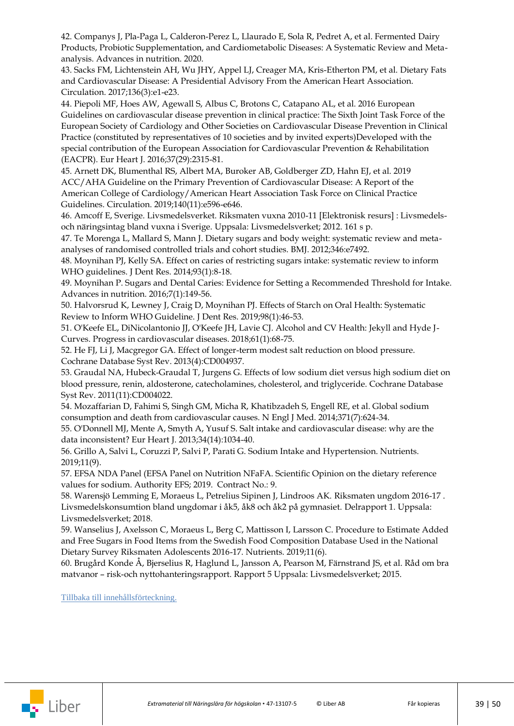42. Companys J, Pla-Paga L, Calderon-Perez L, Llaurado E, Sola R, Pedret A, et al. Fermented Dairy Products, Probiotic Supplementation, and Cardiometabolic Diseases: A Systematic Review and Metaanalysis. Advances in nutrition. 2020.

43. Sacks FM, Lichtenstein AH, Wu JHY, Appel LJ, Creager MA, Kris-Etherton PM, et al. Dietary Fats and Cardiovascular Disease: A Presidential Advisory From the American Heart Association. Circulation. 2017;136(3):e1-e23.

44. Piepoli MF, Hoes AW, Agewall S, Albus C, Brotons C, Catapano AL, et al. 2016 European Guidelines on cardiovascular disease prevention in clinical practice: The Sixth Joint Task Force of the European Society of Cardiology and Other Societies on Cardiovascular Disease Prevention in Clinical Practice (constituted by representatives of 10 societies and by invited experts)Developed with the special contribution of the European Association for Cardiovascular Prevention & Rehabilitation (EACPR). Eur Heart J. 2016;37(29):2315-81.

45. Arnett DK, Blumenthal RS, Albert MA, Buroker AB, Goldberger ZD, Hahn EJ, et al. 2019 ACC/AHA Guideline on the Primary Prevention of Cardiovascular Disease: A Report of the American College of Cardiology/American Heart Association Task Force on Clinical Practice Guidelines. Circulation. 2019;140(11):e596-e646.

46. Amcoff E, Sverige. Livsmedelsverket. Riksmaten vuxna 2010-11 [Elektronisk resurs] : Livsmedelsoch näringsintag bland vuxna i Sverige. Uppsala: Livsmedelsverket; 2012. 161 s p.

47. Te Morenga L, Mallard S, Mann J. Dietary sugars and body weight: systematic review and metaanalyses of randomised controlled trials and cohort studies. BMJ. 2012;346:e7492.

48. Moynihan PJ, Kelly SA. Effect on caries of restricting sugars intake: systematic review to inform WHO guidelines. J Dent Res. 2014;93(1):8-18.

49. Moynihan P. Sugars and Dental Caries: Evidence for Setting a Recommended Threshold for Intake. Advances in nutrition. 2016;7(1):149-56.

50. Halvorsrud K, Lewney J, Craig D, Moynihan PJ. Effects of Starch on Oral Health: Systematic Review to Inform WHO Guideline. J Dent Res. 2019;98(1):46-53.

51. O'Keefe EL, DiNicolantonio JJ, O'Keefe JH, Lavie CJ. Alcohol and CV Health: Jekyll and Hyde J-Curves. Progress in cardiovascular diseases. 2018;61(1):68-75.

52. He FJ, Li J, Macgregor GA. Effect of longer-term modest salt reduction on blood pressure. Cochrane Database Syst Rev. 2013(4):CD004937.

53. Graudal NA, Hubeck-Graudal T, Jurgens G. Effects of low sodium diet versus high sodium diet on blood pressure, renin, aldosterone, catecholamines, cholesterol, and triglyceride. Cochrane Database Syst Rev. 2011(11):CD004022.

54. Mozaffarian D, Fahimi S, Singh GM, Micha R, Khatibzadeh S, Engell RE, et al. Global sodium consumption and death from cardiovascular causes. N Engl J Med. 2014;371(7):624-34.

55. O'Donnell MJ, Mente A, Smyth A, Yusuf S. Salt intake and cardiovascular disease: why are the data inconsistent? Eur Heart J. 2013;34(14):1034-40.

56. Grillo A, Salvi L, Coruzzi P, Salvi P, Parati G. Sodium Intake and Hypertension. Nutrients. 2019;11(9).

57. EFSA NDA Panel (EFSA Panel on Nutrition NFaFA. Scientific Opinion on the dietary reference values for sodium. Authority EFS; 2019. Contract No.: 9.

58. Warensjö Lemming E, Moraeus L, Petrelius Sipinen J, Lindroos AK. Riksmaten ungdom 2016-17 . Livsmedelskonsumtion bland ungdomar i åk5, åk8 och åk2 på gymnasiet. Delrapport 1. Uppsala: Livsmedelsverket; 2018.

59. Wanselius J, Axelsson C, Moraeus L, Berg C, Mattisson I, Larsson C. Procedure to Estimate Added and Free Sugars in Food Items from the Swedish Food Composition Database Used in the National Dietary Survey Riksmaten Adolescents 2016-17. Nutrients. 2019;11(6).

60. Brugård Konde Å, Bjerselius R, Haglund L, Jansson A, Pearson M, Färnstrand JS, et al. Råd om bra matvanor – risk-och nyttohanteringsrapport. Rapport 5 Uppsala: Livsmedelsverket; 2015.

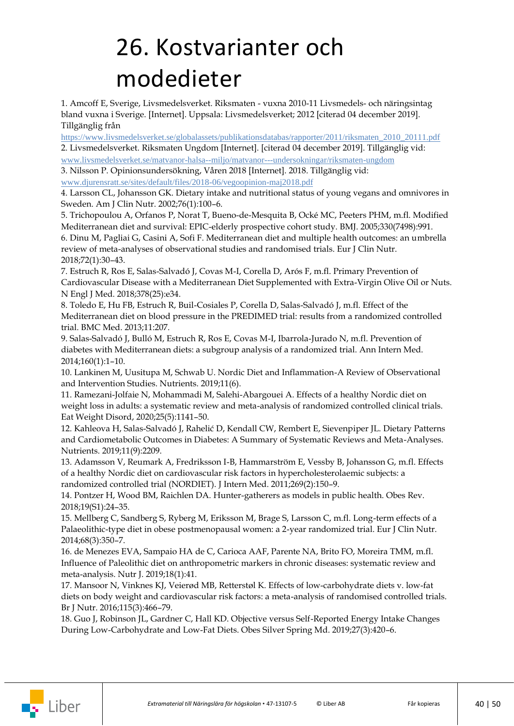## <span id="page-39-0"></span>26. Kostvarianter och modedieter

1. Amcoff E, Sverige, Livsmedelsverket. Riksmaten - vuxna 2010-11 Livsmedels- och näringsintag bland vuxna i Sverige. [Internet]. Uppsala: Livsmedelsverket; 2012 [citerad 04 december 2019]. Tillgänglig från

https://www.livsmedelsverket.se/globalassets/publikationsdatabas/rapporter/2011/riksmaten\_2010\_20111.pdf 2. Livsmedelsverket. Riksmaten Ungdom [Internet]. [citerad 04 december 2019]. Tillgänglig vid: [www.livsmedelsverket.se/matvanor-halsa--miljo/matvanor---undersokningar/riksmaten-ungdom](https://www.livsmedelsverket.se/matvanor-halsa--miljo/matvanor---undersokningar/riksmaten-ungdom)

3. Nilsson P. Opinionsundersökning, Våren 2018 [Internet]. 2018. Tillgänglig vid:

[www.djurensratt.se/sites/default/files/2018-06/vegoopinion-maj2018.pdf](https://www.djurensratt.se/sites/default/files/2018-06/vegoopinion-maj2018.pdf)

4. Larsson CL, Johansson GK. Dietary intake and nutritional status of young vegans and omnivores in Sweden. Am J Clin Nutr. 2002;76(1):100–6.

5. Trichopoulou A, Orfanos P, Norat T, Bueno-de-Mesquita B, Ocké MC, Peeters PHM, m.fl. Modified Mediterranean diet and survival: EPIC-elderly prospective cohort study. BMJ. 2005;330(7498):991. 6. Dinu M, Pagliai G, Casini A, Sofi F. Mediterranean diet and multiple health outcomes: an umbrella review of meta-analyses of observational studies and randomised trials. Eur J Clin Nutr.

2018;72(1):30–43.

7. Estruch R, Ros E, Salas-Salvadó J, Covas M-I, Corella D, Arós F, m.fl. Primary Prevention of Cardiovascular Disease with a Mediterranean Diet Supplemented with Extra-Virgin Olive Oil or Nuts. N Engl J Med. 2018;378(25):e34.

8. Toledo E, Hu FB, Estruch R, Buil-Cosiales P, Corella D, Salas-Salvadó J, m.fl. Effect of the Mediterranean diet on blood pressure in the PREDIMED trial: results from a randomized controlled trial. BMC Med. 2013;11:207.

9. Salas-Salvadó J, Bulló M, Estruch R, Ros E, Covas M-I, Ibarrola-Jurado N, m.fl. Prevention of diabetes with Mediterranean diets: a subgroup analysis of a randomized trial. Ann Intern Med. 2014;160(1):1–10.

10. Lankinen M, Uusitupa M, Schwab U. Nordic Diet and Inflammation-A Review of Observational and Intervention Studies. Nutrients. 2019;11(6).

11. Ramezani-Jolfaie N, Mohammadi M, Salehi-Abargouei A. Effects of a healthy Nordic diet on weight loss in adults: a systematic review and meta-analysis of randomized controlled clinical trials. Eat Weight Disord, 2020;25(5):1141–50.

12. Kahleova H, Salas-Salvadó J, Rahelić D, Kendall CW, Rembert E, Sievenpiper JL. Dietary Patterns and Cardiometabolic Outcomes in Diabetes: A Summary of Systematic Reviews and Meta-Analyses. Nutrients. 2019;11(9):2209.

13. Adamsson V, Reumark A, Fredriksson I-B, Hammarström E, Vessby B, Johansson G, m.fl. Effects of a healthy Nordic diet on cardiovascular risk factors in hypercholesterolaemic subjects: a randomized controlled trial (NORDIET). J Intern Med. 2011;269(2):150–9.

14. Pontzer H, Wood BM, Raichlen DA. Hunter-gatherers as models in public health. Obes Rev. 2018;19(S1):24–35.

15. Mellberg C, Sandberg S, Ryberg M, Eriksson M, Brage S, Larsson C, m.fl. Long-term effects of a Palaeolithic-type diet in obese postmenopausal women: a 2-year randomized trial. Eur J Clin Nutr. 2014;68(3):350–7.

16. de Menezes EVA, Sampaio HA de C, Carioca AAF, Parente NA, Brito FO, Moreira TMM, m.fl. Influence of Paleolithic diet on anthropometric markers in chronic diseases: systematic review and meta-analysis. Nutr J. 2019;18(1):41.

17. Mansoor N, Vinknes KJ, Veierød MB, Retterstøl K. Effects of low-carbohydrate diets v. low-fat diets on body weight and cardiovascular risk factors: a meta-analysis of randomised controlled trials. Br J Nutr. 2016;115(3):466–79.

18. Guo J, Robinson JL, Gardner C, Hall KD. Objective versus Self-Reported Energy Intake Changes During Low-Carbohydrate and Low-Fat Diets. Obes Silver Spring Md. 2019;27(3):420–6.

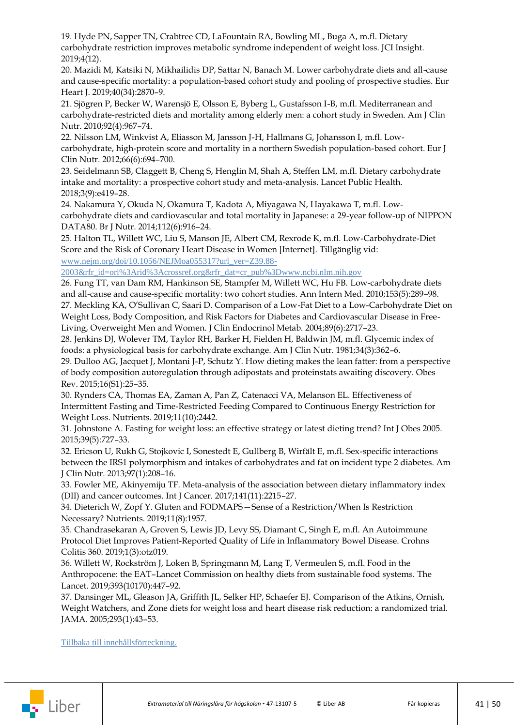19. Hyde PN, Sapper TN, Crabtree CD, LaFountain RA, Bowling ML, Buga A, m.fl. Dietary carbohydrate restriction improves metabolic syndrome independent of weight loss. JCI Insight. 2019;4(12).

20. Mazidi M, Katsiki N, Mikhailidis DP, Sattar N, Banach M. Lower carbohydrate diets and all-cause and cause-specific mortality: a population-based cohort study and pooling of prospective studies. Eur Heart J. 2019;40(34):2870–9.

21. Sjögren P, Becker W, Warensjö E, Olsson E, Byberg L, Gustafsson I-B, m.fl. Mediterranean and carbohydrate-restricted diets and mortality among elderly men: a cohort study in Sweden. Am J Clin Nutr. 2010;92(4):967–74.

22. Nilsson LM, Winkvist A, Eliasson M, Jansson J-H, Hallmans G, Johansson I, m.fl. Lowcarbohydrate, high-protein score and mortality in a northern Swedish population-based cohort. Eur J Clin Nutr. 2012;66(6):694–700.

23. Seidelmann SB, Claggett B, Cheng S, Henglin M, Shah A, Steffen LM, m.fl. Dietary carbohydrate intake and mortality: a prospective cohort study and meta-analysis. Lancet Public Health. 2018;3(9):e419–28.

24. Nakamura Y, Okuda N, Okamura T, Kadota A, Miyagawa N, Hayakawa T, m.fl. Lowcarbohydrate diets and cardiovascular and total mortality in Japanese: a 29-year follow-up of NIPPON DATA80. Br J Nutr. 2014;112(6):916–24.

25. Halton TL, Willett WC, Liu S, Manson JE, Albert CM, Rexrode K, m.fl. Low-Carbohydrate-Diet Score and the Risk of Coronary Heart Disease in Women [Internet]. Tillgänglig vid: [www.nejm.org/doi/10.1056/NEJMoa055317?url\\_ver=Z39.88-](https://www.nejm.org/doi/10.1056/NEJMoa055317?url_ver=Z39.88-2003&rfr_id=ori%3Arid%3Acrossref.org&rfr_dat=cr_pub%3Dwww.ncbi.nlm.nih.gov)

[2003&rfr\\_id=ori%3Arid%3Acrossref.org&rfr\\_dat=cr\\_pub%3Dwww.ncbi.nlm.nih.gov](https://www.nejm.org/doi/10.1056/NEJMoa055317?url_ver=Z39.88-2003&rfr_id=ori%3Arid%3Acrossref.org&rfr_dat=cr_pub%3Dwww.ncbi.nlm.nih.gov)

26. Fung TT, van Dam RM, Hankinson SE, Stampfer M, Willett WC, Hu FB. Low-carbohydrate diets and all-cause and cause-specific mortality: two cohort studies. Ann Intern Med. 2010;153(5):289–98. 27. Meckling KA, O'Sullivan C, Saari D. Comparison of a Low-Fat Diet to a Low-Carbohydrate Diet on Weight Loss, Body Composition, and Risk Factors for Diabetes and Cardiovascular Disease in Free-Living, Overweight Men and Women. J Clin Endocrinol Metab. 2004;89(6):2717–23.

28. Jenkins DJ, Wolever TM, Taylor RH, Barker H, Fielden H, Baldwin JM, m.fl. Glycemic index of foods: a physiological basis for carbohydrate exchange. Am J Clin Nutr. 1981;34(3):362–6.

29. Dulloo AG, Jacquet J, Montani J-P, Schutz Y. How dieting makes the lean fatter: from a perspective of body composition autoregulation through adipostats and proteinstats awaiting discovery. Obes Rev. 2015;16(S1):25–35.

30. Rynders CA, Thomas EA, Zaman A, Pan Z, Catenacci VA, Melanson EL. Effectiveness of Intermittent Fasting and Time-Restricted Feeding Compared to Continuous Energy Restriction for Weight Loss. Nutrients. 2019;11(10):2442.

31. Johnstone A. Fasting for weight loss: an effective strategy or latest dieting trend? Int J Obes 2005. 2015;39(5):727–33.

32. Ericson U, Rukh G, Stojkovic I, Sonestedt E, Gullberg B, Wirfält E, m.fl. Sex-specific interactions between the IRS1 polymorphism and intakes of carbohydrates and fat on incident type 2 diabetes. Am J Clin Nutr. 2013;97(1):208–16.

33. Fowler ME, Akinyemiju TF. Meta-analysis of the association between dietary inflammatory index (DII) and cancer outcomes. Int J Cancer. 2017;141(11):2215–27.

34. Dieterich W, Zopf Y. Gluten and FODMAPS—Sense of a Restriction/When Is Restriction Necessary? Nutrients. 2019;11(8):1957.

35. Chandrasekaran A, Groven S, Lewis JD, Levy SS, Diamant C, Singh E, m.fl. An Autoimmune Protocol Diet Improves Patient-Reported Quality of Life in Inflammatory Bowel Disease. Crohns Colitis 360. 2019;1(3):otz019.

36. Willett W, Rockström J, Loken B, Springmann M, Lang T, Vermeulen S, m.fl. Food in the Anthropocene: the EAT–Lancet Commission on healthy diets from sustainable food systems. The Lancet. 2019;393(10170):447–92.

37. Dansinger ML, Gleason JA, Griffith JL, Selker HP, Schaefer EJ. Comparison of the Atkins, Ornish, Weight Watchers, and Zone diets for weight loss and heart disease risk reduction: a randomized trial. JAMA. 2005;293(1):43–53.

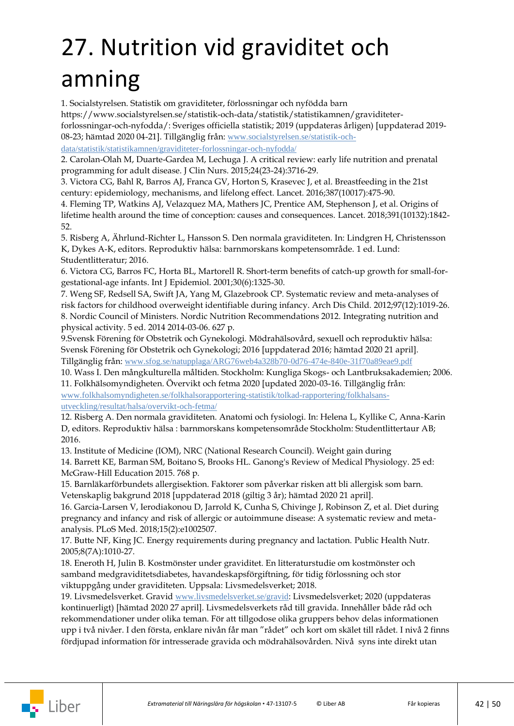## <span id="page-41-0"></span>27. Nutrition vid graviditet och amning

1. Socialstyrelsen. Statistik om graviditeter, förlossningar och nyfödda barn

https://www.socialstyrelsen.se/statistik-och-data/statistik/statistikamnen/graviditeter-

forlossningar-och-nyfodda/: Sveriges officiella statistik; 2019 (uppdateras årligen) [uppdaterad 2019- 08-23; hämtad 2020 04-21]. Tillgänglig från: [www.socialstyrelsen.se/statistik-och-](https://www.socialstyrelsen.se/statistik-och-data/statistik/statistikamnen/graviditeter-forlossningar-och-nyfodda/)

[data/statistik/statistikamnen/graviditeter-forlossningar-och-nyfodda/](https://www.socialstyrelsen.se/statistik-och-data/statistik/statistikamnen/graviditeter-forlossningar-och-nyfodda/)

2. Carolan-Olah M, Duarte-Gardea M, Lechuga J. A critical review: early life nutrition and prenatal programming for adult disease. J Clin Nurs. 2015;24(23-24):3716-29.

3. Victora CG, Bahl R, Barros AJ, Franca GV, Horton S, Krasevec J, et al. Breastfeeding in the 21st century: epidemiology, mechanisms, and lifelong effect. Lancet. 2016;387(10017):475-90.

4. Fleming TP, Watkins AJ, Velazquez MA, Mathers JC, Prentice AM, Stephenson J, et al. Origins of lifetime health around the time of conception: causes and consequences. Lancet. 2018;391(10132):1842- 52.

5. Risberg A, Ährlund-Richter L, Hansson S. Den normala graviditeten. In: Lindgren H, Christensson K, Dykes A-K, editors. Reproduktiv hälsa: barnmorskans kompetensområde. 1 ed. Lund: Studentlitteratur; 2016.

6. Victora CG, Barros FC, Horta BL, Martorell R. Short-term benefits of catch-up growth for small-forgestational-age infants. Int J Epidemiol. 2001;30(6):1325-30.

7. Weng SF, Redsell SA, Swift JA, Yang M, Glazebrook CP. Systematic review and meta-analyses of risk factors for childhood overweight identifiable during infancy. Arch Dis Child. 2012;97(12):1019-26. 8. Nordic Council of Ministers. Nordic Nutrition Recommendations 2012. Integrating nutrition and physical activity. 5 ed. 2014 2014-03-06. 627 p.

9.Svensk Förening för Obstetrik och Gynekologi. Mödrahälsovård, sexuell och reproduktiv hälsa: Svensk Förening för Obstetrik och Gynekologi; 2016 [uppdaterad 2016; hämtad 2020 21 april]. Tillgänglig från: [www.sfog.se/natupplaga/ARG76web4a328b70-0d76-474e-840e-31f70a89eae9.pdf](https://www.sfog.se/natupplaga/ARG76web4a328b70-0d76-474e-840e-31f70a89eae9.pdf)

10. Wass I. Den mångkulturella måltiden. Stockholm: Kungliga Skogs- och Lantbruksakademien; 2006.

11. Folkhälsomyndigheten. Övervikt och fetma 2020 [updated 2020-03-16. Tillgänglig från: [www.folkhalsomyndigheten.se/folkhalsorapportering-statistik/tolkad-rapportering/folkhalsans](https://www.folkhalsomyndigheten.se/folkhalsorapportering-statistik/tolkad-rapportering/folkhalsans-utveckling/resultat/halsa/overvikt-och-fetma/)[utveckling/resultat/halsa/overvikt-och-fetma/](https://www.folkhalsomyndigheten.se/folkhalsorapportering-statistik/tolkad-rapportering/folkhalsans-utveckling/resultat/halsa/overvikt-och-fetma/)

12. Risberg A. Den normala graviditeten. Anatomi och fysiologi. In: Helena L, Kyllike C, Anna-Karin D, editors. Reproduktiv hälsa : barnmorskans kompetensområde Stockholm: Studentlittertaur AB; 2016.

13. Institute of Medicine (IOM), NRC (National Research Council). Weight gain during 14. Barrett KE, Barman SM, Boitano S, Brooks HL. Ganong's Review of Medical Physiology. 25 ed:

McGraw-Hill Education 2015. 768 p.

15. Barnläkarförbundets allergisektion. Faktorer som påverkar risken att bli allergisk som barn. Vetenskaplig bakgrund 2018 [uppdaterad 2018 (giltig 3 år); hämtad 2020 21 april].

16. Garcia-Larsen V, Ierodiakonou D, Jarrold K, Cunha S, Chivinge J, Robinson Z, et al. Diet during pregnancy and infancy and risk of allergic or autoimmune disease: A systematic review and metaanalysis. PLoS Med. 2018;15(2):e1002507.

17. Butte NF, King JC. Energy requirements during pregnancy and lactation. Public Health Nutr. 2005;8(7A):1010-27.

18. Eneroth H, Julin B. Kostmönster under graviditet. En litteraturstudie om kostmönster och samband medgraviditetsdiabetes, havandeskapsförgiftning, för tidig förlossning och stor viktuppgång under graviditeten. Uppsala: Livsmedelsverket; 2018.

19. Livsmedelsverket. Gravid [www.livsmedelsverket.se/gravid](https://www.livsmedelsverket.se/gravid): Livsmedelsverket; 2020 (uppdateras kontinuerligt) [hämtad 2020 27 april]. Livsmedelsverkets råd till gravida. Innehåller både råd och rekommendationer under olika teman. För att tillgodose olika gruppers behov delas informationen upp i två nivåer. I den första, enklare nivån får man "rådet" och kort om skälet till rådet. I nivå 2 finns fördjupad information för intresserade gravida och mödrahälsovården. Nivå syns inte direkt utan

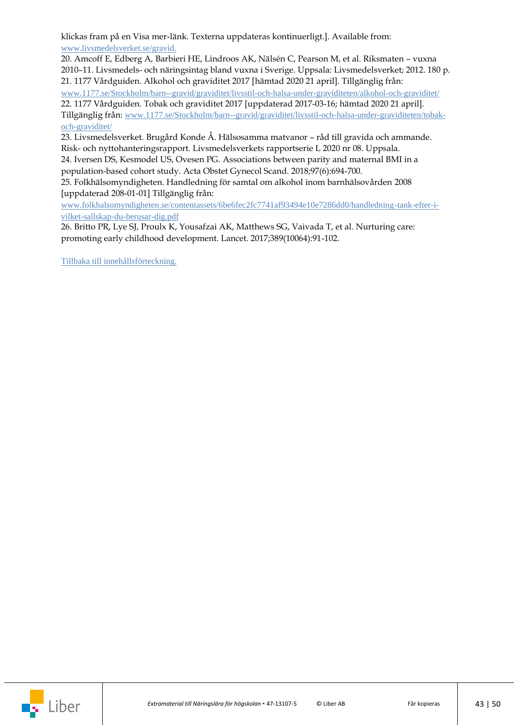klickas fram på en Visa mer-länk. Texterna uppdateras kontinuerligt.]. Available from: [www.livsmedelsverket.se/gravid.](https://www.livsmedelsverket.se/gravid)

20. Amcoff E, Edberg A, Barbieri HE, Lindroos AK, Nälsén C, Pearson M, et al. Riksmaten – vuxna 2010–11. Livsmedels- och näringsintag bland vuxna i Sverige. Uppsala: Livsmedelsverket; 2012. 180 p. 21. 1177 Vårdguiden. Alkohol och graviditet 2017 [hämtad 2020 21 april]. Tillgänglig från: [www.1177.se/Stockholm/barn--gravid/graviditet/livsstil-och-halsa-under-graviditeten/alkohol-och-graviditet/](https://www.1177.se/Stockholm/barn--gravid/graviditet/livsstil-och-halsa-under-graviditeten/alkohol-och-graviditet/) 22. 1177 Vårdguiden. Tobak och graviditet 2017 [uppdaterad 2017-03-16; hämtad 2020 21 april]. Tillgänglig från: [www.1177.se/Stockholm/barn--gravid/graviditet/livsstil-och-halsa-under-graviditeten/tobak](https://www.1177.se/Stockholm/barn--gravid/graviditet/livsstil-och-halsa-under-graviditeten/tobak-och-graviditet/)[och-graviditet/](https://www.1177.se/Stockholm/barn--gravid/graviditet/livsstil-och-halsa-under-graviditeten/tobak-och-graviditet/)

23. Livsmedelsverket. Brugård Konde Å. Hälsosamma matvanor – råd till gravida och ammande. Risk- och nyttohanteringsrapport. Livsmedelsverkets rapportserie L 2020 nr 08. Uppsala.

24. Iversen DS, Kesmodel US, Ovesen PG. Associations between parity and maternal BMI in a population-based cohort study. Acta Obstet Gynecol Scand. 2018;97(6):694-700.

25. Folkhälsomyndigheten. Handledning för samtal om alkohol inom barnhälsovården 2008 [uppdaterad 208-01-01] Tillgänglig från:

[www.folkhalsomyndigheten.se/contentassets/6be6fec2fc7741af93494e10e7286dd0/handledning-tank-efter-i](https://www.folkhalsomyndigheten.se/contentassets/6be6fec2fc7741af93494e10e7286dd0/handledning-tank-efter-i-vilket-sallskap-du-berusar-dig.pdf)[vilket-sallskap-du-berusar-dig.pdf](https://www.folkhalsomyndigheten.se/contentassets/6be6fec2fc7741af93494e10e7286dd0/handledning-tank-efter-i-vilket-sallskap-du-berusar-dig.pdf)

26. Britto PR, Lye SJ, Proulx K, Yousafzai AK, Matthews SG, Vaivada T, et al. Nurturing care: promoting early childhood development. Lancet. 2017;389(10064):91-102.

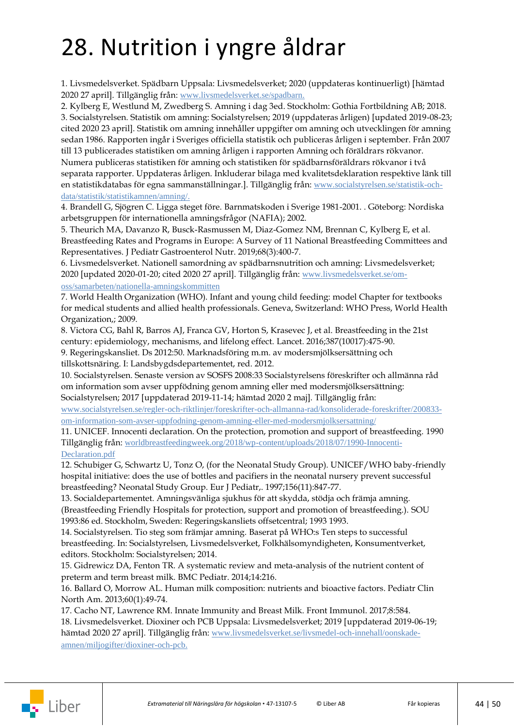## <span id="page-43-0"></span>28. Nutrition i yngre åldrar

1. Livsmedelsverket. Spädbarn Uppsala: Livsmedelsverket; 2020 (uppdateras kontinuerligt) [hämtad 2020 27 april]. Tillgänglig från: [www.livsmedelsverket.se/spadbarn.](https://www.livsmedelsverket.se/spadbarn)

2. Kylberg E, Westlund M, Zwedberg S. Amning i dag 3ed. Stockholm: Gothia Fortbildning AB; 2018. 3. Socialstyrelsen. Statistik om amning: Socialstyrelsen; 2019 (uppdateras årligen) [updated 2019-08-23; cited 2020 23 april]. Statistik om amning innehåller uppgifter om amning och utvecklingen för amning sedan 1986. Rapporten ingår i Sveriges officiella statistik och publiceras årligen i september. Från 2007 till 13 publicerades statistiken om amning årligen i rapporten Amning och föräldrars rökvanor. Numera publiceras statistiken för amning och statistiken för spädbarnsföräldrars rökvanor i två separata rapporter. Uppdateras årligen. Inkluderar bilaga med kvalitetsdeklaration respektive länk till en statistikdatabas för egna sammanställningar.]. Tillgänglig från: [www.socialstyrelsen.se/statistik-och](https://www.socialstyrelsen.se/statistik-och-data/statistik/statistikamnen/amning/)[data/statistik/statistikamnen/amning/.](https://www.socialstyrelsen.se/statistik-och-data/statistik/statistikamnen/amning/)

4. Brandell G, Sjögren C. Ligga steget före. Barnmatskoden i Sverige 1981-2001. . Göteborg: Nordiska arbetsgruppen för internationella amningsfrågor (NAFIA); 2002.

5. Theurich MA, Davanzo R, Busck-Rasmussen M, Diaz-Gomez NM, Brennan C, Kylberg E, et al. Breastfeeding Rates and Programs in Europe: A Survey of 11 National Breastfeeding Committees and Representatives. J Pediatr Gastroenterol Nutr. 2019;68(3):400-7.

6. Livsmedelsverket. Nationell samordning av spädbarnsnutrition och amning: Livsmedelsverket; 2020 [updated 2020-01-20; cited 2020 27 april]. Tillgänglig från: [www.livsmedelsverket.se/om](https://www.livsmedelsverket.se/om-oss/samarbeten/nationella-amningskommitten)[oss/samarbeten/nationella-amningskommitten](https://www.livsmedelsverket.se/om-oss/samarbeten/nationella-amningskommitten)

7. World Health Organization (WHO). Infant and young child feeding: model Chapter for textbooks for medical students and allied health professionals. Geneva, Switzerland: WHO Press, World Health Organization,; 2009.

8. Victora CG, Bahl R, Barros AJ, Franca GV, Horton S, Krasevec J, et al. Breastfeeding in the 21st century: epidemiology, mechanisms, and lifelong effect. Lancet. 2016;387(10017):475-90.

9. Regeringskansliet. Ds 2012:50. Marknadsföring m.m. av modersmjölksersättning och tillskottsnäring. I: Landsbygdsdepartementet, red. 2012.

10. Socialstyrelsen. Senaste version av SOSFS 2008:33 Socialstyrelsens föreskrifter och allmänna råd om information som avser uppfödning genom amning eller med modersmjölksersättning: Socialstyrelsen; 2017 [uppdaterad 2019-11-14; hämtad 2020 2 maj]. Tillgänglig från:

[www.socialstyrelsen.se/regler-och-riktlinjer/foreskrifter-och-allmanna-rad/konsoliderade-foreskrifter/200833](https://www.socialstyrelsen.se/regler-och-riktlinjer/foreskrifter-och-allmanna-rad/konsoliderade-foreskrifter/200833-om-information-som-avser-uppfodning-genom-amning-eller-med-modersmjolksersattning/) [om-information-som-avser-uppfodning-genom-amning-eller-med-modersmjolksersattning/](https://www.socialstyrelsen.se/regler-och-riktlinjer/foreskrifter-och-allmanna-rad/konsoliderade-foreskrifter/200833-om-information-som-avser-uppfodning-genom-amning-eller-med-modersmjolksersattning/)

11. UNICEF. Innocenti declaration. On the protection, promotion and support of breastfeeding. 1990 Tillgänglig från: [worldbreastfeedingweek.org/2018/wp-content/uploads/2018/07/1990-Innocenti-](http://worldbreastfeedingweek.org/2018/wp-content/uploads/2018/07/1990-Innocenti-Declaration.pdf)[Declaration.pdf](http://worldbreastfeedingweek.org/2018/wp-content/uploads/2018/07/1990-Innocenti-Declaration.pdf)

12. Schubiger G, Schwartz U, Tonz O, (for the Neonatal Study Group). UNICEF/WHO baby-friendly hospital initiative: does the use of bottles and pacifiers in the neonatal nursery prevent successful breastfeeding? Neonatal Study Group. Eur J Pediatr,. 1997;156(11):847-77.

13. Socialdepartementet. Amningsvänliga sjukhus för att skydda, stödja och främja amning. (Breastfeeding Friendly Hospitals for protection, support and promotion of breastfeeding.). SOU 1993:86 ed. Stockholm, Sweden: Regeringskansliets offsetcentral; 1993 1993.

14. Socialstyrelsen. Tio steg som främjar amning. Baserat på WHO:s Ten steps to successful breastfeeding. In: Socialstyrelsen, Livsmedelsverket, Folkhälsomyndigheten, Konsumentverket, editors. Stockholm: Socialstyrelsen; 2014.

15. Gidrewicz DA, Fenton TR. A systematic review and meta-analysis of the nutrient content of preterm and term breast milk. BMC Pediatr. 2014;14:216.

16. Ballard O, Morrow AL. Human milk composition: nutrients and bioactive factors. Pediatr Clin North Am. 2013;60(1):49-74.

17. Cacho NT, Lawrence RM. Innate Immunity and Breast Milk. Front Immunol. 2017;8:584. 18. Livsmedelsverket. Dioxiner och PCB Uppsala: Livsmedelsverket; 2019 [uppdaterad 2019-06-19; hämtad 2020 27 april]. Tillgänglig från: [www.livsmedelsverket.se/livsmedel-och-innehall/oonskade](https://www.livsmedelsverket.se/livsmedel-och-innehall/oonskade-amnen/miljogifter/dioxiner-och-pcb)[amnen/miljogifter/dioxiner-och-pcb.](https://www.livsmedelsverket.se/livsmedel-och-innehall/oonskade-amnen/miljogifter/dioxiner-och-pcb)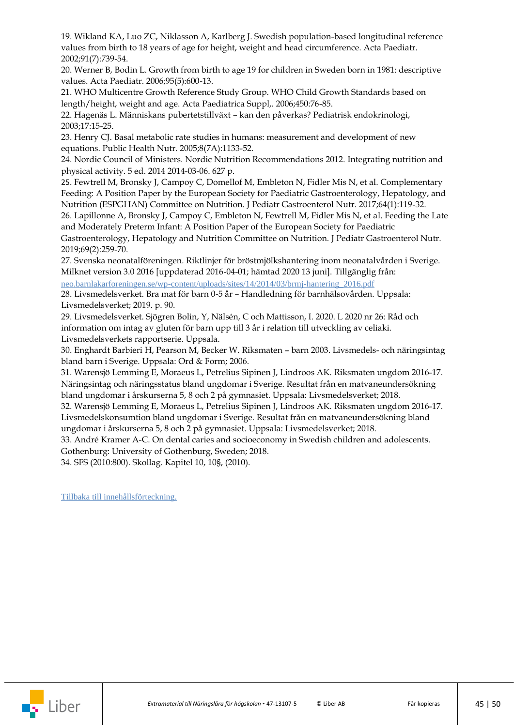19. Wikland KA, Luo ZC, Niklasson A, Karlberg J. Swedish population-based longitudinal reference values from birth to 18 years of age for height, weight and head circumference. Acta Paediatr. 2002;91(7):739-54.

20. Werner B, Bodin L. Growth from birth to age 19 for children in Sweden born in 1981: descriptive values. Acta Paediatr. 2006;95(5):600-13.

21. WHO Multicentre Growth Reference Study Group. WHO Child Growth Standards based on length/height, weight and age. Acta Paediatrica Suppl,. 2006;450:76-85.

22. Hagenäs L. Människans pubertetstillväxt – kan den påverkas? Pediatrisk endokrinologi, 2003;17:15-25.

23. Henry CJ. Basal metabolic rate studies in humans: measurement and development of new equations. Public Health Nutr. 2005;8(7A):1133-52.

24. Nordic Council of Ministers. Nordic Nutrition Recommendations 2012. Integrating nutrition and physical activity. 5 ed. 2014 2014-03-06. 627 p.

25. Fewtrell M, Bronsky J, Campoy C, Domellof M, Embleton N, Fidler Mis N, et al. Complementary Feeding: A Position Paper by the European Society for Paediatric Gastroenterology, Hepatology, and Nutrition (ESPGHAN) Committee on Nutrition. J Pediatr Gastroenterol Nutr. 2017;64(1):119-32.

26. Lapillonne A, Bronsky J, Campoy C, Embleton N, Fewtrell M, Fidler Mis N, et al. Feeding the Late and Moderately Preterm Infant: A Position Paper of the European Society for Paediatric

Gastroenterology, Hepatology and Nutrition Committee on Nutrition. J Pediatr Gastroenterol Nutr. 2019;69(2):259-70.

27. Svenska neonatalföreningen. Riktlinjer för bröstmjölkshantering inom neonatalvården i Sverige. Milknet version 3.0 2016 [uppdaterad 2016-04-01; hämtad 2020 13 juni]. Tillgänglig från: [neo.barnlakarforeningen.se/wp-content/uploads/sites/14/2014/03/brmj-hantering\\_2016.pdf](https://neo.barnlakarforeningen.se/wp-content/uploads/sites/14/2014/03/brmj-hantering_2016.pdf)

28. Livsmedelsverket. Bra mat för barn 0-5 år – Handledning för barnhälsovården. Uppsala: Livsmedelsverket; 2019. p. 90.

29. Livsmedelsverket. Sjögren Bolin, Y, Nälsén, C och Mattisson, I. 2020. L 2020 nr 26: Råd och information om intag av gluten för barn upp till 3 år i relation till utveckling av celiaki. Livsmedelsverkets rapportserie. Uppsala.

30. Enghardt Barbieri H, Pearson M, Becker W. Riksmaten – barn 2003. Livsmedels- och näringsintag bland barn i Sverige. Uppsala: Ord & Form; 2006.

31. Warensjö Lemming E, Moraeus L, Petrelius Sipinen J, Lindroos AK. Riksmaten ungdom 2016-17. Näringsintag och näringsstatus bland ungdomar i Sverige. Resultat från en matvaneundersökning bland ungdomar i årskurserna 5, 8 och 2 på gymnasiet. Uppsala: Livsmedelsverket; 2018.

32. Warensjö Lemming E, Moraeus L, Petrelius Sipinen J, Lindroos AK. Riksmaten ungdom 2016-17. Livsmedelskonsumtion bland ungdomar i Sverige. Resultat från en matvaneundersökning bland ungdomar i årskurserna 5, 8 och 2 på gymnasiet. Uppsala: Livsmedelsverket; 2018.

33. André Kramer A-C. On dental caries and socioeconomy in Swedish children and adolescents. Gothenburg: University of Gothenburg, Sweden; 2018.

34. SFS (2010:800). Skollag. Kapitel 10, 10§, (2010).

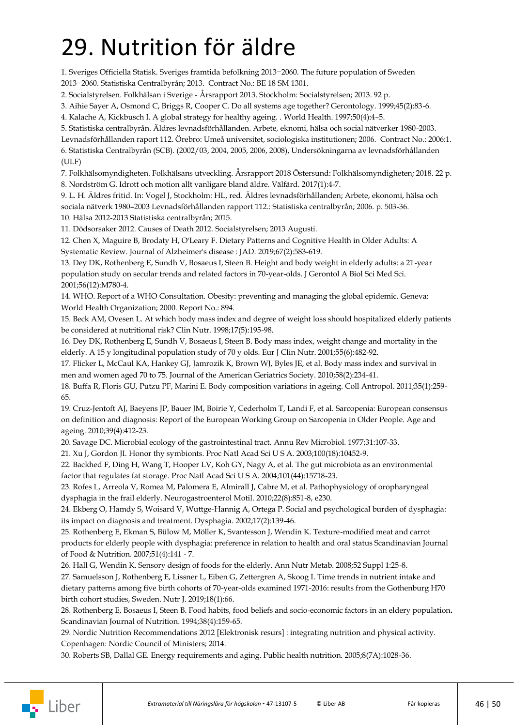## <span id="page-45-0"></span>29. Nutrition för äldre

1. Sveriges Officiella Statisk. Sveriges framtida befolkning 2013−2060. The future population of Sweden 2013−2060. Statistiska Centralbyrån; 2013. Contract No.: BE 18 SM 1301.

2. Socialstyrelsen. Folkhälsan i Sverige - Årsrapport 2013. Stockholm: Socialstyrelsen; 2013. 92 p.

3. Aihie Sayer A, Osmond C, Briggs R, Cooper C. Do all systems age together? Gerontology. 1999;45(2):83-6.

4. Kalache A, Kickbusch I. A global strategy for healthy ageing. . World Health. 1997;50(4):4–5.

5. Statistiska centralbyrån. Äldres levnadsförhållanden. Arbete, eknomi, hälsa och social nätverker 1980-2003.

Levnadsförhållanden raport 112. Örebro: Umeå universitet, sociologiska institutionen; 2006. Contract No.: 2006:1. 6. Statistiska Centralbyrån (SCB). (2002/03, 2004, 2005, 2006, 2008), Undersökningarna av levnadsförhållanden (ULF)

7. Folkhälsomyndigheten. Folkhälsans utveckling. Årsrapport 2018 Östersund: Folkhälsomyndigheten; 2018. 22 p. 8. Nordström G. Idrott och motion allt vanligare bland äldre. Välfärd. 2017(1):4-7.

9. L. H. Äldres fritid. In: Vogel J, Stockholm: HL, red. Äldres levnadsförhållanden; Arbete, ekonomi, hälsa och sociala nätverk 1980–2003 Levnadsförhållanden rapport 112.: Statistiska centralbyrån; 2006. p. 503-36. 10. Hälsa 2012-2013 Statistiska centralbyrån; 2015.

11. Dödsorsaker 2012. Causes of Death 2012. Socialstyrelsen; 2013 Augusti.

12. Chen X, Maguire B, Brodaty H, O'Leary F. Dietary Patterns and Cognitive Health in Older Adults: A Systematic Review. Journal of Alzheimer's disease : JAD. 2019;67(2):583-619.

13. Dey DK, Rothenberg E, Sundh V, Bosaeus I, Steen B. Height and body weight in elderly adults: a 21-year population study on secular trends and related factors in 70-year-olds. J Gerontol A Biol Sci Med Sci. 2001;56(12):M780-4.

14. WHO. Report of a WHO Consultation. Obesity: preventing and managing the global epidemic. Geneva: World Health Organization; 2000. Report No.: 894.

15. Beck AM, Ovesen L. At which body mass index and degree of weight loss should hospitalized elderly patients be considered at nutritional risk? Clin Nutr. 1998;17(5):195-98.

16. Dey DK, Rothenberg E, Sundh V, Bosaeus I, Steen B. Body mass index, weight change and mortality in the elderly. A 15 y longitudinal population study of 70 y olds. Eur J Clin Nutr. 2001;55(6):482-92.

17. Flicker L, McCaul KA, Hankey GJ, Jamrozik K, Brown WJ, Byles JE, et al. Body mass index and survival in men and women aged 70 to 75. Journal of the American Geriatrics Society. 2010;58(2):234-41.

18. Buffa R, Floris GU, Putzu PF, Marini E. Body composition variations in ageing. Coll Antropol. 2011;35(1):259- 65.

19. Cruz-Jentoft AJ, Baeyens JP, Bauer JM, Boirie Y, Cederholm T, Landi F, et al. Sarcopenia: European consensus on definition and diagnosis: Report of the European Working Group on Sarcopenia in Older People. Age and ageing. 2010;39(4):412-23.

20. Savage DC. Microbial ecology of the gastrointestinal tract. Annu Rev Microbiol. 1977;31:107-33.

21. Xu J, Gordon JI. Honor thy symbionts. Proc Natl Acad Sci U S A. 2003;100(18):10452-9.

22. Backhed F, Ding H, Wang T, Hooper LV, Koh GY, Nagy A, et al. The gut microbiota as an environmental factor that regulates fat storage. Proc Natl Acad Sci U S A. 2004;101(44):15718-23.

23. Rofes L, Arreola V, Romea M, Palomera E, Almirall J, Cabre M, et al. Pathophysiology of oropharyngeal dysphagia in the frail elderly. Neurogastroenterol Motil. 2010;22(8):851-8, e230.

24. Ekberg O, Hamdy S, Woisard V, Wuttge-Hannig A, Ortega P. Social and psychological burden of dysphagia: its impact on diagnosis and treatment. Dysphagia. 2002;17(2):139-46.

25. Rothenberg E, Ekman S, Bülow M, Möller K, Svantesson J, Wendin K. Texture-modified meat and carrot products for elderly people with dysphagia: preference in relation to health and oral status Scandinavian Journal of Food & Nutrition. 2007;51(4):141 - 7.

26. Hall G, Wendin K. Sensory design of foods for the elderly. Ann Nutr Metab. 2008;52 Suppl 1:25-8. 27. Samuelsson J, Rothenberg E, Lissner L, Eiben G, Zettergren A, Skoog I. Time trends in nutrient intake and dietary patterns among five birth cohorts of 70-year-olds examined 1971-2016: results from the Gothenburg H70 birth cohort studies, Sweden. Nutr J. 2019;18(1):66.

28. Rothenberg E, Bosaeus I, Steen B. Food habits, food beliefs and socio-economic factors in an eldery population**.** Scandinavian Journal of Nutrition. 1994;38(4):159-65.

29. Nordic Nutrition Recommendations 2012 [Elektronisk resurs] : integrating nutrition and physical activity. Copenhagen: Nordic Council of Ministers; 2014.

30. Roberts SB, Dallal GE. Energy requirements and aging. Public health nutrition. 2005;8(7A):1028-36.

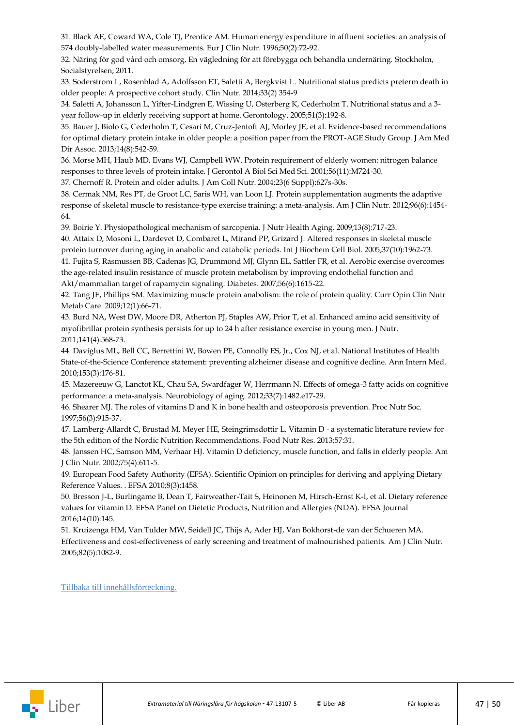31. Black AE, Coward WA, Cole TJ, Prentice AM. Human energy expenditure in affluent societies: an analysis of 574 doubly-labelled water measurements. Eur J Clin Nutr. 1996;50(2):72-92.

32. Näring för god vård och omsorg, En vägledning för att förebygga och behandla undernäring. Stockholm, Socialstyrelsen; 2011.

33. Soderstrom L, Rosenblad A, Adolfsson ET, Saletti A, Bergkvist L. Nutritional status predicts preterm death in older people: A prospective cohort study. Clin Nutr. 2014;33(2) 354-9

34. Saletti A, Johansson L, Yifter-Lindgren E, Wissing U, Osterberg K, Cederholm T. Nutritional status and a 3 year follow-up in elderly receiving support at home. Gerontology. 2005;51(3):192-8.

35. Bauer J, Biolo G, Cederholm T, Cesari M, Cruz-Jentoft AJ, Morley JE, et al. Evidence-based recommendations for optimal dietary protein intake in older people: a position paper from the PROT-AGE Study Group. J Am Med Dir Assoc. 2013;14(8):542-59.

36. Morse MH, Haub MD, Evans WJ, Campbell WW. Protein requirement of elderly women: nitrogen balance responses to three levels of protein intake. J Gerontol A Biol Sci Med Sci. 2001;56(11):M724-30.

37. Chernoff R. Protein and older adults. J Am Coll Nutr. 2004;23(6 Suppl):627s-30s.

38. Cermak NM, Res PT, de Groot LC, Saris WH, van Loon LJ. Protein supplementation augments the adaptive response of skeletal muscle to resistance-type exercise training: a meta-analysis. Am J Clin Nutr. 2012;96(6):1454- 64.

39. Boirie Y. Physiopathological mechanism of sarcopenia. J Nutr Health Aging. 2009;13(8):717-23.

40. Attaix D, Mosoni L, Dardevet D, Combaret L, Mirand PP, Grizard J. Altered responses in skeletal muscle protein turnover during aging in anabolic and catabolic periods. Int J Biochem Cell Biol. 2005;37(10):1962-73. 41. Fujita S, Rasmussen BB, Cadenas JG, Drummond MJ, Glynn EL, Sattler FR, et al. Aerobic exercise overcomes the age-related insulin resistance of muscle protein metabolism by improving endothelial function and Akt/mammalian target of rapamycin signaling. Diabetes. 2007;56(6):1615-22.

42. Tang JE, Phillips SM. Maximizing muscle protein anabolism: the role of protein quality. Curr Opin Clin Nutr Metab Care. 2009;12(1):66-71.

43. Burd NA, West DW, Moore DR, Atherton PJ, Staples AW, Prior T, et al. Enhanced amino acid sensitivity of myofibrillar protein synthesis persists for up to 24 h after resistance exercise in young men. J Nutr. 2011;141(4):568-73.

44. Daviglus ML, Bell CC, Berrettini W, Bowen PE, Connolly ES, Jr., Cox NJ, et al. National Institutes of Health State-of-the-Science Conference statement: preventing alzheimer disease and cognitive decline. Ann Intern Med. 2010;153(3):176-81.

45. Mazereeuw G, Lanctot KL, Chau SA, Swardfager W, Herrmann N. Effects of omega-3 fatty acids on cognitive performance: a meta-analysis. Neurobiology of aging. 2012;33(7):1482.e17-29.

46. Shearer MJ. The roles of vitamins D and K in bone health and osteoporosis prevention. Proc Nutr Soc. 1997;56(3):915-37.

47. Lamberg-Allardt C, Brustad M, Meyer HE, Steingrimsdottir L. Vitamin D - a systematic literature review for the 5th edition of the Nordic Nutrition Recommendations. Food Nutr Res. 2013;57:31.

48. Janssen HC, Samson MM, Verhaar HJ. Vitamin D deficiency, muscle function, and falls in elderly people. Am J Clin Nutr. 2002;75(4):611-5.

49. European Food Safety Authority (EFSA). Scientific Opinion on principles for deriving and applying Dietary Reference Values. . EFSA 2010;8(3):1458.

50. Bresson J-L, Burlingame B, Dean T, Fairweather-Tait S, Heinonen M, Hirsch-Ernst K-I, et al. Dietary reference values for vitamin D. EFSA Panel on Dietetic Products, Nutrition and Allergies (NDA). EFSA Journal 2016;14(10):145.

51. Kruizenga HM, Van Tulder MW, Seidell JC, Thijs A, Ader HJ, Van Bokhorst-de van der Schueren MA. Effectiveness and cost-effectiveness of early screening and treatment of malnourished patients. Am J Clin Nutr. 2005;82(5):1082-9.

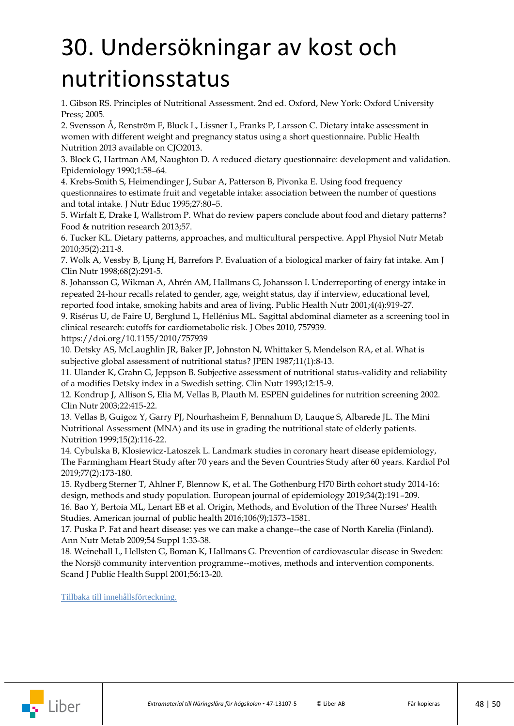## <span id="page-47-0"></span>30. Undersökningar av kost och nutritionsstatus

1. Gibson RS. Principles of Nutritional Assessment. 2nd ed. Oxford, New York: Oxford University Press; 2005.

2. Svensson Å, Renström F, Bluck L, Lissner L, Franks P, Larsson C. Dietary intake assessment in women with different weight and pregnancy status using a short questionnaire. Public Health Nutrition 2013 available on CJO2013.

3. Block G, Hartman AM, Naughton D. A reduced dietary questionnaire: development and validation. Epidemiology 1990;1:58–64.

4. Krebs-Smith S, Heimendinger J, Subar A, Patterson B, Pivonka E. Using food frequency questionnaires to estimate fruit and vegetable intake: association between the number of questions and total intake. J Nutr Educ 1995;27:80–5.

5. Wirfalt E, Drake I, Wallstrom P. What do review papers conclude about food and dietary patterns? Food & nutrition research 2013;57.

6. Tucker KL. Dietary patterns, approaches, and multicultural perspective. Appl Physiol Nutr Metab 2010;35(2):211-8.

7. Wolk A, Vessby B, Ljung H, Barrefors P. Evaluation of a biological marker of fairy fat intake. Am J Clin Nutr 1998;68(2):291-5.

8. Johansson G, Wikman A, Ahrén AM, Hallmans G, Johansson I. Underreporting of energy intake in repeated 24-hour recalls related to gender, age, weight status, day if interview, educational level, reported food intake, smoking habits and area of living. Public Health Nutr 2001;4(4):919-27.

9. Risérus U, de Faire U, Berglund L, Hellénius ML. Sagittal abdominal diameter as a screening tool in clinical research: cutoffs for cardiometabolic risk. J Obes 2010, 757939.

<https://doi.org/10.1155/2010/757939>

10. Detsky AS, McLaughlin JR, Baker JP, Johnston N, Whittaker S, Mendelson RA, et al. What is subjective global assessment of nutritional status? JPEN 1987;11(1):8-13.

11. Ulander K, Grahn G, Jeppson B. Subjective assessment of nutritional status-validity and reliability of a modifies Detsky index in a Swedish setting. Clin Nutr 1993;12:15-9.

12. Kondrup J, Allison S, Elia M, Vellas B, Plauth M. ESPEN guidelines for nutrition screening 2002. Clin Nutr 2003;22:415-22.

13. Vellas B, Guigoz Y, Garry PJ, Nourhasheim F, Bennahum D, Lauque S, Albarede JL. The Mini Nutritional Assessment (MNA) and its use in grading the nutritional state of elderly patients. Nutrition 1999;15(2):116-22.

14. Cybulska B, Klosiewicz-Latoszek L. Landmark studies in coronary heart disease epidemiology, The Farmingham Heart Study after 70 years and the Seven Countries Study after 60 years. Kardiol Pol 2019;77(2):173-180.

15. Rydberg Sterner T, Ahlner F, Blennow K, et al. The Gothenburg H70 Birth cohort study 2014-16: design, methods and study population. European journal of epidemiology 2019;34(2):191–209.

16. Bao Y, Bertoia ML, Lenart EB et al. Origin, Methods, and Evolution of the Three Nurses' Health Studies. American journal of public health 2016;106(9);1573–1581.

17. Puska P. Fat and heart disease: yes we can make a change--the case of North Karelia (Finland). Ann Nutr Metab 2009;54 Suppl 1:33-38.

18. Weinehall L, Hellsten G, Boman K, Hallmans G. Prevention of cardiovascular disease in Sweden: the Norsjö community intervention programme--motives, methods and intervention components. Scand J Public Health Suppl 2001;56:13-20.

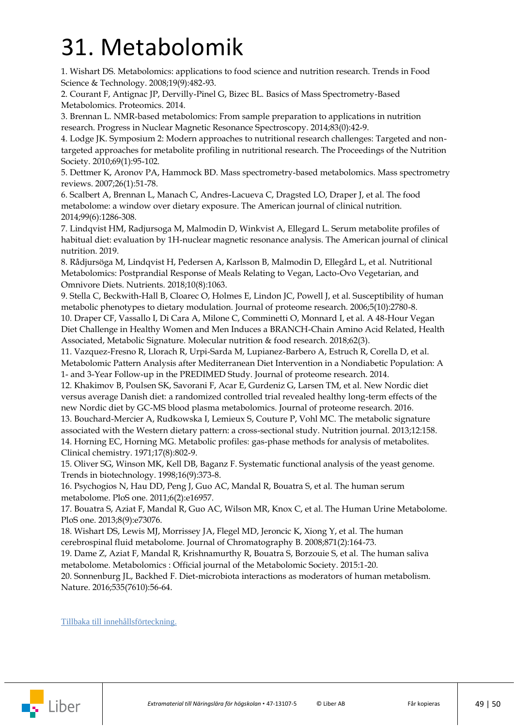### <span id="page-48-0"></span>31. Metabolomik

1. Wishart DS. Metabolomics: applications to food science and nutrition research. Trends in Food Science & Technology. 2008;19(9):482-93.

2. Courant F, Antignac JP, Dervilly-Pinel G, Bizec BL. Basics of Mass Spectrometry-Based Metabolomics. Proteomics. 2014.

3. Brennan L. NMR-based metabolomics: From sample preparation to applications in nutrition research. Progress in Nuclear Magnetic Resonance Spectroscopy. 2014;83(0):42-9.

4. Lodge JK. Symposium 2: Modern approaches to nutritional research challenges: Targeted and nontargeted approaches for metabolite profiling in nutritional research. The Proceedings of the Nutrition Society. 2010;69(1):95-102.

5. Dettmer K, Aronov PA, Hammock BD. Mass spectrometry-based metabolomics. Mass spectrometry reviews. 2007;26(1):51-78.

6. Scalbert A, Brennan L, Manach C, Andres-Lacueva C, Dragsted LO, Draper J, et al. The food metabolome: a window over dietary exposure. The American journal of clinical nutrition. 2014;99(6):1286-308.

7. Lindqvist HM, Radjursoga M, Malmodin D, Winkvist A, Ellegard L. Serum metabolite profiles of habitual diet: evaluation by 1H-nuclear magnetic resonance analysis. The American journal of clinical nutrition. 2019.

8. Rådjursöga M, Lindqvist H, Pedersen A, Karlsson B, Malmodin D, Ellegård L, et al. Nutritional Metabolomics: Postprandial Response of Meals Relating to Vegan, Lacto-Ovo Vegetarian, and Omnivore Diets. Nutrients. 2018;10(8):1063.

9. Stella C, Beckwith-Hall B, Cloarec O, Holmes E, Lindon JC, Powell J, et al. Susceptibility of human metabolic phenotypes to dietary modulation. Journal of proteome research. 2006;5(10):2780-8.

10. Draper CF, Vassallo I, Di Cara A, Milone C, Comminetti O, Monnard I, et al. A 48-Hour Vegan Diet Challenge in Healthy Women and Men Induces a BRANCH-Chain Amino Acid Related, Health Associated, Metabolic Signature. Molecular nutrition & food research. 2018;62(3).

11. Vazquez-Fresno R, Llorach R, Urpi-Sarda M, Lupianez-Barbero A, Estruch R, Corella D, et al. Metabolomic Pattern Analysis after Mediterranean Diet Intervention in a Nondiabetic Population: A 1- and 3-Year Follow-up in the PREDIMED Study. Journal of proteome research. 2014.

12. Khakimov B, Poulsen SK, Savorani F, Acar E, Gurdeniz G, Larsen TM, et al. New Nordic diet versus average Danish diet: a randomized controlled trial revealed healthy long-term effects of the new Nordic diet by GC-MS blood plasma metabolomics. Journal of proteome research. 2016. 13. Bouchard-Mercier A, Rudkowska I, Lemieux S, Couture P, Vohl MC. The metabolic signature associated with the Western dietary pattern: a cross-sectional study. Nutrition journal. 2013;12:158.

14. Horning EC, Horning MG. Metabolic profiles: gas-phase methods for analysis of metabolites. Clinical chemistry. 1971;17(8):802-9.

15. Oliver SG, Winson MK, Kell DB, Baganz F. Systematic functional analysis of the yeast genome. Trends in biotechnology. 1998;16(9):373-8.

16. Psychogios N, Hau DD, Peng J, Guo AC, Mandal R, Bouatra S, et al. The human serum metabolome. PloS one. 2011;6(2):e16957.

17. Bouatra S, Aziat F, Mandal R, Guo AC, Wilson MR, Knox C, et al. The Human Urine Metabolome. PloS one. 2013;8(9):e73076.

18. Wishart DS, Lewis MJ, Morrissey JA, Flegel MD, Jeroncic K, Xiong Y, et al. The human cerebrospinal fluid metabolome. Journal of Chromatography B. 2008;871(2):164-73.

19. Dame Z, Aziat F, Mandal R, Krishnamurthy R, Bouatra S, Borzouie S, et al. The human saliva metabolome. Metabolomics : Official journal of the Metabolomic Society. 2015:1-20.

20. Sonnenburg JL, Backhed F. Diet-microbiota interactions as moderators of human metabolism. Nature. 2016;535(7610):56-64.